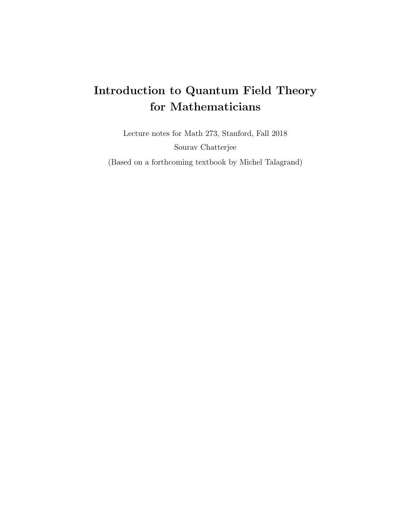# Introduction to Quantum Field Theory for Mathematicians

Lecture notes for Math 273, Stanford, Fall 2018 Sourav Chatterjee

(Based on a forthcoming textbook by Michel Talagrand)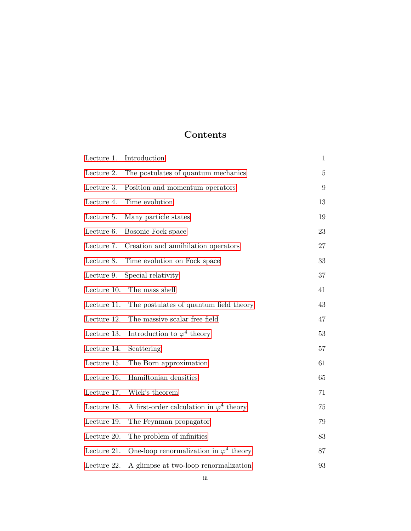# Contents

| Lecture 1.  | Introduction                                    | 1              |
|-------------|-------------------------------------------------|----------------|
| Lecture 2.  | The postulates of quantum mechanics             | $\overline{5}$ |
| Lecture 3.  | Position and momentum operators                 | 9              |
| Lecture 4.  | Time evolution                                  | 13             |
| Lecture 5.  | Many particle states                            | 19             |
| Lecture 6.  | Bosonic Fock space                              | 23             |
| Lecture 7.  | Creation and annihilation operators             | 27             |
| Lecture 8.  | Time evolution on Fock space                    | 33             |
| Lecture 9.  | Special relativity                              | 37             |
| Lecture 10. | The mass shell                                  | 41             |
| Lecture 11. | The postulates of quantum field theory          | 43             |
| Lecture 12. | The massive scalar free field                   | 47             |
| Lecture 13. | Introduction to $\varphi^4$ theory              | 53             |
| Lecture 14. | Scattering                                      | 57             |
| Lecture 15. | The Born approximation                          | 61             |
| Lecture 16. | Hamiltonian densities                           | 65             |
| Lecture 17. | Wick's theorem                                  | 71             |
| Lecture 18. | A first-order calculation in $\varphi^4$ theory | 75             |
| Lecture 19. | The Feynman propagator                          | 79             |
| Lecture 20. | The problem of infinities                       | 83             |
| Lecture 21. | One-loop renormalization in $\varphi^4$ theory  | 87             |
| Lecture 22. | A glimpse at two-loop renormalization           | 93             |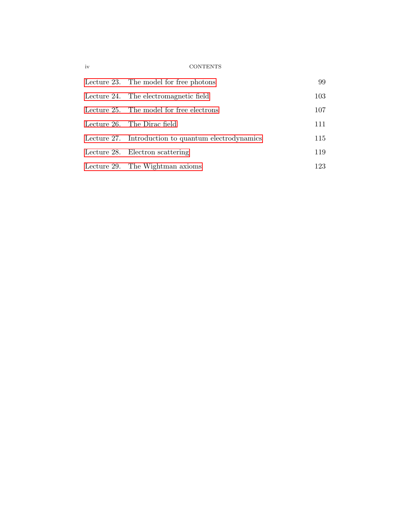# iv CONTENTS

| Lecture 23. The model for free photons              | 99  |
|-----------------------------------------------------|-----|
| Lecture 24. The electromagnetic field               | 103 |
| Lecture 25. The model for free electrons            | 107 |
| Lecture 26. The Dirac field                         | 111 |
| Lecture 27. Introduction to quantum electrodynamics | 115 |
| Lecture 28. Electron scattering                     | 119 |
| Lecture 29. The Wightman axioms                     | 123 |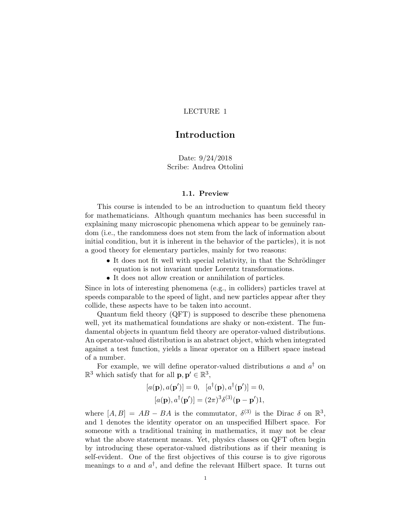# <span id="page-4-0"></span>Introduction

Date: 9/24/2018 Scribe: Andrea Ottolini

#### 1.1. Preview

This course is intended to be an introduction to quantum field theory for mathematicians. Although quantum mechanics has been successful in explaining many microscopic phenomena which appear to be genuinely random (i.e., the randomness does not stem from the lack of information about initial condition, but it is inherent in the behavior of the particles), it is not a good theory for elementary particles, mainly for two reasons:

- It does not fit well with special relativity, in that the Schrödinger equation is not invariant under Lorentz transformations.
- It does not allow creation or annihilation of particles.

Since in lots of interesting phenomena (e.g., in colliders) particles travel at speeds comparable to the speed of light, and new particles appear after they collide, these aspects have to be taken into account.

Quantum field theory (QFT) is supposed to describe these phenomena well, yet its mathematical foundations are shaky or non-existent. The fundamental objects in quantum field theory are operator-valued distributions. An operator-valued distribution is an abstract object, which when integrated against a test function, yields a linear operator on a Hilbert space instead of a number.

For example, we will define operator-valued distributions a and  $a^{\dagger}$  on  $\mathbb{R}^3$  which satisfy that for all  $\mathbf{p}, \mathbf{p}' \in \mathbb{R}^3$ ,

$$
[a(\mathbf{p}), a(\mathbf{p}')] = 0, \quad [a^{\dagger}(\mathbf{p}), a^{\dagger}(\mathbf{p}')] = 0,
$$

$$
[a(\mathbf{p}), a^{\dagger}(\mathbf{p}')] = (2\pi)^3 \delta^{(3)}(\mathbf{p} - \mathbf{p}')\mathbf{1},
$$

where  $[A, B] = AB - BA$  is the commutator,  $\delta^{(3)}$  is the Dirac  $\delta$  on  $\mathbb{R}^3$ , and 1 denotes the identity operator on an unspecified Hilbert space. For someone with a traditional training in mathematics, it may not be clear what the above statement means. Yet, physics classes on QFT often begin by introducing these operator-valued distributions as if their meaning is self-evident. One of the first objectives of this course is to give rigorous meanings to a and  $a^{\dagger}$ , and define the relevant Hilbert space. It turns out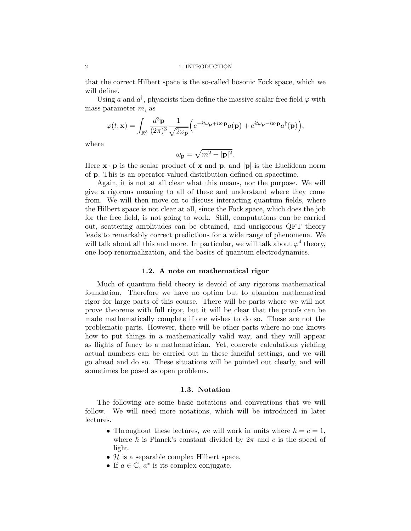that the correct Hilbert space is the so-called bosonic Fock space, which we will define.

Using a and  $a^{\dagger}$ , physicists then define the massive scalar free field  $\varphi$  with mass parameter m, as

$$
\varphi(t, \mathbf{x}) = \int_{\mathbb{R}^3} \frac{d^3 \mathbf{p}}{(2\pi)^3} \frac{1}{\sqrt{2\omega_{\mathbf{p}}}} \Big( e^{-it\omega_{\mathbf{p}} + i\mathbf{x} \cdot \mathbf{p}} a(\mathbf{p}) + e^{it\omega_{\mathbf{p}} - i\mathbf{x} \cdot \mathbf{p}} a^{\dagger}(\mathbf{p}) \Big),
$$

where

$$
\omega_{\mathbf{p}} = \sqrt{m^2 + |\mathbf{p}|^2}.
$$

Here  $\mathbf{x} \cdot \mathbf{p}$  is the scalar product of  $\mathbf{x}$  and  $\mathbf{p}$ , and  $|\mathbf{p}|$  is the Euclidean norm of p. This is an operator-valued distribution defined on spacetime.

Again, it is not at all clear what this means, nor the purpose. We will give a rigorous meaning to all of these and understand where they come from. We will then move on to discuss interacting quantum fields, where the Hilbert space is not clear at all, since the Fock space, which does the job for the free field, is not going to work. Still, computations can be carried out, scattering amplitudes can be obtained, and unrigorous QFT theory leads to remarkably correct predictions for a wide range of phenomena. We will talk about all this and more. In particular, we will talk about  $\varphi^4$  theory, one-loop renormalization, and the basics of quantum electrodynamics.

#### 1.2. A note on mathematical rigor

Much of quantum field theory is devoid of any rigorous mathematical foundation. Therefore we have no option but to abandon mathematical rigor for large parts of this course. There will be parts where we will not prove theorems with full rigor, but it will be clear that the proofs can be made mathematically complete if one wishes to do so. These are not the problematic parts. However, there will be other parts where no one knows how to put things in a mathematically valid way, and they will appear as flights of fancy to a mathematician. Yet, concrete calculations yielding actual numbers can be carried out in these fanciful settings, and we will go ahead and do so. These situations will be pointed out clearly, and will sometimes be posed as open problems.

#### 1.3. Notation

The following are some basic notations and conventions that we will follow. We will need more notations, which will be introduced in later lectures.

- Throughout these lectures, we will work in units where  $\hbar = c = 1$ , where  $\hbar$  is Planck's constant divided by  $2\pi$  and c is the speed of light.
- $H$  is a separable complex Hilbert space.
- If  $a \in \mathbb{C}$ ,  $a^*$  is its complex conjugate.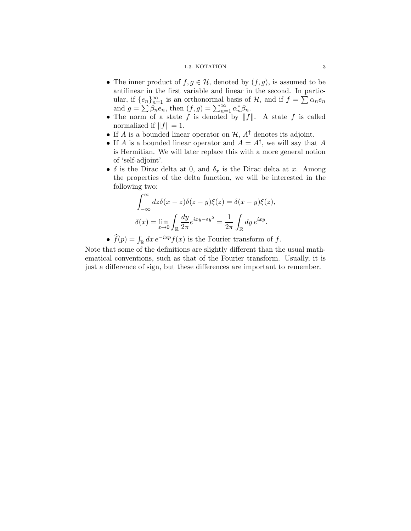#### 1.3. NOTATION 3

- The inner product of  $f, g \in \mathcal{H}$ , denoted by  $(f, g)$ , is assumed to be antilinear in the first variable and linear in the second. In particular, if  $\{e_n\}_{n=1}^{\infty}$  is an orthonormal basis of H, and if  $f = \sum \alpha_n e_n$ and  $g = \sum_{n=1}^{\infty} \beta_n e_n$ , then  $(f, g) = \sum_{n=1}^{\infty} \alpha_n^* \beta_n$ .
- The norm of a state f is denoted by  $||f||$ . A state f is called normalized if  $||f|| = 1$ .
- If A is a bounded linear operator on  $H$ ,  $A^{\dagger}$  denotes its adjoint.
- If A is a bounded linear operator and  $A = A^{\dagger}$ , we will say that A is Hermitian. We will later replace this with a more general notion of 'self-adjoint'.
- $\delta$  is the Dirac delta at 0, and  $\delta_x$  is the Dirac delta at x. Among the properties of the delta function, we will be interested in the following two:

$$
\int_{-\infty}^{\infty} dz \delta(x - z) \delta(z - y) \xi(z) = \delta(x - y) \xi(z),
$$

$$
\delta(x) = \lim_{\varepsilon \to 0} \int_{\mathbb{R}} \frac{dy}{2\pi} e^{ixy - \varepsilon y^2} = \frac{1}{2\pi} \int_{\mathbb{R}} dy e^{ixy}.
$$

•  $\hat{f}(p) = \int_{\mathbb{R}} dx \, e^{-ixp} f(x)$  is the Fourier transform of f.

Note that some of the definitions are slightly different than the usual mathematical conventions, such as that of the Fourier transform. Usually, it is just a difference of sign, but these differences are important to remember.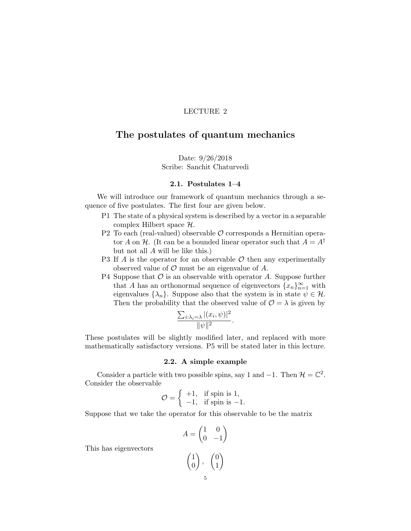# <span id="page-8-0"></span>The postulates of quantum mechanics

Date: 9/26/2018 Scribe: Sanchit Chaturvedi

#### 2.1. Postulates 1–4

We will introduce our framework of quantum mechanics through a sequence of five postulates. The first four are given below.

- P1 The state of a physical system is described by a vector in a separable complex Hilbert space  $H$ .
- P2 To each (real-valued) observable  $\mathcal O$  corresponds a Hermitian operator A on H. (It can be a bounded linear operator such that  $A = A^{\dagger}$ but not all A will be like this.)
- P3 If A is the operator for an observable  $\mathcal O$  then any experimentally observed value of  $\mathcal O$  must be an eigenvalue of  $A$ .
- P4 Suppose that  $\mathcal O$  is an observable with operator A. Suppose further that A has an orthonormal sequence of eigenvectors  ${x_n}_{n=1}^{\infty}$  with eigenvalues  $\{\lambda_n\}$ . Suppose also that the system is in state  $\psi \in \mathcal{H}$ . Then the probability that the observed value of  $\mathcal{O} = \lambda$  is given by

$$
\frac{\sum_{i:\lambda_i=\lambda} |(x_i,\psi)|^2}{\|\psi\|^2}.
$$

These postulates will be slightly modified later, and replaced with more mathematically satisfactory versions. P5 will be stated later in this lecture.

# 2.2. A simple example

Consider a particle with two possible spins, say 1 and  $-1$ . Then  $\mathcal{H} = \mathbb{C}^2$ . Consider the observable

$$
\mathcal{O} = \left\{ \begin{array}{ll} +1, & \text{if spin is 1,} \\ -1, & \text{if spin is } -1. \end{array} \right.
$$

Suppose that we take the operator for this observable to be the matrix

$$
A = \begin{pmatrix} 1 & 0 \\ 0 & -1 \end{pmatrix}
$$

$$
\begin{pmatrix} 1 \\ 0 \end{pmatrix}, \quad \begin{pmatrix} 0 \\ 1 \end{pmatrix}
$$

This has eigenvectors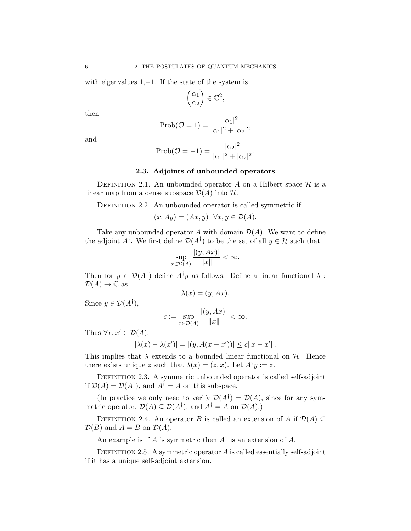with eigenvalues 1,−1. If the state of the system is

$$
\begin{pmatrix} \alpha_1 \\ \alpha_2 \end{pmatrix} \in \mathbb{C}^2,
$$

then

$$
Prob(\mathcal{O} = 1) = \frac{|\alpha_1|^2}{|\alpha_1|^2 + |\alpha_2|^2}
$$

and

Prob(
$$
\mathcal{O} = -1
$$
) =  $\frac{|\alpha_2|^2}{|\alpha_1|^2 + |\alpha_2|^2}$ .

# 2.3. Adjoints of unbounded operators

DEFINITION 2.1. An unbounded operator A on a Hilbert space  $\mathcal H$  is a linear map from a dense subspace  $\mathcal{D}(A)$  into  $\mathcal{H}$ .

DEFINITION 2.2. An unbounded operator is called symmetric if

$$
(x, Ay) = (Ax, y) \quad \forall x, y \in \mathcal{D}(A).
$$

Take any unbounded operator A with domain  $\mathcal{D}(A)$ . We want to define the adjoint  $A^{\dagger}$ . We first define  $\mathcal{D}(A^{\dagger})$  to be the set of all  $y \in \mathcal{H}$  such that

$$
\sup_{x\in\mathcal{D}(A)}\frac{|(y, Ax)|}{\|x\|}<\infty.
$$

Then for  $y \in \mathcal{D}(A^{\dagger})$  define  $A^{\dagger}y$  as follows. Define a linear functional  $\lambda$ :  $\mathcal{D}(A) \to \mathbb{C}$  as

$$
\lambda(x) = (y, Ax).
$$

Since  $y \in \mathcal{D}(A^{\dagger}),$ 

$$
c := \sup_{x \in \mathcal{D}(A)} \frac{|(y, Ax)|}{\|x\|} < \infty.
$$

Thus  $\forall x, x' \in \mathcal{D}(A)$ ,

$$
|\lambda(x) - \lambda(x')| = |(y, A(x - x'))| \le c||x - x'||.
$$

This implies that  $\lambda$  extends to a bounded linear functional on  $\mathcal{H}$ . Hence there exists unique z such that  $\lambda(x) = (z, x)$ . Let  $A^{\dagger}y := z$ .

DEFINITION 2.3. A symmetric unbounded operator is called self-adjoint if  $\mathcal{D}(A) = \mathcal{D}(A^{\dagger})$ , and  $A^{\dagger} = A$  on this subspace.

(In practice we only need to verify  $\mathcal{D}(A^{\dagger}) = \mathcal{D}(A)$ , since for any symmetric operator,  $\mathcal{D}(A) \subseteq \mathcal{D}(A^{\dagger})$ , and  $A^{\dagger} = A$  on  $\mathcal{D}(A)$ .)

DEFINITION 2.4. An operator B is called an extension of A if  $\mathcal{D}(A) \subseteq$  $\mathcal{D}(B)$  and  $A = B$  on  $\mathcal{D}(A)$ .

An example is if A is symmetric then  $A^{\dagger}$  is an extension of A.

DEFINITION 2.5. A symmetric operator  $A$  is called essentially self-adjoint if it has a unique self-adjoint extension.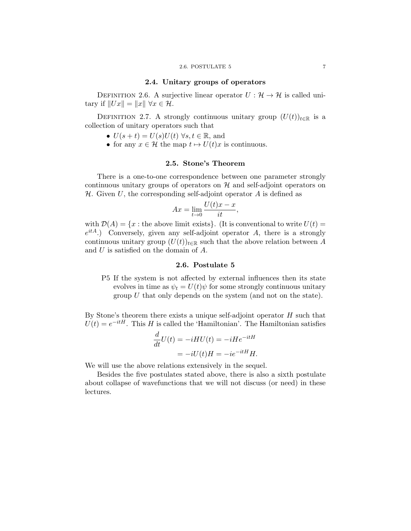# 2.4. Unitary groups of operators

DEFINITION 2.6. A surjective linear operator  $U : \mathcal{H} \to \mathcal{H}$  is called unitary if  $||Ux|| = ||x|| \forall x \in \mathcal{H}$ .

DEFINITION 2.7. A strongly continuous unitary group  $(U(t))_{t\in\mathbb{R}}$  is a collection of unitary operators such that

- $U(s+t) = U(s)U(t)$   $\forall s, t \in \mathbb{R}$ , and
- for any  $x \in \mathcal{H}$  the map  $t \mapsto U(t)x$  is continuous.

#### 2.5. Stone's Theorem

There is a one-to-one correspondence between one parameter strongly continuous unitary groups of operators on  $\mathcal H$  and self-adjoint operators on  $H$ . Given U, the corresponding self-adjoint operator A is defined as

$$
Ax = \lim_{t \to 0} \frac{U(t)x - x}{it},
$$

with  $\mathcal{D}(A) = \{x : \text{the above limit exists}\}.$  (It is conventional to write  $U(t) =$  $e^{itA}$ .) Conversely, given any self-adjoint operator A, there is a strongly continuous unitary group  $(U(t))_{t\in\mathbb{R}}$  such that the above relation between A and U is satisfied on the domain of A.

#### 2.6. Postulate 5

P5 If the system is not affected by external influences then its state evolves in time as  $\psi_t = U(t)\psi$  for some strongly continuous unitary group  $U$  that only depends on the system (and not on the state).

By Stone's theorem there exists a unique self-adjoint operator  $H$  such that  $U(t) = e^{-itH}$ . This H is called the 'Hamiltonian'. The Hamiltonian satisfies

$$
\frac{d}{dt}U(t) = -iHU(t) = -iHe^{-itH}
$$

$$
= -iU(t)H = -ie^{-itH}H.
$$

We will use the above relations extensively in the sequel.

Besides the five postulates stated above, there is also a sixth postulate about collapse of wavefunctions that we will not discuss (or need) in these lectures.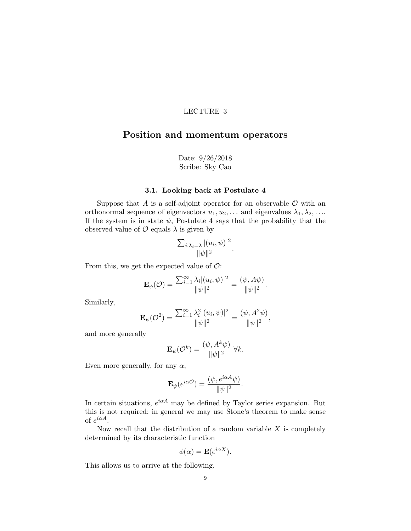# <span id="page-12-0"></span>Position and momentum operators

Date: 9/26/2018 Scribe: Sky Cao

# 3.1. Looking back at Postulate 4

Suppose that A is a self-adjoint operator for an observable  $\mathcal O$  with an orthonormal sequence of eigenvectors  $u_1, u_2, \ldots$  and eigenvalues  $\lambda_1, \lambda_2, \ldots$ If the system is in state  $\psi$ , Postulate 4 says that the probability that the observed value of  $\mathcal O$  equals  $\lambda$  is given by

$$
\frac{\sum_{i:\lambda_i=\lambda} |(u_i,\psi)|^2}{\|\psi\|^2}.
$$

From this, we get the expected value of  $\mathcal{O}$ :

$$
\mathbf{E}_{\psi}(\mathcal{O}) = \frac{\sum_{i=1}^{\infty} \lambda_i |(u_i, \psi)|^2}{\|\psi\|^2} = \frac{(\psi, A\psi)}{\|\psi\|^2}.
$$

Similarly,

$$
\mathbf{E}_{\psi}(\mathcal{O}^2) = \frac{\sum_{i=1}^{\infty} \lambda_i^2 |(u_i, \psi)|^2}{\|\psi\|^2} = \frac{(\psi, A^2 \psi)}{\|\psi\|^2},
$$

and more generally

$$
\mathbf{E}_{\psi}(\mathcal{O}^k) = \frac{(\psi, A^k \psi)}{\|\psi\|^2} \ \forall k.
$$

Even more generally, for any  $\alpha$ ,

$$
\mathbf{E}_{\psi}(e^{i\alpha\mathcal{O}}) = \frac{(\psi, e^{i\alpha A}\psi)}{\|\psi\|^2}.
$$

In certain situations,  $e^{i\alpha A}$  may be defined by Taylor series expansion. But this is not required; in general we may use Stone's theorem to make sense of  $e^{i\alpha A}$ .

Now recall that the distribution of a random variable  $X$  is completely determined by its characteristic function

$$
\phi(\alpha) = \mathbf{E}(e^{i\alpha X}).
$$

This allows us to arrive at the following.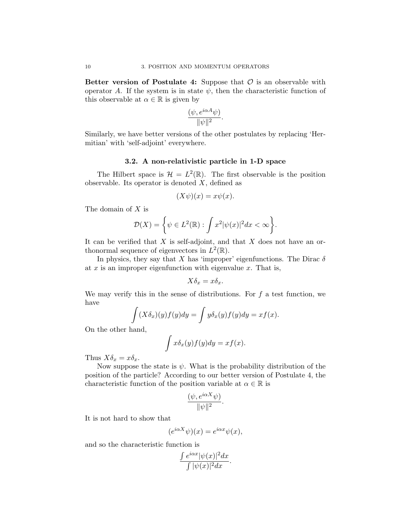Better version of Postulate 4: Suppose that  $\mathcal O$  is an observable with operator A. If the system is in state  $\psi$ , then the characteristic function of this observable at  $\alpha \in \mathbb{R}$  is given by

$$
\frac{(\psi,e^{i\alpha A}\psi)}{\|\psi\|^2}.
$$

Similarly, we have better versions of the other postulates by replacing 'Hermitian' with 'self-adjoint' everywhere.

### 3.2. A non-relativistic particle in 1-D space

The Hilbert space is  $\mathcal{H} = L^2(\mathbb{R})$ . The first observable is the position observable. Its operator is denoted  $X$ , defined as

$$
(X\psi)(x) = x\psi(x).
$$

The domain of X is

$$
\mathcal{D}(X) = \left\{ \psi \in L^2(\mathbb{R}) : \int x^2 |\psi(x)|^2 dx < \infty \right\}.
$$

It can be verified that  $X$  is self-adjoint, and that  $X$  does not have an orthonormal sequence of eigenvectors in  $L^2(\mathbb{R})$ .

In physics, they say that X has 'improper' eigenfunctions. The Dirac  $\delta$ at  $x$  is an improper eigenfunction with eigenvalue  $x$ . That is,

$$
X\delta_x = x\delta_x.
$$

We may verify this in the sense of distributions. For  $f$  a test function, we have

$$
\int (X\delta_x)(y)f(y)dy = \int y\delta_x(y)f(y)dy = xf(x).
$$

On the other hand,

$$
\int x \delta_x(y) f(y) dy = x f(x).
$$

Thus  $X\delta_x = x\delta_x$ .

Now suppose the state is  $\psi$ . What is the probability distribution of the position of the particle? According to our better version of Postulate 4, the characteristic function of the position variable at  $\alpha \in \mathbb{R}$  is

$$
\frac{(\psi, e^{i\alpha X}\psi)}{\|\psi\|^2}.
$$

It is not hard to show that

$$
(e^{i\alpha X}\psi)(x) = e^{i\alpha x}\psi(x),
$$

and so the characteristic function is

$$
\frac{\int e^{i\alpha x} |\psi(x)|^2 dx}{\int |\psi(x)|^2 dx}.
$$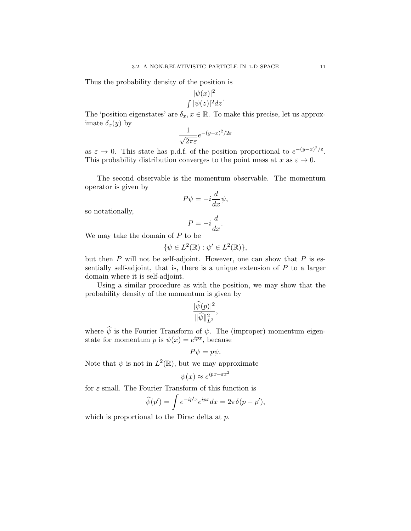Thus the probability density of the position is

$$
\frac{|\psi(x)|^2}{\int |\psi(z)|^2 dz}.
$$

The 'position eigenstates' are  $\delta_x, x \in \mathbb{R}$ . To make this precise, let us approximate  $\delta_x(y)$  by

$$
\frac{1}{\sqrt{2\pi\varepsilon}}e^{-(y-x)^2/2\varepsilon}
$$

as  $\varepsilon \to 0$ . This state has p.d.f. of the position proportional to  $e^{-(y-x)^2/\varepsilon}$ . This probability distribution converges to the point mass at  $x$  as  $\varepsilon \to 0$ .

The second observable is the momentum observable. The momentum operator is given by

$$
P\psi = -i\frac{d}{dx}\psi,
$$

so notationally,

$$
P = -i\frac{d}{dx}.
$$

We may take the domain of  $P$  to be

$$
\{\psi \in L^2(\mathbb{R}) : \psi' \in L^2(\mathbb{R})\},\
$$

but then  $P$  will not be self-adjoint. However, one can show that  $P$  is essentially self-adjoint, that is, there is a unique extension of  $P$  to a larger domain where it is self-adjoint.

Using a similar procedure as with the position, we may show that the probability density of the momentum is given by

$$
\frac{|\widehat{\psi}(p)|^2}{\|\widehat{\psi}\|_{L^2}^2},
$$

where  $\hat{\psi}$  is the Fourier Transform of  $\psi$ . The (improper) momentum eigenstate for momentum p is  $\psi(x) = e^{ipx}$ , because

$$
P\psi = p\psi.
$$

Note that  $\psi$  is not in  $L^2(\mathbb{R})$ , but we may approximate

$$
\psi(x) \approx e^{ipx - \varepsilon x^2}
$$

for  $\varepsilon$  small. The Fourier Transform of this function is

$$
\widehat{\psi}(p') = \int e^{-ip'x} e^{ipx} dx = 2\pi \delta(p - p'),
$$

which is proportional to the Dirac delta at p.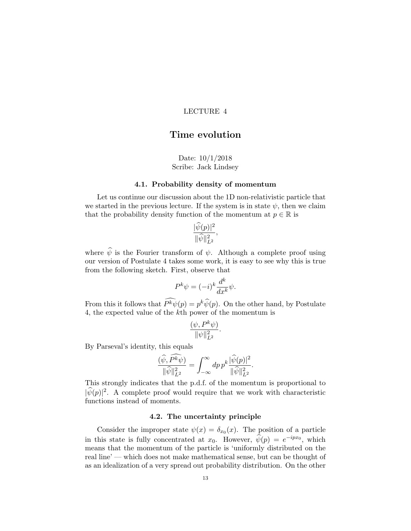# <span id="page-16-0"></span>Time evolution

Date: 10/1/2018 Scribe: Jack Lindsey

# 4.1. Probability density of momentum

Let us continue our discussion about the 1D non-relativistic particle that we started in the previous lecture. If the system is in state  $\psi$ , then we claim that the probability density function of the momentum at  $p \in \mathbb{R}$  is

$$
\frac{|\widehat{\psi}(p)|^2}{\|\widehat{\psi}\|_{L^2}^2},
$$

where  $\hat{\psi}$  is the Fourier transform of  $\psi$ . Although a complete proof using our version of Postulate 4 takes some work, it is easy to see why this is true from the following sketch. First, observe that

$$
P^k \psi = (-i)^k \frac{d^k}{dx^k} \psi.
$$

From this it follows that  $P^k \psi(p) = p^k \hat{\psi}(p)$ . On the other hand, by Postulate 4, the expected value of the kth power of the momentum is

$$
\frac{(\psi, P^k \psi)}{\|\psi\|_{L^2}^2}.
$$

By Parseval's identity, this equals

$$
\frac{(\widehat{\psi}, P^k \widehat{\psi})}{\|\widehat{\psi}\|_{L^2}^2} = \int_{-\infty}^{\infty} dp \, p^k \frac{|\widehat{\psi}(p)|^2}{\|\widehat{\psi}\|_{L^2}^2}.
$$

This strongly indicates that the p.d.f. of the momentum is proportional to  $|\hat{\psi}(p)|^2$ . A complete proof would require that we work with characteristic functions instead of moments.

# 4.2. The uncertainty principle

Consider the improper state  $\psi(x) = \delta_{x_0}(x)$ . The position of a particle in this state is fully concentrated at  $x_0$ . However,  $\hat{\psi}(p) = e^{-ipx_0}$ , which means that the momentum of the particle is 'uniformly distributed on the real line' — which does not make mathematical sense, but can be thought of as an idealization of a very spread out probability distribution. On the other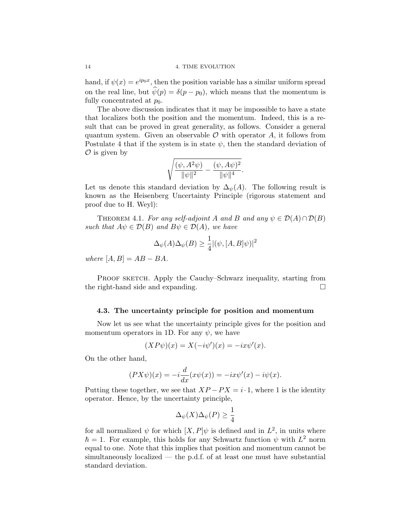hand, if  $\psi(x) = e^{ip_0 x}$ , then the position variable has a similar uniform spread on the real line, but  $\hat{\psi}(p) = \delta(p - p_0)$ , which means that the momentum is fully concentrated at  $p_0$ .

The above discussion indicates that it may be impossible to have a state that localizes both the position and the momentum. Indeed, this is a result that can be proved in great generality, as follows. Consider a general quantum system. Given an observable  $\mathcal O$  with operator  $A$ , it follows from Postulate 4 that if the system is in state  $\psi$ , then the standard deviation of  $\mathcal O$  is given by

$$
\sqrt{\frac{(\psi,A^2\psi)}{\|\psi\|^2}-\frac{(\psi,A\psi)^2}{\|\psi\|^4}}.
$$

Let us denote this standard deviation by  $\Delta_{\psi}(A)$ . The following result is known as the Heisenberg Uncertainty Principle (rigorous statement and proof due to H. Weyl):

THEOREM 4.1. For any self-adjoint A and B and any  $\psi \in \mathcal{D}(A) \cap \mathcal{D}(B)$ such that  $A\psi \in \mathcal{D}(B)$  and  $B\psi \in \mathcal{D}(A)$ , we have

$$
\Delta_{\psi}(A)\Delta_{\psi}(B) \ge \frac{1}{4} |(\psi, [A, B]\psi)|^2
$$

where  $[A, B] = AB - BA$ .

PROOF SKETCH. Apply the Cauchy–Schwarz inequality, starting from the right-hand side and expanding.

#### 4.3. The uncertainty principle for position and momentum

Now let us see what the uncertainty principle gives for the position and momentum operators in 1D. For any  $\psi$ , we have

$$
(XP\psi)(x) = X(-i\psi')(x) = -ix\psi'(x).
$$

On the other hand,

$$
(PX\psi)(x) = -i\frac{d}{dx}(x\psi(x)) = -ix\psi'(x) - i\psi(x).
$$

Putting these together, we see that  $XP - PX = i \cdot 1$ , where 1 is the identity operator. Hence, by the uncertainty principle,

$$
\Delta_{\psi}(X)\Delta_{\psi}(P) \ge \frac{1}{4}
$$

for all normalized  $\psi$  for which  $[X, P]\psi$  is defined and in  $L^2$ , in units where  $\hbar = 1$ . For example, this holds for any Schwartz function  $\psi$  with  $L^2$  norm equal to one. Note that this implies that position and momentum cannot be simultaneously localized — the p.d.f. of at least one must have substantial standard deviation.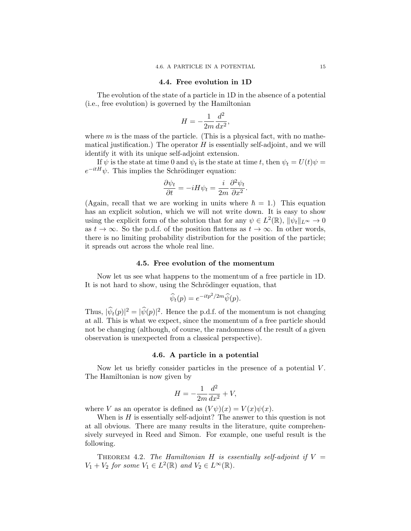#### 4.4. Free evolution in 1D

The evolution of the state of a particle in 1D in the absence of a potential (i.e., free evolution) is governed by the Hamiltonian

$$
H = -\frac{1}{2m}\frac{d^2}{dx^2},
$$

where  $m$  is the mass of the particle. (This is a physical fact, with no mathematical justification.) The operator  $H$  is essentially self-adjoint, and we will identify it with its unique self-adjoint extension.

If  $\psi$  is the state at time 0 and  $\psi_t$  is the state at time t, then  $\psi_t = U(t)\psi =$  $e^{-itH}\psi$ . This implies the Schrödinger equation:

$$
\frac{\partial \psi_t}{\partial t} = -iH\psi_t = \frac{i}{2m} \frac{\partial^2 \psi_t}{\partial x^2}.
$$

(Again, recall that we are working in units where  $\hbar = 1$ .) This equation has an explicit solution, which we will not write down. It is easy to show using the explicit form of the solution that for any  $\psi \in L^2(\mathbb{R})$ ,  $\|\psi_t\|_{L^\infty} \to 0$ as  $t \to \infty$ . So the p.d.f. of the position flattens as  $t \to \infty$ . In other words, there is no limiting probability distribution for the position of the particle; it spreads out across the whole real line.

#### 4.5. Free evolution of the momentum

Now let us see what happens to the momentum of a free particle in 1D. It is not hard to show, using the Schrödinger equation, that

$$
\widehat{\psi}_t(p) = e^{-itp^2/2m} \widehat{\psi}(p).
$$

Thus,  $|\hat{\psi}_t(p)|^2 = |\hat{\psi}(p)|^2$ . Hence the p.d.f. of the momentum is not changing at all. This is what we expect, since the momentum of a free particle should not be changing (although, of course, the randomness of the result of a given observation is unexpected from a classical perspective).

#### 4.6. A particle in a potential

Now let us briefly consider particles in the presence of a potential V. The Hamiltonian is now given by

$$
H = -\frac{1}{2m}\frac{d^2}{dx^2} + V,
$$

where V as an operator is defined as  $(V\psi)(x) = V(x)\psi(x)$ .

When is  $H$  is essentially self-adjoint? The answer to this question is not at all obvious. There are many results in the literature, quite comprehensively surveyed in Reed and Simon. For example, one useful result is the following.

THEOREM 4.2. The Hamiltonian H is essentially self-adjoint if  $V =$  $V_1 + V_2$  for some  $V_1 \in L^2(\mathbb{R})$  and  $V_2 \in L^{\infty}(\mathbb{R})$ .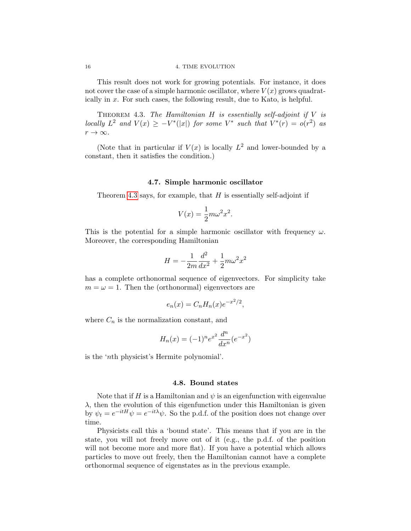#### 16 4. TIME EVOLUTION

This result does not work for growing potentials. For instance, it does not cover the case of a simple harmonic oscillator, where  $V(x)$  grows quadratically in x. For such cases, the following result, due to Kato, is helpful.

<span id="page-19-0"></span>THEOREM 4.3. The Hamiltonian  $H$  is essentially self-adjoint if  $V$  is locally  $L^2$  and  $V(x) \geq -V^*(|x|)$  for some  $V^*$  such that  $V^*(r) = o(r^2)$  as  $r \to \infty$ .

(Note that in particular if  $V(x)$  is locally  $L^2$  and lower-bounded by a constant, then it satisfies the condition.)

#### 4.7. Simple harmonic oscillator

Theorem [4.3](#page-19-0) says, for example, that  $H$  is essentially self-adjoint if

$$
V(x) = \frac{1}{2}m\omega^2 x^2.
$$

This is the potential for a simple harmonic oscillator with frequency  $\omega$ . Moreover, the corresponding Hamiltonian

$$
H = -\frac{1}{2m}\frac{d^2}{dx^2} + \frac{1}{2}m\omega^2 x^2
$$

has a complete orthonormal sequence of eigenvectors. For simplicity take  $m = \omega = 1$ . Then the (orthonormal) eigenvectors are

$$
e_n(x) = C_n H_n(x) e^{-x^2/2},
$$

where  $C_n$  is the normalization constant, and

$$
H_n(x) = (-1)^n e^{x^2} \frac{d^n}{dx^n} (e^{-x^2})
$$

is the 'nth physicist's Hermite polynomial'.

### 4.8. Bound states

Note that if H is a Hamiltonian and  $\psi$  is an eigenfunction with eigenvalue  $\lambda$ , then the evolution of this eigenfunction under this Hamiltonian is given by  $\psi_t = e^{-itH}\psi = e^{-it\lambda}\psi$ . So the p.d.f. of the position does not change over time.

Physicists call this a 'bound state'. This means that if you are in the state, you will not freely move out of it (e.g., the p.d.f. of the position will not become more and more flat). If you have a potential which allows particles to move out freely, then the Hamiltonian cannot have a complete orthonormal sequence of eigenstates as in the previous example.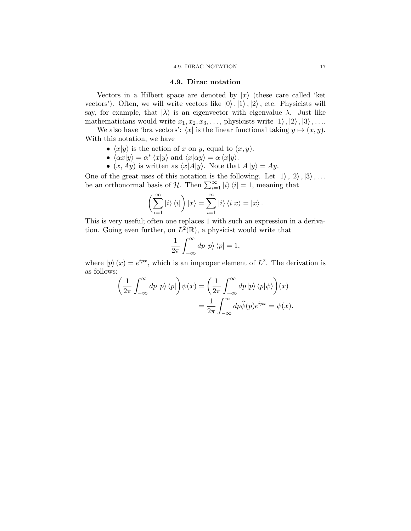#### 4.9. DIRAC NOTATION 17

#### 4.9. Dirac notation

Vectors in a Hilbert space are denoted by  $|x\rangle$  (these care called 'ket vectors'). Often, we will write vectors like  $|0\rangle, |1\rangle, |2\rangle$ , etc. Physicists will say, for example, that  $|\lambda\rangle$  is an eigenvector with eigenvalue  $\lambda$ . Just like mathematicians would write  $x_1, x_2, x_3, \ldots$ , physicists write  $|1\rangle, |2\rangle, |3\rangle, \ldots$ 

We also have 'bra vectors':  $\langle x |$  is the linear functional taking  $y \mapsto (x, y)$ . With this notation, we have

- $\langle x|y\rangle$  is the action of x on y, equal to  $(x, y)$ .
- $\langle \alpha x | y \rangle = \alpha^* \langle x | y \rangle$  and  $\langle x | \alpha y \rangle = \alpha \langle x | y \rangle$ .
- $(x, Ay)$  is written as  $\langle x|A|y\rangle$ . Note that  $A |y\rangle = Ay$ .

One of the great uses of this notation is the following. Let  $|1\rangle, |2\rangle, |3\rangle, \ldots$ be an orthonormal basis of H. Then  $\sum_{i=1}^{\infty} |i\rangle \langle i| = 1$ , meaning that

$$
\left(\sum_{i=1}^{\infty} |i\rangle\langle i| \right) |x\rangle = \sum_{i=1}^{\infty} |i\rangle\langle i| x\rangle = |x\rangle.
$$

This is very useful; often one replaces 1 with such an expression in a derivation. Going even further, on  $L^2(\mathbb{R})$ , a physicist would write that

$$
\frac{1}{2\pi} \int_{-\infty}^{\infty} dp \, |p\rangle \, \langle p| = 1,
$$

where  $|p\rangle(x) = e^{ipx}$ , which is an improper element of  $L^2$ . The derivation is as follows:

$$
\left(\frac{1}{2\pi} \int_{-\infty}^{\infty} dp \, |p\rangle \, \langle p| \right) \psi(x) = \left(\frac{1}{2\pi} \int_{-\infty}^{\infty} dp \, |p\rangle \, \langle p| \psi \rangle \right)(x)
$$

$$
= \frac{1}{2\pi} \int_{-\infty}^{\infty} dp \hat{\psi}(p) e^{ipx} = \psi(x).
$$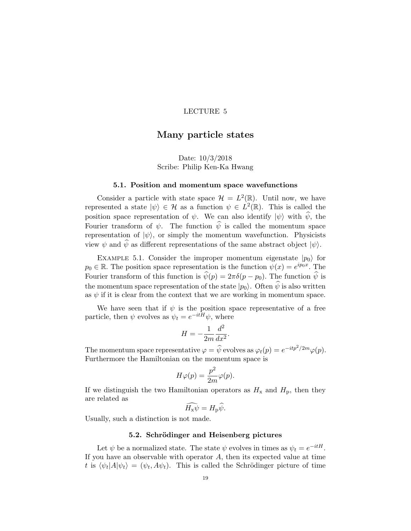# <span id="page-22-0"></span>Many particle states

# Date: 10/3/2018 Scribe: Philip Ken-Ka Hwang

#### 5.1. Position and momentum space wavefunctions

Consider a particle with state space  $\mathcal{H} = L^2(\mathbb{R})$ . Until now, we have represented a state  $|\psi\rangle \in \mathcal{H}$  as a function  $\psi \in L^2(\mathbb{R})$ . This is called the position space representation of  $\psi$ . We can also identify  $|\psi\rangle$  with  $\hat{\psi}$ , the Fourier transform of  $\psi$ . The function  $\hat{\psi}$  is called the momentum space representation of  $|\psi\rangle$ , or simply the momentum wavefunction. Physicists view  $\psi$  and  $\hat{\psi}$  as different representations of the same abstract object  $|\psi\rangle$ .

EXAMPLE 5.1. Consider the improper momentum eigenstate  $|p_0\rangle$  for  $p_0 \in \mathbb{R}$ . The position space representation is the function  $\psi(x) = e^{ip_0 x}$ . The Fourier transform of this function is  $\hat{\psi}(p) = 2\pi\delta(p - p_0)$ . The function  $\hat{\psi}$  is the momentum space representation of the state  $|p_0\rangle$ . Often  $\hat{\psi}$  is also written as  $\psi$  if it is clear from the context that we are working in momentum space.

We have seen that if  $\psi$  is the position space representative of a free particle, then  $\psi$  evolves as  $\psi_t = e^{-itH}\psi$ , where

$$
H = -\frac{1}{2m} \frac{d^2}{dx^2}.
$$

The momentum space representative  $\varphi = \widehat{\psi}$  evolves as  $\varphi_t(p) = e^{-itp^2/2m}\varphi(p)$ . Furthermore the Hamiltonian on the momentum space is

$$
H\varphi(p) = \frac{p^2}{2m}\varphi(p).
$$

If we distinguish the two Hamiltonian operators as  $H_x$  and  $H_p$ , then they are related as

$$
\widehat{H_{\mathbf{x}}\psi}=H_{\mathbf{p}}\widehat{\psi}.
$$

Usually, such a distinction is not made.

# 5.2. Schrödinger and Heisenberg pictures

Let  $\psi$  be a normalized state. The state  $\psi$  evolves in times as  $\psi_t = e^{-itH}$ . If you have an observable with operator  $A$ , then its expected value at time t is  $\langle \psi_t | A | \psi_t \rangle = (\psi_t, A \psi_t)$ . This is called the Schrödinger picture of time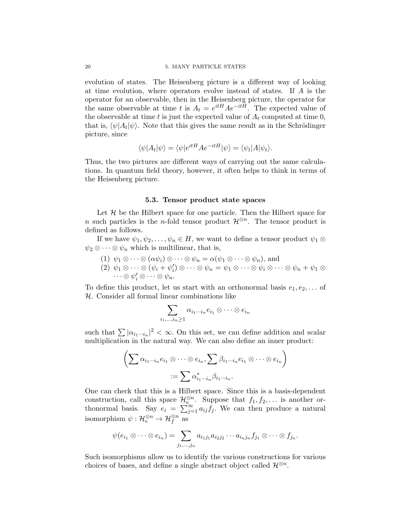#### 20 5. MANY PARTICLE STATES

evolution of states. The Heisenberg picture is a different way of looking at time evolution, where operators evolve instead of states. If A is the operator for an observable, then in the Heisenberg picture, the operator for the same observable at time t is  $A_t = e^{itH} A e^{-itH}$ . The expected value of the observable at time t is just the expected value of  $A_t$  computed at time 0, that is,  $\langle \psi | A_t | \psi \rangle$ . Note that this gives the same result as in the Schrödinger picture, since

$$
\langle \psi | A_t | \psi \rangle = \langle \psi | e^{itH} A e^{-itH} | \psi \rangle = \langle \psi_t | A | \psi_t \rangle.
$$

Thus, the two pictures are different ways of carrying out the same calculations. In quantum field theory, however, it often helps to think in terms of the Heisenberg picture.

#### 5.3. Tensor product state spaces

Let  $H$  be the Hilbert space for one particle. Then the Hilbert space for n such particles is the n-fold tensor product  $\mathcal{H}^{\otimes n}$ . The tensor product is defined as follows.

If we have  $\psi_1, \psi_2, \ldots, \psi_n \in H$ , we want to define a tensor product  $\psi_1 \otimes$  $\psi_2 \otimes \cdots \otimes \psi_n$  which is multilinear, that is,

(1) 
$$
\psi_1 \otimes \cdots \otimes (\alpha \psi_i) \otimes \cdots \otimes \psi_n = \alpha(\psi_1 \otimes \cdots \otimes \psi_n)
$$
, and

(2)  $\psi_1 \otimes \cdots \otimes (\psi_i + \psi'_i) \otimes \cdots \otimes \psi_n = \psi_1 \otimes \cdots \otimes \psi_i \otimes \cdots \otimes \psi_n + \psi_1 \otimes \cdots$  $\cdots \otimes \psi'_i \otimes \cdots \otimes \psi_n.$ 

To define this product, let us start with an orthonormal basis  $e_1, e_2, \ldots$  of H. Consider all formal linear combinations like

$$
\sum_{i_1,...,i_n\geq 1}\alpha_{i_1\cdots i_n}e_{i_1}\otimes\cdots\otimes e_{i_n}
$$

such that  $\sum |\alpha_{i_1\cdots i_n}|^2 < \infty$ . On this set, we can define addition and scalar multiplication in the natural way. We can also define an inner product:

$$
\left(\sum \alpha_{i_1\cdots i_n} e_{i_1} \otimes \cdots \otimes e_{i_n}, \sum \beta_{i_1\cdots i_n} e_{i_1} \otimes \cdots \otimes e_{i_n}\right)
$$

$$
:= \sum \alpha_{i_1\cdots i_n}^* \beta_{i_1\cdots i_n}.
$$

One can check that this is a Hilbert space. Since this is a basis-dependent construction, call this space  $\mathcal{H}_{e}^{\otimes n}$ . Suppose that  $f_1, f_2, \ldots$  is another orthonormal basis. Say  $e_i = \sum_{j=1}^{\infty} a_{ij} f_j$ . We can then produce a natural isomorphism  $\psi: \mathcal{H}_e^{\otimes n} \to \mathcal{H}_f^{\otimes n}$  as

$$
\psi(e_{i_1}\otimes \cdots \otimes e_{i_n})=\sum_{j_1,\ldots,j_n} a_{i_1j_1}a_{i_2j_2}\cdots a_{i_nj_n}f_{j_1}\otimes \cdots \otimes f_{j_n}.
$$

Such isomorphisms allow us to identify the various constructions for various choices of bases, and define a single abstract object called  $\mathcal{H}^{\otimes n}$ .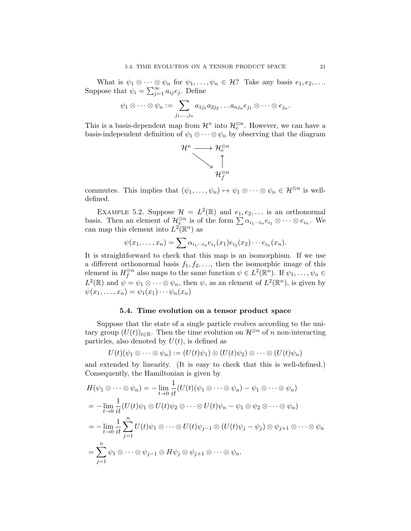What is  $\psi_1 \otimes \cdots \otimes \psi_n$  for  $\psi_1, \ldots, \psi_n \in \mathcal{H}$ ? Take any basis  $e_1, e_2, \ldots$ Suppose that  $\psi_i = \sum_{j=1}^{\infty} a_{ij} e_j$ . Define

$$
\psi_1 \otimes \cdots \otimes \psi_n := \sum_{j_1,\ldots,j_n} a_{1j_1} a_{2j_2} \ldots a_{nj_n} e_{j_1} \otimes \cdots \otimes e_{j_n}.
$$

This is a basis-dependent map from  $\mathcal{H}^n$  into  $\mathcal{H}_e^{\otimes n}$ . However, we can have a basis-independent definition of  $\psi_1 \otimes \cdots \otimes \psi_n$  by observing that the diagram



commutes. This implies that  $(\psi_1, \ldots, \psi_n) \mapsto \psi_1 \otimes \cdots \otimes \psi_n \in \mathcal{H}^{\otimes n}$  is welldefined.

EXAMPLE 5.2. Suppose  $\mathcal{H} = L^2(\mathbb{R})$  and  $e_1, e_2, \ldots$  is an orthonormal basis. Then an element of  $\mathcal{H}^{\otimes n}_{e_1}$  is of the form  $\sum \alpha_{i_1\cdots i_n} e_{i_1} \otimes \cdots \otimes e_{i_n}$ . We can map this element into  $L^2(\mathbb{R}^n)$  as

$$
\psi(x_1,\ldots,x_n)=\sum \alpha_{i_1\cdots i_n}e_{i_1}(x_1)e_{i_2}(x_2)\cdots e_{i_n}(x_n).
$$

It is straightforward to check that this map is an isomorphism. If we use a different orthonormal basis  $f_1, f_2, \ldots$ , then the isomorphic image of this element in  $H_f^{\otimes n}$  $\mathcal{L}^n_f$  also maps to the same function  $\psi \in L^2(\mathbb{R}^n)$ . If  $\psi_1, \ldots, \psi_n \in$  $L^2(\mathbb{R})$  and  $\psi = \psi_1 \otimes \cdots \otimes \psi_n$ , then  $\psi$ , as an element of  $L^2(\mathbb{R}^n)$ , is given by  $\psi(x_1,\ldots,x_n)=\psi_1(x_1)\cdots\psi_n(x_n)$ 

### 5.4. Time evolution on a tensor product space

Suppose that the state of a single particle evolves according to the unitary group  $(U(t))_{t\in\mathbb{R}}$ . Then the time evolution on  $\mathcal{H}^{\otimes n}$  of n non-interacting particles, also denoted by  $U(t)$ , is defined as

$$
U(t)(\psi_1 \otimes \cdots \otimes \psi_n) := (U(t)\psi_1) \otimes (U(t)\psi_2) \otimes \cdots \otimes (U(t)\psi_n)
$$

and extended by linearity. (It is easy to check that this is well-defined.) Consequently, the Hamiltonian is given by

$$
H(\psi_1 \otimes \cdots \otimes \psi_n) = -\lim_{t \to 0} \frac{1}{it} (U(t)(\psi_1 \otimes \cdots \otimes \psi_n) - \psi_1 \otimes \cdots \otimes \psi_n)
$$
  
= 
$$
-\lim_{t \to 0} \frac{1}{it} (U(t)\psi_1 \otimes U(t)\psi_2 \otimes \cdots \otimes U(t)\psi_n - \psi_1 \otimes \psi_2 \otimes \cdots \otimes \psi_n)
$$
  
= 
$$
-\lim_{t \to 0} \frac{1}{it} \sum_{j=1}^n U(t)\psi_1 \otimes \cdots \otimes U(t)\psi_{j-1} \otimes (U(t)\psi_j - \psi_j) \otimes \psi_{j+1} \otimes \cdots \otimes \psi_n
$$
  
= 
$$
\sum_{j=1}^n \psi_1 \otimes \cdots \otimes \psi_{j-1} \otimes H\psi_j \otimes \psi_{j+1} \otimes \cdots \otimes \psi_n.
$$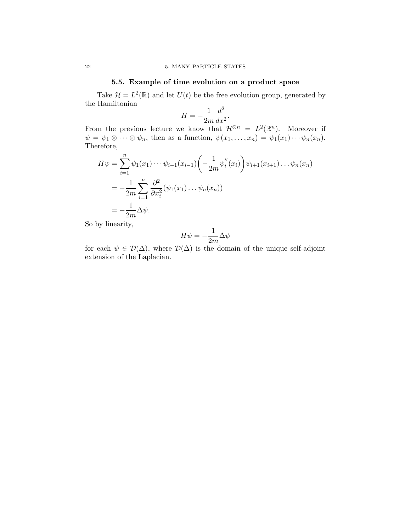# 5.5. Example of time evolution on a product space

Take  $\mathcal{H} = L^2(\mathbb{R})$  and let  $U(t)$  be the free evolution group, generated by the Hamiltonian

$$
H = -\frac{1}{2m} \frac{d^2}{dx^2}.
$$

From the previous lecture we know that  $\mathcal{H}^{\otimes n} = L^2(\mathbb{R}^n)$ . Moreover if  $\psi = \psi_1 \otimes \cdots \otimes \psi_n$ , then as a function,  $\psi(x_1, \ldots, x_n) = \psi_1(x_1) \cdots \psi_n(x_n)$ . Therefore,

$$
H\psi = \sum_{i=1}^{n} \psi_1(x_1) \cdots \psi_{i-1}(x_{i-1}) \left( -\frac{1}{2m} \psi_i''(x_i) \right) \psi_{i+1}(x_{i+1}) \cdots \psi_n(x_n)
$$
  
= 
$$
-\frac{1}{2m} \sum_{i=1}^{n} \frac{\partial^2}{\partial x_i^2} (\psi_1(x_1) \cdots \psi_n(x_n))
$$
  
= 
$$
-\frac{1}{2m} \Delta \psi.
$$

So by linearity,

$$
H\psi=-\frac{1}{2m}\Delta\psi
$$

for each  $\psi \in \mathcal{D}(\Delta)$ , where  $\mathcal{D}(\Delta)$  is the domain of the unique self-adjoint extension of the Laplacian.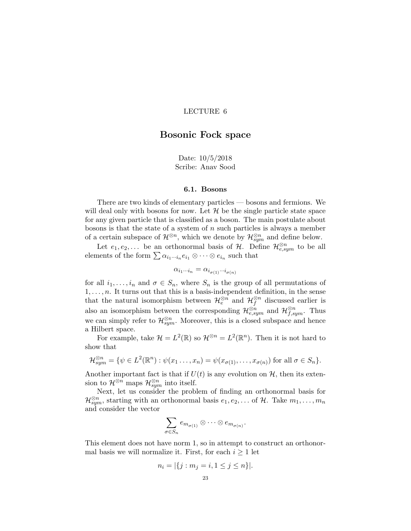# <span id="page-26-0"></span>Bosonic Fock space

Date: 10/5/2018 Scribe: Anav Sood

#### 6.1. Bosons

There are two kinds of elementary particles — bosons and fermions. We will deal only with bosons for now. Let  $\mathcal H$  be the single particle state space for any given particle that is classified as a boson. The main postulate about bosons is that the state of a system of  $n$  such particles is always a member of a certain subspace of  $\mathcal{H}^{\otimes n}$ , which we denote by  $\mathcal{H}_{sym}^{\otimes n}$  and define below.

Let  $e_1, e_2, \ldots$  be an orthonormal basis of  $\mathcal{H}$ . Define  $\mathcal{H}^{\otimes n}_{e,sym}$  to be all elements of the form  $\sum \alpha_{i_1\cdots i_n} e_{i_1} \otimes \cdots \otimes e_{i_n}$  such that

$$
\alpha_{i_1\cdots i_n} = \alpha_{i_{\sigma(1)}\cdots i_{\sigma(n)}}
$$

for all  $i_1, \ldots, i_n$  and  $\sigma \in S_n$ , where  $S_n$  is the group of all permutations of  $1, \ldots, n$ . It turns out that this is a basis-independent definition, in the sense that the natural isomorphism between  $\mathcal{H}^{\otimes n}_{e}$  and  $\mathcal{H}^{\otimes n}_{f}$  discussed earlier is also an isomorphism between the corresponding  $\mathcal{H}_{e,sym}^{\otimes n}$  and  $\mathcal{H}_{f,sym}^{\otimes n}$ . Thus we can simply refer to  $\mathcal{H}_{sym}^{\otimes n}$ . Moreover, this is a closed subspace and hence a Hilbert space.

For example, take  $\mathcal{H} = L^2(\mathbb{R})$  so  $\mathcal{H}^{\otimes n} = L^2(\mathbb{R}^n)$ . Then it is not hard to show that

$$
\mathcal{H}_{sym}^{\otimes n} = \{ \psi \in L^{2}(\mathbb{R}^{n}) : \psi(x_{1} \ldots, x_{n}) = \psi(x_{\sigma(1)}, \ldots, x_{\sigma(n)}) \text{ for all } \sigma \in S_{n} \}.
$$

Another important fact is that if  $U(t)$  is any evolution on  $\mathcal{H}$ , then its extension to  $\mathcal{H}^{\otimes n}_{\text{sym}}$  maps  $\mathcal{H}_{sym}^{\otimes n}$  into itself.

Next, let us consider the problem of finding an orthonormal basis for  $\mathcal{H}_{sym}^{\otimes n}$ , starting with an orthonormal basis  $e_1, e_2, \ldots$  of  $\mathcal{H}$ . Take  $m_1, \ldots, m_n$ and consider the vector

$$
\sum_{\sigma\in S_n} e_{m_{\sigma(1)}}\otimes\cdots\otimes e_{m_{\sigma(n)}}.
$$

This element does not have norm 1, so in attempt to construct an orthonormal basis we will normalize it. First, for each  $i \geq 1$  let

$$
n_i = |\{j : m_j = i, 1 \le j \le n\}|.
$$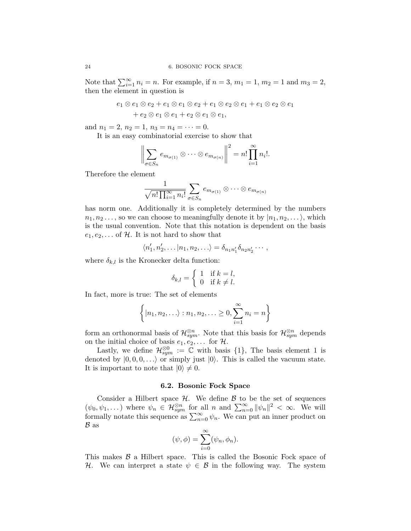Note that  $\sum_{i=1}^{\infty} n_i = n$ . For example, if  $n = 3, m_1 = 1, m_2 = 1$  and  $m_3 = 2$ , then the element in question is

$$
e_1 \otimes e_1 \otimes e_2 + e_1 \otimes e_1 \otimes e_2 + e_1 \otimes e_2 \otimes e_1 + e_1 \otimes e_2 \otimes e_1
$$
  
+ 
$$
e_2 \otimes e_1 \otimes e_1 + e_2 \otimes e_1 \otimes e_1,
$$

and  $n_1 = 2$ ,  $n_2 = 1$ ,  $n_3 = n_4 = \cdots = 0$ .

It is an easy combinatorial exercise to show that

$$
\left\|\sum_{\sigma\in S_n}e_{m_{\sigma(1)}}\otimes\cdots\otimes e_{m_{\sigma(n)}}\right\|^2=n!\prod_{i=1}^{\infty}n_i!.
$$

Therefore the element

$$
\frac{1}{\sqrt{n! \prod_{i=1}^{\infty} n_i!}} \sum_{\sigma \in S_n} e_{m_{\sigma(1)}} \otimes \cdots \otimes e_{m_{\sigma(n)}}
$$

has norm one. Additionally it is completely determined by the numbers  $n_1, n_2, \ldots$ , so we can choose to meaningfully denote it by  $|n_1, n_2, \ldots\rangle$ , which is the usual convention. Note that this notation is dependent on the basis  $e_1, e_2, \ldots$  of H. It is not hard to show that

$$
\langle n'_1, n'_2, \dots | n_1, n_2, \dots \rangle = \delta_{n_1 n'_1} \delta_{n_2 n'_2} \cdots,
$$

where  $\delta_{k,l}$  is the Kronecker delta function:

$$
\delta_{k,l} = \begin{cases} 1 & \text{if } k = l, \\ 0 & \text{if } k \neq l. \end{cases}
$$

In fact, more is true: The set of elements

$$
\left\{ |n_1, n_2, \ldots \rangle : n_1, n_2, \ldots \ge 0, \sum_{i=1}^{\infty} n_i = n \right\}
$$

form an orthonormal basis of  $\mathcal{H}_{sym}^{\otimes n}$ . Note that this basis for  $\mathcal{H}_{sym}^{\otimes n}$  depends on the initial choice of basis  $e_1, e_2, \ldots$  for  $\mathcal{H}$ .

Lastly, we define  $\mathcal{H}^{\otimes 0}_{sym} := \mathbb{C}$  with basis {1}, The basis element 1 is denoted by  $|0, 0, 0, \ldots\rangle$  or simply just  $|0\rangle$ . This is called the vacuum state. It is important to note that  $|0\rangle \neq 0$ .

#### 6.2. Bosonic Fock Space

Consider a Hilbert space  $H$ . We define  $B$  to be the set of sequences  $(\psi_0, \psi_1, \dots)$  where  $\psi_n \in \mathcal{H}_{sym}^{\otimes n}$  for all n and  $\sum_{n=0}^{\infty} ||\psi_n||^2 < \infty$ . We will formally notate this sequence as  $\sum_{n=0}^{\infty} \psi_n$ . We can put an inner product on  $B$  as

$$
(\psi, \phi) = \sum_{i=0}^{\infty} (\psi_n, \phi_n).
$$

This makes  $\beta$  a Hilbert space. This is called the Bosonic Fock space of H. We can interpret a state  $\psi \in \mathcal{B}$  in the following way. The system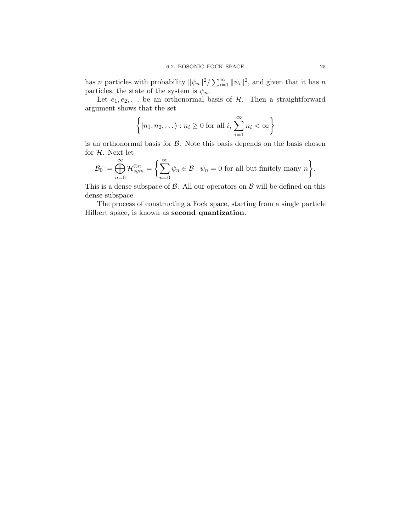has n particles with probability  $\|\psi_n\|^2 / \sum_{i=1}^{\infty} \|\psi_i\|^2$ , and given that it has n particles, the state of the system is  $\psi_n$ .

Let  $e_1, e_2, \ldots$  be an orthonormal basis of  $H$ . Then a straightforward argument shows that the set

$$
\left\{ |n_1, n_2, \dots \rangle : n_i \ge 0 \text{ for all } i, \sum_{i=1}^{\infty} n_i < \infty \right\}
$$

is an orthonormal basis for  $\beta$ . Note this basis depends on the basis chosen for  $H$ . Next let

$$
\mathcal{B}_0 := \bigoplus_{n=0}^{\infty} \mathcal{H}_{sym}^{\otimes n} = \left\{ \sum_{n=0}^{\infty} \psi_n \in \mathcal{B} : \psi_n = 0 \text{ for all but finitely many } n \right\}.
$$

This is a dense subspace of  $\beta$ . All our operators on  $\beta$  will be defined on this dense subspace.

The process of constructing a Fock space, starting from a single particle Hilbert space, is known as second quantization.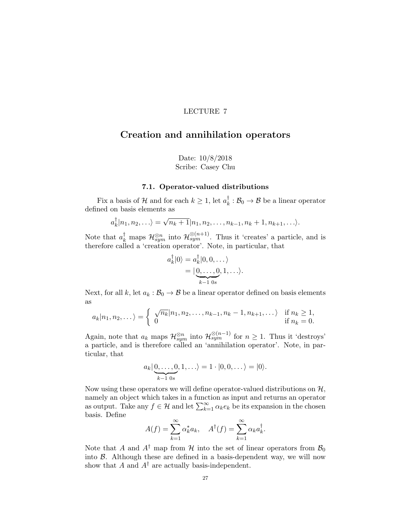# <span id="page-30-0"></span>Creation and annihilation operators

Date: 10/8/2018 Scribe: Casey Chu

### 7.1. Operator-valued distributions

Fix a basis of  $\mathcal{H}$  and for each  $k \geq 1$ , let  $a_k^{\dagger}$  $\frac{1}{k}: \mathcal{B}_0 \to \mathcal{B}$  be a linear operator defined on basis elements as

$$
a_k^{\dagger}|n_1,n_2,\ldots\rangle=\sqrt{n_k+1}|n_1,n_2,\ldots,n_{k-1},n_k+1,n_{k+1},\ldots\rangle.
$$

Note that  $a_k^{\dagger}$  maps  $\mathcal{H}_{sym}^{\otimes n}$  into  $\mathcal{H}_{sym}^{\otimes (n+1)}$ . Thus it 'creates' a particle, and is therefore called a 'creation operator'. Note, in particular, that

$$
a_k^{\dagger} |0\rangle = a_k^{\dagger} |0, 0, \dots \rangle
$$
  
= 
$$
|\underbrace{0, \dots, 0}_{k-1} , 1, \dots \rangle.
$$

Next, for all k, let  $a_k : \mathcal{B}_0 \to \mathcal{B}$  be a linear operator defined on basis elements as

$$
a_k|n_1, n_2, \dots\rangle = \begin{cases} \sqrt{n_k}|n_1, n_2, \dots, n_{k-1}, n_k - 1, n_{k+1}, \dots\rangle & \text{if } n_k \ge 1, \\ 0 & \text{if } n_k = 0. \end{cases}
$$

Again, note that  $a_k$  maps  $\mathcal{H}^{\otimes n}_{sym}$  into  $\mathcal{H}^{\otimes (n-1)}_{sym}$  for  $n \geq 1$ . Thus it 'destroys' a particle, and is therefore called an 'annihilation operator'. Note, in particular, that

$$
a_k | \underbrace{0, \ldots, 0}_{k-1 \text{ 0s}}, 1, \ldots \rangle = 1 \cdot |0, 0, \ldots \rangle = |0\rangle.
$$

Now using these operators we will define operator-valued distributions on  $H$ , namely an object which takes in a function as input and returns an operator as output. Take any  $f \in \mathcal{H}$  and let  $\sum_{k=1}^{\infty} \alpha_k e_k$  be its expansion in the chosen basis. Define

$$
A(f) = \sum_{k=1}^{\infty} \alpha_k^* a_k, \quad A^{\dagger}(f) = \sum_{k=1}^{\infty} \alpha_k a_k^{\dagger}.
$$

Note that A and  $A^{\dagger}$  map from H into the set of linear operators from  $\mathcal{B}_0$ into  $\beta$ . Although these are defined in a basis-dependent way, we will now show that A and  $A^{\dagger}$  are actually basis-independent.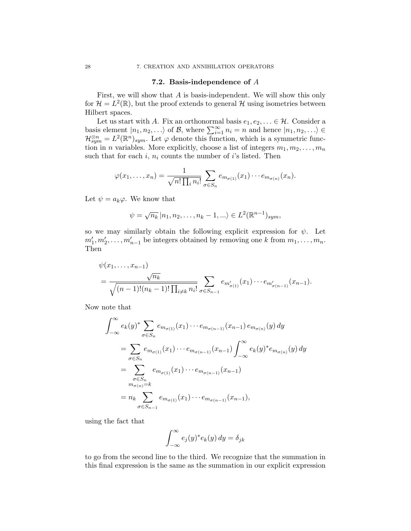#### 7.2. Basis-independence of  $A$

First, we will show that A is basis-independent. We will show this only for  $\mathcal{H} = L^2(\mathbb{R})$ , but the proof extends to general  $\mathcal{H}$  using isometries between Hilbert spaces.

Let us start with A. Fix an orthonormal basis  $e_1, e_2, \ldots \in \mathcal{H}$ . Consider a basis element  $|n_1, n_2, \ldots\rangle$  of B, where  $\sum_{i=1}^{\infty} n_i = n$  and hence  $|n_1, n_2, \ldots\rangle \in$  $\mathcal{H}_{sym}^{\otimes n} = L^2(\mathbb{R}^n)_{sym}$ . Let  $\varphi$  denote this function, which is a symmetric function in *n* variables. More explicitly, choose a list of integers  $m_1, m_2, \ldots, m_n$ such that for each i,  $n_i$  counts the number of i's listed. Then

$$
\varphi(x_1,\ldots,x_n)=\frac{1}{\sqrt{n!\prod_i n_i!}}\sum_{\sigma\in S_n}e_{m_{\sigma(1)}}(x_1)\cdots e_{m_{\sigma(n)}}(x_n).
$$

Let  $\psi = a_k \varphi$ . We know that

$$
\psi = \sqrt{n_k} |n_1, n_2, \dots, n_k - 1, \dots \rangle \in L^2(\mathbb{R}^{n-1})_{sym},
$$

so we may similarly obtain the following explicit expression for  $\psi$ . Let  $m'_1, m'_2, \ldots, m'_{n-1}$  be integers obtained by removing one k from  $m_1, \ldots, m_n$ . Then

$$
\psi(x_1,\ldots,x_{n-1})
$$
\n
$$
= \frac{\sqrt{n_k}}{\sqrt{(n-1)!(n_k-1)!\prod_{i\neq k}n_i!}} \sum_{\sigma \in S_{n-1}} e_{m'_{\sigma(1)}}(x_1)\cdots e_{m'_{\sigma(n-1)}}(x_{n-1}).
$$

Now note that

$$
\int_{-\infty}^{\infty} e_k(y)^* \sum_{\sigma \in S_n} e_{m_{\sigma(1)}}(x_1) \cdots e_{m_{\sigma(n-1)}}(x_{n-1}) e_{m_{\sigma(n)}}(y) dy
$$
  
= 
$$
\sum_{\sigma \in S_n} e_{m_{\sigma(1)}}(x_1) \cdots e_{m_{\sigma(n-1)}}(x_{n-1}) \int_{-\infty}^{\infty} e_k(y)^* e_{m_{\sigma(n)}}(y) dy
$$
  
= 
$$
\sum_{\substack{\sigma \in S_n \\ m_{\sigma(n)} = k}} e_{m_{\sigma(1)}}(x_1) \cdots e_{m_{\sigma(n-1)}}(x_{n-1})
$$
  
= 
$$
n_k \sum_{\sigma \in S_{n-1}} e_{m_{\sigma(1)}}(x_1) \cdots e_{m_{\sigma(n-1)}}(x_{n-1}),
$$

using the fact that

$$
\int_{-\infty}^{\infty} e_j(y)^* e_k(y) dy = \delta_{jk}
$$

to go from the second line to the third. We recognize that the summation in this final expression is the same as the summation in our explicit expression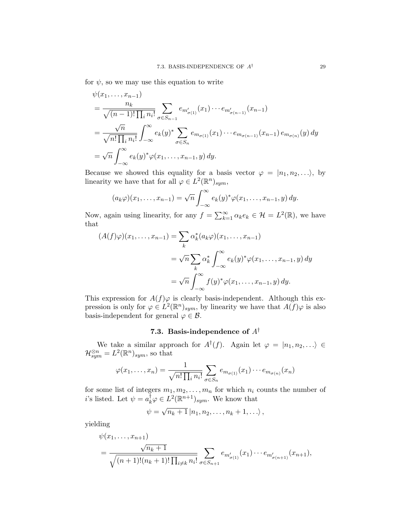for  $\psi$ , so we may use this equation to write

$$
\psi(x_1, \ldots, x_{n-1})
$$
\n
$$
= \frac{n_k}{\sqrt{(n-1)!\prod_i n_i!}} \sum_{\sigma \in S_{n-1}} e_{m'_{\sigma(1)}}(x_1) \cdots e_{m'_{\sigma(n-1)}}(x_{n-1})
$$
\n
$$
= \frac{\sqrt{n}}{\sqrt{n! \prod_i n_i!}} \int_{-\infty}^{\infty} e_k(y)^* \sum_{\sigma \in S_n} e_{m_{\sigma(1)}}(x_1) \cdots e_{m_{\sigma(n-1)}}(x_{n-1}) e_{m_{\sigma(n)}}(y) dy
$$
\n
$$
= \sqrt{n} \int_{-\infty}^{\infty} e_k(y)^* \varphi(x_1, \ldots, x_{n-1}, y) dy.
$$

Because we showed this equality for a basis vector  $\varphi = |n_1, n_2, \ldots \rangle$ , by linearity we have that for all  $\varphi \in L^2(\mathbb{R}^n)_{sym}$ ,

$$
(a_k \varphi)(x_1,\ldots,x_{n-1})=\sqrt{n}\int_{-\infty}^{\infty}e_k(y)^*\varphi(x_1,\ldots,x_{n-1},y)\,dy.
$$

Now, again using linearity, for any  $f = \sum_{k=1}^{\infty} \alpha_k e_k \in \mathcal{H} = L^2(\mathbb{R})$ , we have that

$$
(A(f)\varphi)(x_1,\ldots,x_{n-1}) = \sum_k \alpha_k^*(a_k\varphi)(x_1,\ldots,x_{n-1})
$$
  
=  $\sqrt{n} \sum_k \alpha_k^* \int_{-\infty}^{\infty} e_k(y)^* \varphi(x_1,\ldots,x_{n-1},y) dy$   
=  $\sqrt{n} \int_{-\infty}^{\infty} f(y)^* \varphi(x_1,\ldots,x_{n-1},y) dy.$ 

This expression for  $A(f)\varphi$  is clearly basis-independent. Although this expression is only for  $\varphi \in L^2(\mathbb{R}^n)_{sym}$ , by linearity we have that  $A(f)\varphi$  is also basis-independent for general  $\varphi \in \mathcal{B}$ .

# 7.3. Basis-independence of  $A^{\dagger}$

We take a similar approach for  $A^{\dagger}(f)$ . Again let  $\varphi = |n_1, n_2, \ldots \rangle \in$  $\mathcal{H}_{sym}^{\otimes n} = L^2(\mathbb{R}^n)_{sym}$ , so that

$$
\varphi(x_1,\ldots,x_n)=\frac{1}{\sqrt{n!\prod_i n_i!}}\sum_{\sigma\in S_n}e_{m_{\sigma(1)}}(x_1)\cdots e_{m_{\sigma(n)}}(x_n)
$$

for some list of integers  $m_1, m_2, \ldots, m_n$  for which  $n_i$  counts the number of *i*'s listed. Let  $\psi = a_k^{\dagger} \varphi \in L^2(\mathbb{R}^{n+1})_{sym}$ . We know that

$$
\psi = \sqrt{n_k+1} \, |n_1, n_2, \ldots, n_k+1, \ldots \rangle \,,
$$

yielding

$$
\psi(x_1,\ldots,x_{n+1})
$$
\n
$$
= \frac{\sqrt{n_k+1}}{\sqrt{(n+1)!(n_k+1)! \prod_{i\neq k} n_i!}} \sum_{\sigma \in S_{n+1}} e_{m'_{\sigma(1)}}(x_1) \cdots e_{m'_{\sigma(n+1)}}(x_{n+1}),
$$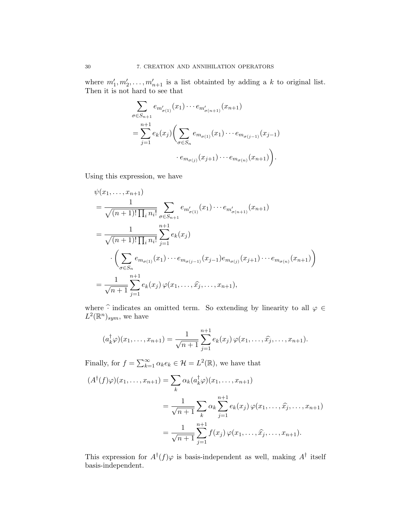where  $m'_1, m'_2, \ldots, m'_{n+1}$  is a list obtainted by adding a k to original list. Then it is not hard to see that

$$
\sum_{\sigma \in S_{n+1}} e_{m'_{\sigma(1)}}(x_1) \cdots e_{m'_{\sigma(n+1)}}(x_{n+1})
$$
  
= 
$$
\sum_{j=1}^{n+1} e_k(x_j) \Biggl( \sum_{\sigma \in S_n} e_{m_{\sigma(1)}}(x_1) \cdots e_{m_{\sigma(j-1)}}(x_{j-1})
$$
  

$$
\cdot e_{m_{\sigma(j)}}(x_{j+1}) \cdots e_{m_{\sigma(n)}}(x_{n+1}) \Biggr).
$$

Using this expression, we have

$$
\psi(x_1, \ldots, x_{n+1})
$$
\n
$$
= \frac{1}{\sqrt{(n+1)! \prod_i n_i!}} \sum_{\sigma \in S_{n+1}} e_{m'_{\sigma(1)}}(x_1) \cdots e_{m'_{\sigma(n+1)}}(x_{n+1})
$$
\n
$$
= \frac{1}{\sqrt{(n+1)! \prod_i n_i!}} \sum_{j=1}^{n+1} e_k(x_j)
$$
\n
$$
\cdot \left( \sum_{\sigma \in S_n} e_{m_{\sigma(1)}}(x_1) \cdots e_{m_{\sigma(j-1)}}(x_{j-1}) e_{m_{\sigma(j)}}(x_{j+1}) \cdots e_{m_{\sigma(n)}}(x_{n+1}) \right)
$$
\n
$$
= \frac{1}{\sqrt{n+1}} \sum_{j=1}^{n+1} e_k(x_j) \varphi(x_1, \ldots, \widehat{x_j}, \ldots, x_{n+1}),
$$

where  $\widehat{\cdot}$  indicates an omitted term. So extending by linearity to all  $\varphi$   $\in$  $L^2(\mathbb{R}^n)_{sym}$ , we have

$$
(a_k^{\dagger} \varphi)(x_1, \ldots, x_{n+1}) = \frac{1}{\sqrt{n+1}} \sum_{j=1}^{n+1} e_k(x_j) \varphi(x_1, \ldots, \hat{x_j}, \ldots, x_{n+1}).
$$

Finally, for  $f = \sum_{k=1}^{\infty} \alpha_k e_k \in \mathcal{H} = L^2(\mathbb{R})$ , we have that

$$
(A†(f)\varphi)(x_1,...,x_{n+1}) = \sum_{k} \alpha_k (a_k^{\dagger} \varphi)(x_1,...,x_{n+1})
$$
  
= 
$$
\frac{1}{\sqrt{n+1}} \sum_{k} \alpha_k \sum_{j=1}^{n+1} e_k(x_j) \varphi(x_1,...,\widehat{x_j},...,x_{n+1})
$$
  
= 
$$
\frac{1}{\sqrt{n+1}} \sum_{j=1}^{n+1} f(x_j) \varphi(x_1,...,\widehat{x_j},...,x_{n+1}).
$$

This expression for  $A^{\dagger}(f)\varphi$  is basis-independent as well, making  $A^{\dagger}$  itself basis-independent.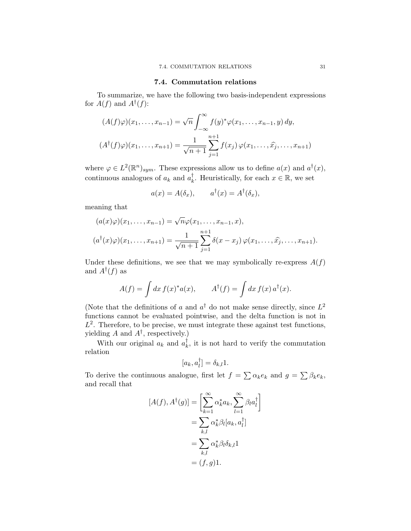# 7.4. Commutation relations

To summarize, we have the following two basis-independent expressions for  $A(f)$  and  $A^{\dagger}(f)$ :

$$
(A(f)\varphi)(x_1, \dots, x_{n-1}) = \sqrt{n} \int_{-\infty}^{\infty} f(y)^* \varphi(x_1, \dots, x_{n-1}, y) dy,
$$
  

$$
(A^{\dagger}(f)\varphi)(x_1, \dots, x_{n+1}) = \frac{1}{\sqrt{n+1}} \sum_{j=1}^{n+1} f(x_j) \varphi(x_1, \dots, \widehat{x_j}, \dots, x_{n+1})
$$

where  $\varphi \in L^2(\mathbb{R}^n)_{sym}$ . These expressions allow us to define  $a(x)$  and  $a^{\dagger}(x)$ , continuous analogues of  $a_k$  and  $a_k^{\dagger}$ <sup>†</sup><sub>k</sub>. Heuristically, for each  $x \in \mathbb{R}$ , we set

$$
a(x) = A(\delta_x), \qquad a^{\dagger}(x) = A^{\dagger}(\delta_x),
$$

meaning that

$$
(a(x)\varphi)(x_1, \dots, x_{n-1}) = \sqrt{n}\varphi(x_1, \dots, x_{n-1}, x),
$$
  

$$
(a^{\dagger}(x)\varphi)(x_1, \dots, x_{n+1}) = \frac{1}{\sqrt{n+1}} \sum_{j=1}^{n+1} \delta(x - x_j) \varphi(x_1, \dots, \widehat{x_j}, \dots, x_{n+1}).
$$

Under these definitions, we see that we may symbolically re-express  $A(f)$ and  $A^{\dagger}(f)$  as

$$
A(f) = \int dx f(x)^{*} a(x), \qquad A^{\dagger}(f) = \int dx f(x) a^{\dagger}(x).
$$

(Note that the definitions of a and  $a^{\dagger}$  do not make sense directly, since  $L^2$ functions cannot be evaluated pointwise, and the delta function is not in  $L^2$ . Therefore, to be precise, we must integrate these against test functions, yielding A and  $A^{\dagger}$ , respectively.)

With our original  $a_k$  and  $a_k^{\dagger}$  $\frac{1}{k}$ , it is not hard to verify the commutation relation

$$
[a_k, a_l^{\dagger}] = \delta_{k,l} 1.
$$

To derive the continuous analogue, first let  $f = \sum_{k} \alpha_k e_k$  and  $g = \sum_{k} \beta_k e_k$ , and recall that

$$
[A(f), A^{\dagger}(g)] = \left[\sum_{k=1}^{\infty} \alpha_k^* a_k, \sum_{l=1}^{\infty} \beta_l a_l^{\dagger}\right]
$$
  
= 
$$
\sum_{k,l} \alpha_k^* \beta_l [a_k, a_l^{\dagger}]
$$
  
= 
$$
\sum_{k,l} \alpha_k^* \beta_l \delta_{k,l} 1
$$
  
= 
$$
(f, g) 1.
$$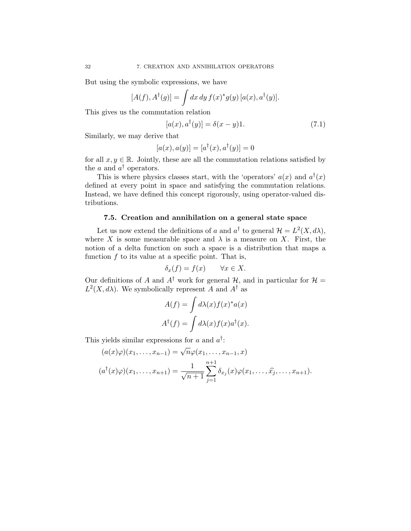But using the symbolic expressions, we have

$$
[A(f), A^{\dagger}(g)] = \int dx dy f(x)^* g(y) [a(x), a^{\dagger}(y)].
$$

This gives us the commutation relation

$$
[a(x), a^{\dagger}(y)] = \delta(x - y)1.
$$
 (7.1)

Similarly, we may derive that

$$
[a(x), a(y)] = [a^{\dagger}(x), a^{\dagger}(y)] = 0
$$

for all  $x, y \in \mathbb{R}$ . Jointly, these are all the commutation relations satisfied by the  $a$  and  $a^{\dagger}$  operators.

This is where physics classes start, with the 'operators'  $a(x)$  and  $a^{\dagger}(x)$ defined at every point in space and satisfying the commutation relations. Instead, we have defined this concept rigorously, using operator-valued distributions.

### 7.5. Creation and annihilation on a general state space

Let us now extend the definitions of a and  $a^{\dagger}$  to general  $\mathcal{H} = L^2(X, d\lambda)$ , where X is some measurable space and  $\lambda$  is a measure on X. First, the notion of a delta function on such a space is a distribution that maps a function  $f$  to its value at a specific point. That is,

$$
\delta_x(f) = f(x) \qquad \forall x \in X.
$$

Our definitions of A and  $A^{\dagger}$  work for general H, and in particular for  $\mathcal{H} =$  $L^2(X, d\lambda)$ . We symbolically represent A and  $A^{\dagger}$  as

$$
A(f) = \int d\lambda(x) f(x)^* a(x)
$$

$$
A^{\dagger}(f) = \int d\lambda(x) f(x) a^{\dagger}(x).
$$

This yields similar expressions for a and  $a^{\dagger}$ :

$$
(a(x)\varphi)(x_1, \dots, x_{n-1}) = \sqrt{n}\varphi(x_1, \dots, x_{n-1}, x)
$$

$$
(a^{\dagger}(x)\varphi)(x_1, \dots, x_{n+1}) = \frac{1}{\sqrt{n+1}} \sum_{j=1}^{n+1} \delta_{x_j}(x)\varphi(x_1, \dots, \widehat{x_j}, \dots, x_{n+1}).
$$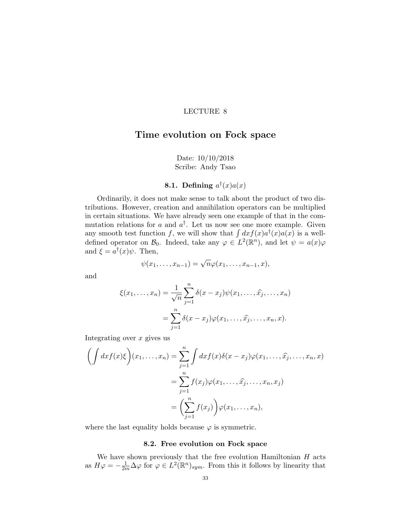# Time evolution on Fock space

## Date: 10/10/2018 Scribe: Andy Tsao

# 8.1. Defining  $a^{\dagger}(x)a(x)$

Ordinarily, it does not make sense to talk about the product of two distributions. However, creation and annihilation operators can be multiplied in certain situations. We have already seen one example of that in the commutation relations for a and  $a^{\dagger}$ . Let us now see one more example. Given any smooth test function f, we will show that  $\int dx f(x) a^{\dagger}(x) a(x)$  is a welldefined operator on  $\mathcal{B}_0$ . Indeed, take any  $\varphi \in L^2(\mathbb{R}^n)$ , and let  $\psi = a(x)\varphi$ and  $\xi = a^{\dagger}(x)\psi$ . Then,

$$
\psi(x_1,\ldots,x_{n-1})=\sqrt{n}\varphi(x_1,\ldots,x_{n-1},x),
$$

and

$$
\xi(x_1,\ldots,x_n) = \frac{1}{\sqrt{n}} \sum_{j=1}^n \delta(x-x_j) \psi(x_1,\ldots,\widehat{x_j},\ldots,x_n)
$$

$$
= \sum_{j=1}^n \delta(x-x_j) \varphi(x_1,\ldots,\widehat{x_j},\ldots,x_n,x).
$$

Integrating over  $x$  gives us

$$
\left(\int dx f(x)\xi\right)(x_1,\ldots,x_n) = \sum_{j=1}^n \int dx f(x)\delta(x-x_j)\varphi(x_1,\ldots,\widehat{x_j},\ldots,x_n,x)
$$

$$
= \sum_{j=1}^n f(x_j)\varphi(x_1,\ldots,\widehat{x_j},\ldots,x_n,x_j)
$$

$$
= \left(\sum_{j=1}^n f(x_j)\right)\varphi(x_1,\ldots,x_n),
$$

where the last equality holds because  $\varphi$  is symmetric.

# 8.2. Free evolution on Fock space

We have shown previously that the free evolution Hamiltonian  $H$  acts as  $H\varphi = -\frac{1}{2m}\Delta\varphi$  for  $\varphi \in L^2(\mathbb{R}^n)_{sym}$ . From this it follows by linearity that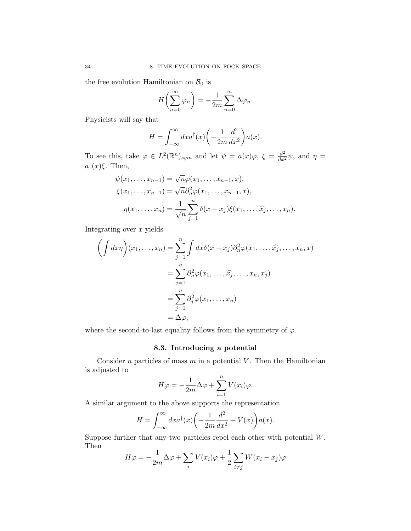the free evolution Hamiltonian on  $\mathcal{B}_0$  is

$$
H\left(\sum_{n=0}^{\infty} \varphi_n\right) = -\frac{1}{2m} \sum_{n=0}^{\infty} \Delta \varphi_n.
$$

Physicists will say that

$$
H = \int_{-\infty}^{\infty} dx a^{\dagger}(x) \left( -\frac{1}{2m} \frac{d^2}{dx^2} \right) a(x).
$$

To see this, take  $\varphi \in L^2(\mathbb{R}^n)_{sym}$  and let  $\psi = a(x)\varphi$ ,  $\xi = \frac{d^2}{dx^2}\psi$ , and  $\eta =$  $a^{\dagger}(x)\xi$ . Then,

$$
\psi(x_1, ..., x_{n-1}) = \sqrt{n}\varphi(x_1, ..., x_{n-1}, x),
$$
  
\n
$$
\xi(x_1, ..., x_{n-1}) = \sqrt{n}\partial_n^2 \varphi(x_1, ..., x_{n-1}, x),
$$
  
\n
$$
\eta(x_1, ..., x_n) = \frac{1}{\sqrt{n}} \sum_{j=1}^n \delta(x - x_j) \xi(x_1, ..., \hat{x_j}, ..., x_n).
$$

Integrating over  $x$  yields

$$
\left(\int dx \eta\right)(x_1, \dots, x_n) = \sum_{j=1}^n \int dx \delta(x - x_j) \partial_n^2 \varphi(x_1, \dots, \widehat{x_j}, \dots, x_n, x) \n= \sum_{j=1}^n \partial_n^2 \varphi(x_1, \dots, \widehat{x_j}, \dots, x_n, x_j) \n= \sum_{j=1}^n \partial_j^2 \varphi(x_1, \dots, x_n) \n= \Delta \varphi,
$$

where the second-to-last equality follows from the symmetry of  $\varphi.$ 

## 8.3. Introducing a potential

Consider  $n$  particles of mass  $m$  in a potential  $V$ . Then the Hamiltonian is adjusted to

$$
H\varphi = -\frac{1}{2m}\Delta\varphi + \sum_{i=1}^{n} V(x_i)\varphi.
$$

A similar argument to the above supports the representation

$$
H = \int_{-\infty}^{\infty} dx a^{\dagger}(x) \left( -\frac{1}{2m} \frac{d^2}{dx^2} + V(x) \right) a(x).
$$

Suppose further that any two particles repel each other with potential W. Then

$$
H\varphi = -\frac{1}{2m}\Delta\varphi + \sum_{i} V(x_i)\varphi + \frac{1}{2}\sum_{i \neq j} W(x_i - x_j)\varphi
$$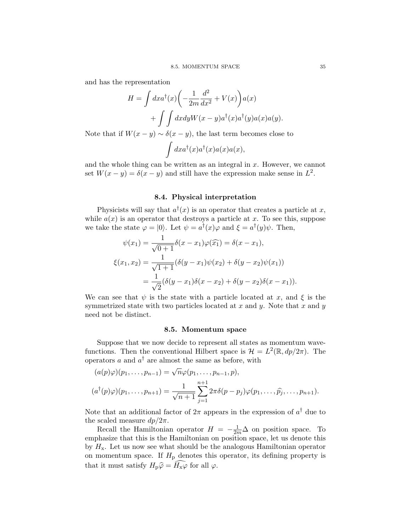and has the representation

$$
H = \int dx a^{\dagger}(x) \left( -\frac{1}{2m} \frac{d^2}{dx^2} + V(x) \right) a(x)
$$

$$
+ \int \int dx dy W(x - y) a^{\dagger}(x) a^{\dagger}(y) a(x) a(y).
$$

Note that if  $W(x - y) \sim \delta(x - y)$ , the last term becomes close to

$$
\int dx a^{\dagger}(x) a^{\dagger}(x) a(x) a(x),
$$

and the whole thing can be written as an integral in  $x$ . However, we cannot set  $W(x - y) = \delta(x - y)$  and still have the expression make sense in  $L^2$ .

## 8.4. Physical interpretation

Physicists will say that  $a^{\dagger}(x)$  is an operator that creates a particle at x, while  $a(x)$  is an operator that destroys a particle at x. To see this, suppose we take the state  $\varphi = |0\rangle$ . Let  $\psi = a^{\dagger}(x)\varphi$  and  $\xi = a^{\dagger}(y)\psi$ . Then,

$$
\psi(x_1) = \frac{1}{\sqrt{0+1}} \delta(x - x_1) \varphi(\widehat{x_1}) = \delta(x - x_1),
$$
  

$$
\xi(x_1, x_2) = \frac{1}{\sqrt{1+1}} (\delta(y - x_1) \psi(x_2) + \delta(y - x_2) \psi(x_1))
$$
  

$$
= \frac{1}{\sqrt{2}} (\delta(y - x_1) \delta(x - x_2) + \delta(y - x_2) \delta(x - x_1)).
$$

We can see that  $\psi$  is the state with a particle located at x, and  $\xi$  is the symmetrized state with two particles located at  $x$  and  $y$ . Note that  $x$  and  $y$ need not be distinct.

#### 8.5. Momentum space

Suppose that we now decide to represent all states as momentum wavefunctions. Then the conventional Hilbert space is  $\mathcal{H} = L^2(\mathbb{R}, dp/2\pi)$ . The operators a and  $a^{\dagger}$  are almost the same as before, with

$$
(a(p)\varphi)(p_1, ..., p_{n-1}) = \sqrt{n}\varphi(p_1, ..., p_{n-1}, p),
$$
  

$$
(a^{\dagger}(p)\varphi)(p_1, ..., p_{n+1}) = \frac{1}{\sqrt{n+1}} \sum_{j=1}^{n+1} 2\pi\delta(p-p_j)\varphi(p_1, ..., \hat{p_j}, ..., p_{n+1}).
$$

Note that an additional factor of  $2\pi$  appears in the expression of  $a^{\dagger}$  due to the scaled measure  $dp/2\pi$ .

Recall the Hamiltonian operator  $H = -\frac{1}{2m}\Delta$  on position space. To emphasize that this is the Hamiltonian on position space, let us denote this by  $H<sub>x</sub>$ . Let us now see what should be the analogous Hamiltonian operator on momentum space. If  $H<sub>p</sub>$  denotes this operator, its defining property is that it must satisfy  $H_p\hat{\varphi} = \widehat{H_x\varphi}$  for all  $\varphi$ .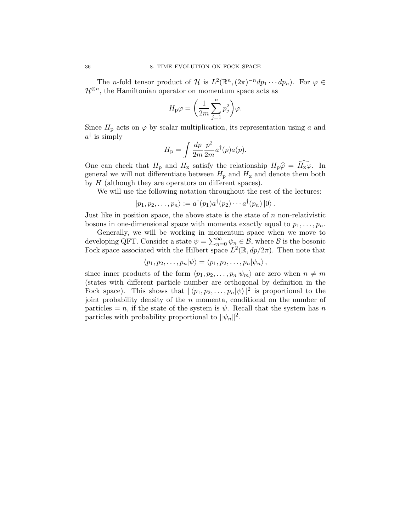The *n*-fold tensor product of  $\mathcal H$  is  $L^2(\mathbb R^n,(2\pi)^{-n}dp_1\cdots dp_n)$ . For  $\varphi \in$  $\mathcal{H}^{\otimes n}$ , the Hamiltonian operator on momentum space acts as

$$
H_{\rm p}\varphi=\bigg(\frac{1}{2m}\sum_{j=1}^n p_j^2\bigg)\varphi.
$$

Since  $H_p$  acts on  $\varphi$  by scalar multiplication, its representation using a and  $a^{\dagger}$  is simply

$$
H_{\rm p} = \int \frac{dp}{2m} \frac{p^2}{2m} a^{\dagger}(p) a(p).
$$

One can check that  $H_p$  and  $H_x$  satisfy the relationship  $H_p\hat{\varphi} = \widehat{H_x\varphi}$ . In general we will not differentiate between  $H<sub>p</sub>$  and  $H<sub>x</sub>$  and denote them both by  $H$  (although they are operators on different spaces).

We will use the following notation throughout the rest of the lectures:

 $|p_1, p_2, \ldots, p_n\rangle := a^{\dagger}(p_1) a^{\dagger}(p_2) \cdots a^{\dagger}(p_n) |0\rangle.$ 

Just like in position space, the above state is the state of  $n$  non-relativistic bosons in one-dimensional space with momenta exactly equal to  $p_1, \ldots, p_n$ .

Generally, we will be working in momentum space when we move to developing QFT. Consider a state  $\psi = \sum_{n=0}^{\infty} \psi_n \in \mathcal{B}$ , where  $\mathcal{B}$  is the bosonic Fock space associated with the Hilbert space  $L^2(\mathbb{R}, dp/2\pi)$ . Then note that

$$
\langle p_1, p_2, \ldots, p_n | \psi \rangle = \langle p_1, p_2, \ldots, p_n | \psi_n \rangle,
$$

since inner products of the form  $\langle p_1, p_2, \ldots, p_n | \psi_m \rangle$  are zero when  $n \neq m$ (states with different particle number are orthogonal by definition in the Fock space). This shows that  $|\langle p_1, p_2, \ldots, p_n | \psi \rangle|^2$  is proportional to the joint probability density of the  $n$  momenta, conditional on the number of particles = n, if the state of the system is  $\psi$ . Recall that the system has n particles with probability proportional to  $\|\psi_n\|^2$ .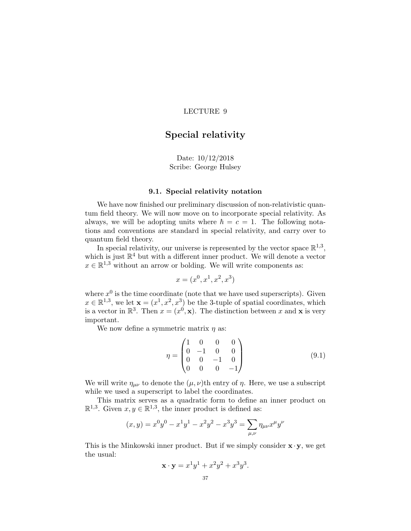# Special relativity

## Date: 10/12/2018 Scribe: George Hulsey

## 9.1. Special relativity notation

We have now finished our preliminary discussion of non-relativistic quantum field theory. We will now move on to incorporate special relativity. As always, we will be adopting units where  $\hbar = c = 1$ . The following notations and conventions are standard in special relativity, and carry over to quantum field theory.

In special relativity, our universe is represented by the vector space  $\mathbb{R}^{1,3}$ , which is just  $\mathbb{R}^4$  but with a different inner product. We will denote a vector  $x \in \mathbb{R}^{1,3}$  without an arrow or bolding. We will write components as:

$$
x = (x^0, x^1, x^2, x^3)
$$

where  $x^0$  is the time coordinate (note that we have used superscripts). Given  $x \in \mathbb{R}^{1,3}$ , we let  $\mathbf{x} = (x^1, x^2, x^3)$  be the 3-tuple of spatial coordinates, which is a vector in  $\mathbb{R}^3$ . Then  $x = (x^0, \mathbf{x})$ . The distinction between x and x is very important.

We now define a symmetric matrix  $\eta$  as:

$$
\eta = \begin{pmatrix} 1 & 0 & 0 & 0 \\ 0 & -1 & 0 & 0 \\ 0 & 0 & -1 & 0 \\ 0 & 0 & 0 & -1 \end{pmatrix}
$$
(9.1)

.

We will write  $\eta_{\mu\nu}$  to denote the  $(\mu, \nu)$ th entry of  $\eta$ . Here, we use a subscript while we used a superscript to label the coordinates.

This matrix serves as a quadratic form to define an inner product on  $\mathbb{R}^{1,3}$ . Given  $x, y \in \mathbb{R}^{1,3}$ , the inner product is defined as:

$$
(x,y) = x^0 y^0 - x^1 y^1 - x^2 y^2 - x^3 y^3 = \sum_{\mu,\nu} \eta_{\mu\nu} x^{\mu} y^{\nu}
$$

This is the Minkowski inner product. But if we simply consider  $\mathbf{x} \cdot \mathbf{y}$ , we get the usual:

$$
\mathbf{x} \cdot \mathbf{y} = x^1 y^1 + x^2 y^2 + x^3 y^3
$$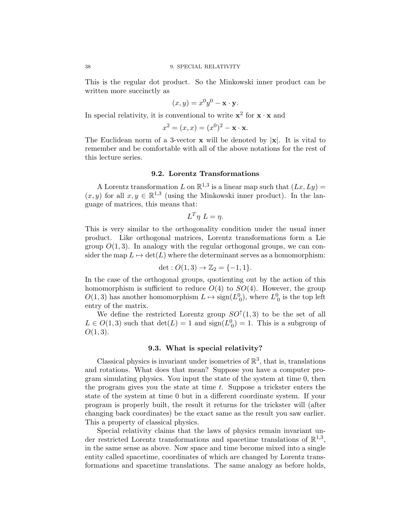This is the regular dot product. So the Minkowski inner product can be written more succinctly as

$$
(x,y) = x^0 y^0 - \mathbf{x} \cdot \mathbf{y}.
$$

In special relativity, it is conventional to write  $\mathbf{x}^2$  for  $\mathbf{x} \cdot \mathbf{x}$  and

$$
x^2 = (x, x) = (x^0)^2 - \mathbf{x} \cdot \mathbf{x}.
$$

The Euclidean norm of a 3-vector  $x$  will be denoted by  $|x|$ . It is vital to remember and be comfortable with all of the above notations for the rest of this lecture series.

## 9.2. Lorentz Transformations

A Lorentz transformation L on  $\mathbb{R}^{1,3}$  is a linear map such that  $(Lx, Ly) =$  $(x, y)$  for all  $x, y \in \mathbb{R}^{1,3}$  (using the Minkowski inner product). In the language of matrices, this means that:

$$
L^T \eta \ L = \eta.
$$

This is very similar to the orthogonality condition under the usual inner product. Like orthogonal matrices, Lorentz transformations form a Lie group  $O(1, 3)$ . In analogy with the regular orthogonal groups, we can consider the map  $L \mapsto \det(L)$  where the determinant serves as a homomorphism:

$$
\det: O(1,3) \to \mathbb{Z}_2 = \{-1,1\}.
$$

In the case of the orthogonal groups, quotienting out by the action of this homomorphism is sufficient to reduce  $O(4)$  to  $SO(4)$ . However, the group  $O(1,3)$  has another homomorphism  $L \mapsto \text{sign}(L_0^0)$ , where  $L_0^0$  is the top left entry of the matrix.

We define the restricted Lorentz group  $SO^{\uparrow}(1,3)$  to be the set of all  $L \in O(1,3)$  such that  $\det(L) = 1$  and  $\text{sign}(L_0^0) = 1$ . This is a subgroup of  $O(1, 3)$ .

#### 9.3. What is special relativity?

Classical physics is invariant under isometries of  $\mathbb{R}^3$ , that is, translations and rotations. What does that mean? Suppose you have a computer program simulating physics. You input the state of the system at time 0, then the program gives you the state at time  $t$ . Suppose a trickster enters the state of the system at time 0 but in a different coordinate system. If your program is properly built, the result it returns for the trickster will (after changing back coordinates) be the exact same as the result you saw earlier. This a property of classical physics.

Special relativity claims that the laws of physics remain invariant under restricted Lorentz transformations and spacetime translations of  $\mathbb{R}^{1,3}$ , in the same sense as above. Now space and time become mixed into a single entity called spacetime, coordinates of which are changed by Lorentz transformations and spacetime translations. The same analogy as before holds,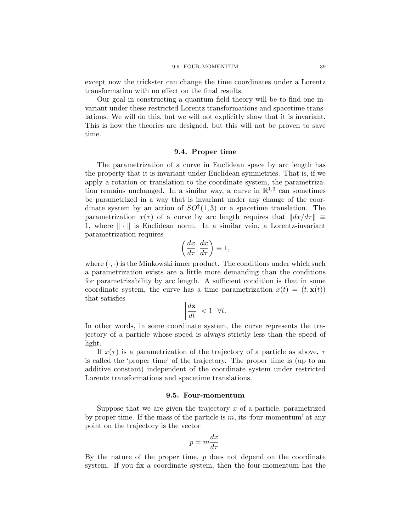except now the trickster can change the time coordinates under a Lorentz transformation with no effect on the final results.

Our goal in constructing a quantum field theory will be to find one invariant under these restricted Lorentz transformations and spacetime translations. We will do this, but we will not explicitly show that it is invariant. This is how the theories are designed, but this will not be proven to save time.

#### 9.4. Proper time

The parametrization of a curve in Euclidean space by arc length has the property that it is invariant under Euclidean symmetries. That is, if we apply a rotation or translation to the coordinate system, the parametrization remains unchanged. In a similar way, a curve in  $\mathbb{R}^{1,3}$  can sometimes be parametrized in a way that is invariant under any change of the coordinate system by an action of  $SO<sup>†</sup>(1,3)$  or a spacetime translation. The parametrization  $x(\tau)$  of a curve by arc length requires that  $||dx/d\tau|| \equiv$ 1, where  $\|\cdot\|$  is Euclidean norm. In a similar vein, a Lorentz-invariant parametrization requires

$$
\left(\frac{dx}{d\tau}, \frac{dx}{d\tau}\right) \equiv 1,
$$

where  $(\cdot, \cdot)$  is the Minkowski inner product. The conditions under which such a parametrization exists are a little more demanding than the conditions for parametrizability by arc length. A sufficient condition is that in some coordinate system, the curve has a time parametrization  $x(t) = (t, \mathbf{x}(t))$ that satisfies

$$
\left|\frac{d\mathbf{x}}{dt}\right| < 1 \quad \forall t.
$$

In other words, in some coordinate system, the curve represents the trajectory of a particle whose speed is always strictly less than the speed of light.

If  $x(\tau)$  is a parametrization of the trajectory of a particle as above,  $\tau$ is called the 'proper time' of the trajectory. The proper time is (up to an additive constant) independent of the coordinate system under restricted Lorentz transformations and spacetime translations.

#### 9.5. Four-momentum

Suppose that we are given the trajectory  $x$  of a particle, parametrized by proper time. If the mass of the particle is  $m$ , its 'four-momentum' at any point on the trajectory is the vector

$$
p = m \frac{dx}{d\tau}.
$$

By the nature of the proper time,  $p$  does not depend on the coordinate system. If you fix a coordinate system, then the four-momentum has the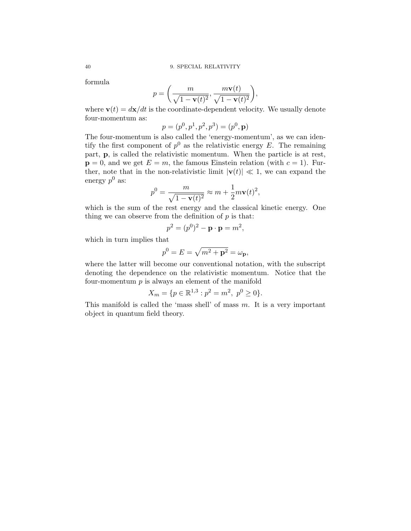formula

$$
p = \left(\frac{m}{\sqrt{1 - \mathbf{v}(t)^2}}, \frac{m\mathbf{v}(t)}{\sqrt{1 - \mathbf{v}(t)^2}}\right),\,
$$

where  $\mathbf{v}(t) = d\mathbf{x}/dt$  is the coordinate-dependent velocity. We usually denote four-momentum as:

$$
p = (p^0, p^1, p^2, p^3) = (p^0, \mathbf{p})
$$

The four-momentum is also called the 'energy-momentum', as we can identify the first component of  $p^0$  as the relativistic energy E. The remaining part, p, is called the relativistic momentum. When the particle is at rest,  $p = 0$ , and we get  $E = m$ , the famous Einstein relation (with  $c = 1$ ). Further, note that in the non-relativistic limit  $|\mathbf{v}(t)| \ll 1$ , we can expand the energy  $p^0$  as:

$$
p^{0} = \frac{m}{\sqrt{1 - \mathbf{v}(t)^{2}}} \approx m + \frac{1}{2}m\mathbf{v}(t)^{2},
$$

which is the sum of the rest energy and the classical kinetic energy. One thing we can observe from the definition of  $p$  is that:

$$
p^2 = (p^0)^2 - \mathbf{p} \cdot \mathbf{p} = m^2,
$$

which in turn implies that

$$
p^0 = E = \sqrt{m^2 + \mathbf{p}^2} = \omega_\mathbf{p},
$$

where the latter will become our conventional notation, with the subscript denoting the dependence on the relativistic momentum. Notice that the four-momentum  $p$  is always an element of the manifold

$$
X_m = \{ p \in \mathbb{R}^{1,3} : p^2 = m^2, \ p^0 \ge 0 \}.
$$

This manifold is called the 'mass shell' of mass  $m$ . It is a very important object in quantum field theory.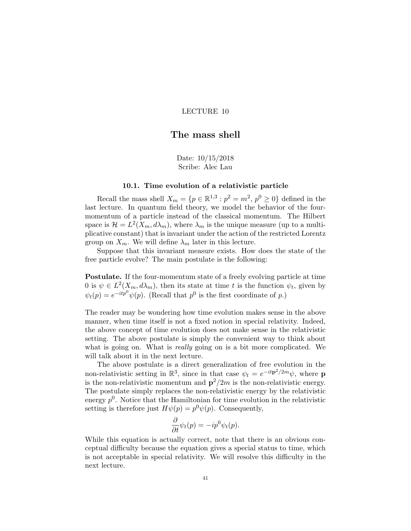## The mass shell

Date: 10/15/2018 Scribe: Alec Lau

## 10.1. Time evolution of a relativistic particle

Recall the mass shell  $X_m = \{p \in \mathbb{R}^{1,3} : p^2 = m^2, p^0 \ge 0\}$  defined in the last lecture. In quantum field theory, we model the behavior of the fourmomentum of a particle instead of the classical momentum. The Hilbert space is  $\mathcal{H} = L^2(X_m, d\lambda_m)$ , where  $\lambda_m$  is the unique measure (up to a multiplicative constant) that is invariant under the action of the restricted Lorentz group on  $X_m$ . We will define  $\lambda_m$  later in this lecture.

Suppose that this invariant measure exists. How does the state of the free particle evolve? The main postulate is the following:

Postulate. If the four-momentum state of a freely evolving particle at time 0 is  $\psi \in L^2(X_m, d\lambda_m)$ , then its state at time t is the function  $\psi_t$ , given by  $\psi_t(p) = e^{-itp^0}\psi(p)$ . (Recall that  $p^0$  is the first coordinate of p.)

The reader may be wondering how time evolution makes sense in the above manner, when time itself is not a fixed notion in special relativity. Indeed, the above concept of time evolution does not make sense in the relativistic setting. The above postulate is simply the convenient way to think about what is going on. What is *really* going on is a bit more complicated. We will talk about it in the next lecture.

The above postulate is a direct generalization of free evolution in the non-relativistic setting in  $\mathbb{R}^3$ , since in that case  $\psi_t = e^{-it\mathbf{p}^2/2m}\psi$ , where **p** is the non-relativistic momentum and  $p^2/2m$  is the non-relativistic energy. The postulate simply replaces the non-relativistic energy by the relativistic energy  $p^0$ . Notice that the Hamiltonian for time evolution in the relativistic setting is therefore just  $H\psi(p) = p^0 \psi(p)$ . Consequently,

$$
\frac{\partial}{\partial t}\psi_t(p) = -ip^0\psi_t(p).
$$

While this equation is actually correct, note that there is an obvious conceptual difficulty because the equation gives a special status to time, which is not acceptable in special relativity. We will resolve this difficulty in the next lecture.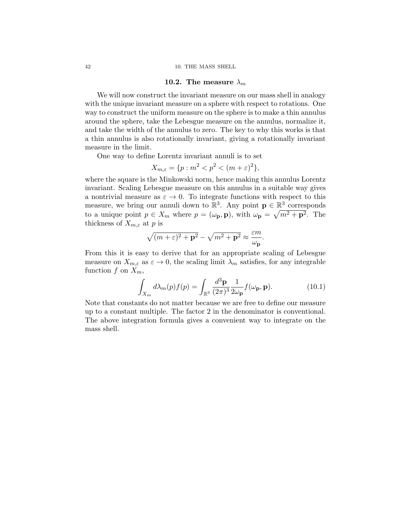#### 10.2. The measure  $\lambda_m$

We will now construct the invariant measure on our mass shell in analogy with the unique invariant measure on a sphere with respect to rotations. One way to construct the uniform measure on the sphere is to make a thin annulus around the sphere, take the Lebesgue measure on the annulus, normalize it, and take the width of the annulus to zero. The key to why this works is that a thin annulus is also rotationally invariant, giving a rotationally invariant measure in the limit.

One way to define Lorentz invariant annuli is to set

$$
X_{m,\varepsilon} = \{ p : m^2 < p^2 < (m + \varepsilon)^2 \},
$$

where the square is the Minkowski norm, hence making this annulus Lorentz invariant. Scaling Lebesgue measure on this annulus in a suitable way gives a nontrivial measure as  $\varepsilon \to 0$ . To integrate functions with respect to this measure, we bring our annuli down to  $\mathbb{R}^3$ . Any point  $\mathbf{p} \in \mathbb{R}^3$  corresponds to a unique point  $p \in X_m$  where  $p = (\omega_p, \mathbf{p})$ , with  $\omega_p = \sqrt{m^2 + \mathbf{p}^2}$ . The thickness of  $X_{m,\varepsilon}$  at p is

<span id="page-45-0"></span>
$$
\sqrt{(m+\varepsilon)^2+\mathbf{p}^2}-\sqrt{m^2+\mathbf{p}^2}\approx\frac{\varepsilon m}{\omega_{\mathbf{p}}}.
$$

From this it is easy to derive that for an appropriate scaling of Lebesgue measure on  $X_{m,\varepsilon}$  as  $\varepsilon \to 0$ , the scaling limit  $\lambda_m$  satisfies, for any integrable function f on  $X_m$ ,

$$
\int_{X_m} d\lambda_m(p) f(p) = \int_{\mathbb{R}^3} \frac{d^3 \mathbf{p}}{(2\pi)^3} \frac{1}{2\omega_\mathbf{p}} f(\omega_\mathbf{p}, \mathbf{p}).
$$
\n(10.1)

Note that constants do not matter because we are free to define our measure up to a constant multiple. The factor 2 in the denominator is conventional. The above integration formula gives a convenient way to integrate on the mass shell.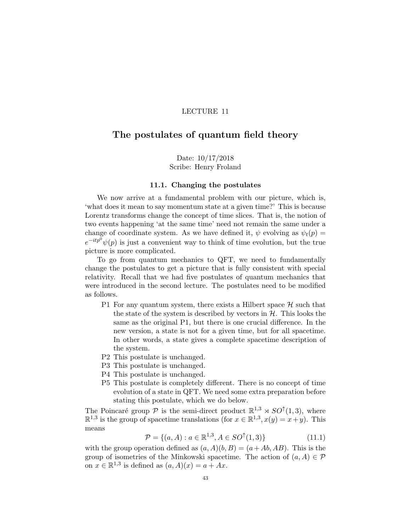# The postulates of quantum field theory

Date: 10/17/2018 Scribe: Henry Froland

#### 11.1. Changing the postulates

We now arrive at a fundamental problem with our picture, which is, 'what does it mean to say momentum state at a given time?' This is because Lorentz transforms change the concept of time slices. That is, the notion of two events happening 'at the same time' need not remain the same under a change of coordinate system. As we have defined it,  $\psi$  evolving as  $\psi_t(p)$  =  $e^{-itp^0}\psi(p)$  is just a convenient way to think of time evolution, but the true picture is more complicated.

To go from quantum mechanics to QFT, we need to fundamentally change the postulates to get a picture that is fully consistent with special relativity. Recall that we had five postulates of quantum mechanics that were introduced in the second lecture. The postulates need to be modified as follows.

- P1 For any quantum system, there exists a Hilbert space  $\mathcal H$  such that the state of the system is described by vectors in  $H$ . This looks the same as the original P1, but there is one crucial difference. In the new version, a state is not for a given time, but for all spacetime. In other words, a state gives a complete spacetime description of the system.
- P2 This postulate is unchanged.
- P3 This postulate is unchanged.
- P4 This postulate is unchanged.
- P5 This postulate is completely different. There is no concept of time evolution of a state in QFT. We need some extra preparation before stating this postulate, which we do below.

The Poincaré group  $\mathcal P$  is the semi-direct product  $\mathbb{R}^{1,3} \rtimes SO^{\uparrow}(1,3)$ , where  $\mathbb{R}^{1,3}$  is the group of spacetime translations (for  $x \in \mathbb{R}^{1,3}, x(y) = x + y$ ). This means

$$
\mathcal{P} = \{(a, A) : a \in \mathbb{R}^{1,3}, A \in SO^{\uparrow}(1,3)\}\
$$
(11.1)

with the group operation defined as  $(a, A)(b, B) = (a + Ab, AB)$ . This is the group of isometries of the Minkowski spacetime. The action of  $(a, A) \in \mathcal{P}$ on  $x \in \mathbb{R}^{1,3}$  is defined as  $(a, A)(x) = a + Ax$ .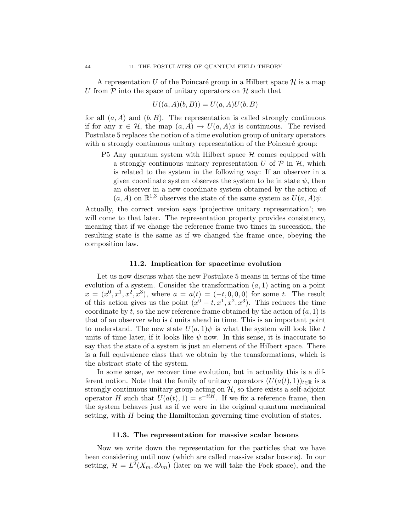A representation U of the Poincaré group in a Hilbert space  $\mathcal H$  is a map U from  $P$  into the space of unitary operators on  $H$  such that

$$
U((a, A)(b, B)) = U(a, A)U(b, B)
$$

for all  $(a, A)$  and  $(b, B)$ . The representation is called strongly continuous if for any  $x \in \mathcal{H}$ , the map  $(a, A) \to U(a, A)x$  is continuous. The revised Postulate 5 replaces the notion of a time evolution group of unitary operators with a strongly continuous unitary representation of the Poincaré group:

P5 Any quantum system with Hilbert space  $H$  comes equipped with a strongly continuous unitary representation U of  $P$  in  $H$ , which is related to the system in the following way: If an observer in a given coordinate system observes the system to be in state  $\psi$ , then an observer in a new coordinate system obtained by the action of  $(a, A)$  on  $\mathbb{R}^{1,3}$  observes the state of the same system as  $U(a, A)\psi$ .

Actually, the correct version says 'projective unitary representation'; we will come to that later. The representation property provides consistency, meaning that if we change the reference frame two times in succession, the resulting state is the same as if we changed the frame once, obeying the composition law.

#### 11.2. Implication for spacetime evolution

Let us now discuss what the new Postulate 5 means in terms of the time evolution of a system. Consider the transformation  $(a, 1)$  acting on a point  $x = (x^0, x^1, x^2, x^3)$ , where  $a = a(t) = (-t, 0, 0, 0)$  for some t. The result of this action gives us the point  $(x^0 - t, x^1, x^2, x^3)$ . This reduces the time coordinate by t, so the new reference frame obtained by the action of  $(a, 1)$  is that of an observer who is  $t$  units ahead in time. This is an important point to understand. The new state  $U(a, 1)\psi$  is what the system will look like t units of time later, if it looks like  $\psi$  now. In this sense, it is inaccurate to say that the state of a system is just an element of the Hilbert space. There is a full equivalence class that we obtain by the transformations, which is the abstract state of the system.

In some sense, we recover time evolution, but in actuality this is a different notion. Note that the family of unitary operators  $(U(a(t), 1))_{t\in\mathbb{R}}$  is a strongly continuous unitary group acting on  $H$ , so there exists a self-adjoint operator H such that  $U(a(t), 1) = e^{-itH}$ . If we fix a reference frame, then the system behaves just as if we were in the original quantum mechanical setting, with  $H$  being the Hamiltonian governing time evolution of states.

#### 11.3. The representation for massive scalar bosons

Now we write down the representation for the particles that we have been considering until now (which are called massive scalar bosons). In our setting,  $\mathcal{H} = L^2(X_m, d\lambda_m)$  (later on we will take the Fock space), and the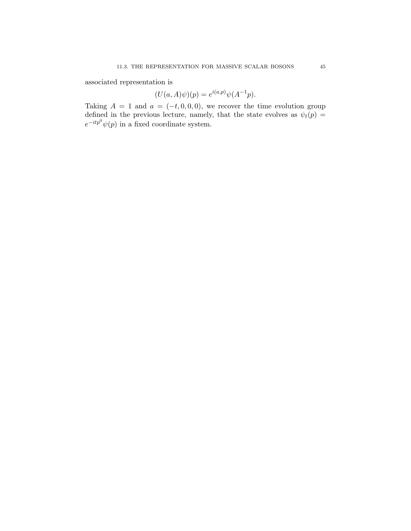associated representation is

$$
(U(a, A)\psi)(p) = e^{i(a,p)}\psi(A^{-1}p).
$$

Taking  $A = 1$  and  $a = (-t, 0, 0, 0)$ , we recover the time evolution group defined in the previous lecture, namely, that the state evolves as  $\psi_t(p)$  =  $e^{-itp^0}\psi(p)$  in a fixed coordinate system.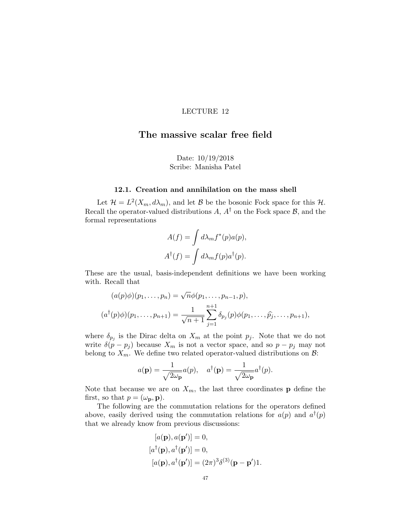# The massive scalar free field

Date: 10/19/2018 Scribe: Manisha Patel

## 12.1. Creation and annihilation on the mass shell

Let  $\mathcal{H} = L^2(X_m, d\lambda_m)$ , and let  $\mathcal B$  be the bosonic Fock space for this  $\mathcal H$ . Recall the operator-valued distributions A,  $A^{\dagger}$  on the Fock space B, and the formal representations

$$
A(f) = \int d\lambda_m f^*(p) a(p),
$$
  

$$
A^{\dagger}(f) = \int d\lambda_m f(p) a^{\dagger}(p).
$$

These are the usual, basis-independent definitions we have been working with. Recall that

$$
(a(p)\phi)(p_1, ..., p_n) = \sqrt{n}\phi(p_1, ..., p_{n-1}, p),
$$
  

$$
(a^{\dagger}(p)\phi)(p_1, ..., p_{n+1}) = \frac{1}{\sqrt{n+1}} \sum_{j=1}^{n+1} \delta_{p_j}(p)\phi(p_1, ..., \hat{p_j}, ..., p_{n+1}),
$$

where  $\delta_{p_j}$  is the Dirac delta on  $X_m$  at the point  $p_j$ . Note that we do not write  $\delta(p - p_j)$  because  $X_m$  is not a vector space, and so  $p - p_j$  may not belong to  $X_m$ . We define two related operator-valued distributions on  $\mathcal{B}$ :

$$
a(\mathbf{p}) = \frac{1}{\sqrt{2\omega_{\mathbf{p}}}} a(p), \quad a^{\dagger}(\mathbf{p}) = \frac{1}{\sqrt{2\omega_{\mathbf{p}}}} a^{\dagger}(p).
$$

Note that because we are on  $X_m$ , the last three coordinates **p** define the first, so that  $p = (\omega_{\mathbf{p}}, \mathbf{p}).$ 

The following are the commutation relations for the operators defined above, easily derived using the commutation relations for  $a(p)$  and  $a^{\dagger}(p)$ that we already know from previous discussions:

$$
[a(\mathbf{p}), a(\mathbf{p}')] = 0,
$$
  
\n
$$
[a^{\dagger}(\mathbf{p}), a^{\dagger}(\mathbf{p}')] = 0,
$$
  
\n
$$
[a(\mathbf{p}), a^{\dagger}(\mathbf{p}')] = (2\pi)^3 \delta^{(3)}(\mathbf{p} - \mathbf{p}')\mathbf{1}.
$$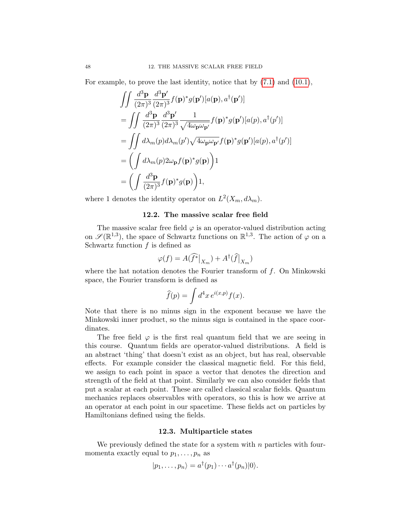For example, to prove the last identity, notice that by [\(7.1\)](#page-35-0) and [\(10.1\)](#page-45-0),

$$
\iint \frac{d^3 \mathbf{p}}{(2\pi)^3} \frac{d^3 \mathbf{p}'}{(2\pi)^3} f(\mathbf{p})^* g(\mathbf{p}')[a(\mathbf{p}), a^\dagger(\mathbf{p}')] \n= \iint \frac{d^3 \mathbf{p}}{(2\pi)^3} \frac{d^3 \mathbf{p}'}{(2\pi)^3} \frac{1}{\sqrt{4\omega_{\mathbf{p}}\omega_{\mathbf{p}'}} f(\mathbf{p})^* g(\mathbf{p}')[a(p), a^\dagger(p')] \n= \iint d\lambda_m(p) d\lambda_m(p') \sqrt{4\omega_{\mathbf{p}}\omega_{\mathbf{p}'}} f(\mathbf{p})^* g(\mathbf{p}')[a(p), a^\dagger(p')] \n= \left(\int d\lambda_m(p) 2\omega_{\mathbf{p}} f(\mathbf{p})^* g(\mathbf{p})\right) 1 \n= \left(\int \frac{d^3 \mathbf{p}}{(2\pi)^3} f(\mathbf{p})^* g(\mathbf{p})\right) 1,
$$

where 1 denotes the identity operator on  $L^2(X_m, d\lambda_m)$ .

#### 12.2. The massive scalar free field

The massive scalar free field  $\varphi$  is an operator-valued distribution acting on  $\mathscr{S}(\mathbb{R}^{1,3})$ , the space of Schwartz functions on  $\mathbb{R}^{1,3}$ . The action of  $\varphi$  on a Schwartz function  $f$  is defined as

$$
\varphi(f) = A(\widehat{f^*}\big|_{X_m}) + A^{\dagger}(\widehat{f}\big|_{X_m})
$$

where the hat notation denotes the Fourier transform of  $f$ . On Minkowski space, the Fourier transform is defined as

$$
\widehat{f}(p) = \int d^4x \, e^{i(x,p)} f(x).
$$

Note that there is no minus sign in the exponent because we have the Minkowski inner product, so the minus sign is contained in the space coordinates.

The free field  $\varphi$  is the first real quantum field that we are seeing in this course. Quantum fields are operator-valued distributions. A field is an abstract 'thing' that doesn't exist as an object, but has real, observable effects. For example consider the classical magnetic field. For this field, we assign to each point in space a vector that denotes the direction and strength of the field at that point. Similarly we can also consider fields that put a scalar at each point. These are called classical scalar fields. Quantum mechanics replaces observables with operators, so this is how we arrive at an operator at each point in our spacetime. These fields act on particles by Hamiltonians defined using the fields.

## 12.3. Multiparticle states

We previously defined the state for a system with  $n$  particles with fourmomenta exactly equal to  $p_1, \ldots, p_n$  as

$$
|p_1,\ldots,p_n\rangle=a^{\dagger}(p_1)\cdots a^{\dagger}(p_n)|0\rangle.
$$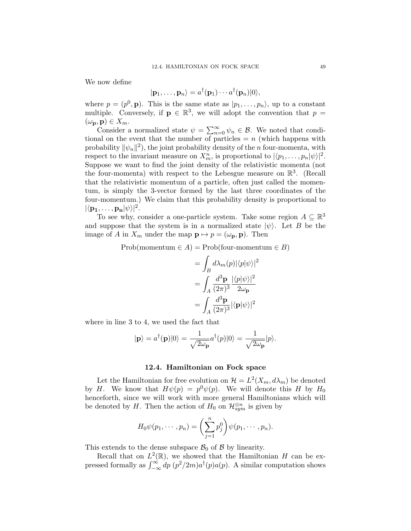We now define

$$
|\mathbf{p}_1,\ldots,\mathbf{p}_n\rangle=a^{\dagger}(\mathbf{p}_1)\cdots a^{\dagger}(\mathbf{p}_n)|0\rangle,
$$

where  $p = (p^0, \mathbf{p})$ . This is the same state as  $|p_1, \ldots, p_n\rangle$ , up to a constant multiple. Conversely, if  $p \in \mathbb{R}^3$ , we will adopt the convention that  $p =$  $(\omega_{\mathbf{p}}, \mathbf{p}) \in X_m$ .

Consider a normalized state  $\psi = \sum_{n=0}^{\infty} \psi_n \in \mathcal{B}$ . We noted that conditional on the event that the number of particles  $= n$  (which happens with probability  $\|\psi_n\|^2$ , the joint probability density of the *n* four-momenta, with respect to the invariant measure on  $X_m^n$ , is proportional to  $|\langle p_1, \ldots, p_n | \psi \rangle|^2$ . Suppose we want to find the joint density of the relativistic momenta (not the four-momenta) with respect to the Lebesgue measure on  $\mathbb{R}^3$ . (Recall that the relativistic momentum of a particle, often just called the momentum, is simply the 3-vector formed by the last three coordinates of the four-momentum.) We claim that this probability density is proportional to  $|\langle \mathbf{p_1}, \dots, \mathbf{p_n} | \psi \rangle|^2.$ 

To see why, consider a one-particle system. Take some region  $A \subseteq \mathbb{R}^3$ and suppose that the system is in a normalized state  $|\psi\rangle$ . Let B be the image of A in  $X_m$  under the map  $\mathbf{p} \mapsto p = (\omega_{\mathbf{p}}, \mathbf{p})$ . Then

$$
Prob(momentum \in A) = Prob(four-momentum \in B)
$$

$$
= \int_{B} d\lambda_{m}(p)|\langle p|\psi\rangle|^{2}
$$

$$
= \int_{A} \frac{d^{3}\mathbf{p}}{(2\pi)^{3}} \frac{|\langle p|\psi\rangle|^{2}}{2\omega_{\mathbf{p}}}
$$

$$
= \int_{A} \frac{d^{3}\mathbf{p}}{(2\pi)^{3}} |\langle \mathbf{p}|\psi\rangle|^{2}
$$

where in line 3 to 4, we used the fact that

$$
|\mathbf{p}\rangle = a^{\dagger}(\mathbf{p})|0\rangle = \frac{1}{\sqrt{2\omega_{\mathbf{p}}}}a^{\dagger}(p)|0\rangle = \frac{1}{\sqrt{2\omega_{\mathbf{p}}}}|p\rangle.
$$

#### 12.4. Hamiltonian on Fock space

Let the Hamiltonian for free evolution on  $\mathcal{H} = L^2(X_m, d\lambda_m)$  be denoted by H. We know that  $H\psi(p) = p^0 \psi(p)$ . We will denote this H by  $H_0$ henceforth, since we will work with more general Hamiltonians which will be denoted by H. Then the action of  $H_0$  on  $\mathcal{H}_{sym}^{\otimes n}$  is given by

$$
H_0\psi(p_1,\dots,p_n)=\bigg(\sum_{j=1}^n p_j^0\bigg)\psi(p_1,\dots,p_n).
$$

This extends to the dense subspace  $\mathcal{B}_0$  of  $\mathcal{B}$  by linearity.

Recall that on  $L^2(\mathbb{R})$ , we showed that the Hamiltonian H can be expressed formally as  $\int_{-\infty}^{\infty} dp (p^2/2m)a^{\dagger}(p)a(p)$ . A similar computation shows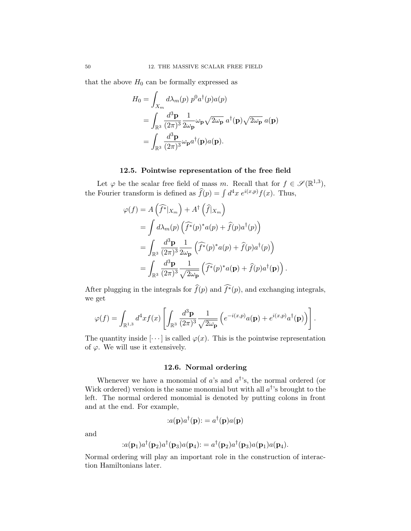that the above  $H_0$  can be formally expressed as

$$
H_0 = \int_{X_m} d\lambda_m(p) p^0 a^\dagger(p) a(p)
$$
  
= 
$$
\int_{\mathbb{R}^3} \frac{d^3 \mathbf{p}}{(2\pi)^3} \frac{1}{2\omega_\mathbf{p}} \omega_\mathbf{p} \sqrt{2\omega_\mathbf{p}} a^\dagger(\mathbf{p}) \sqrt{2\omega_\mathbf{p}} a(\mathbf{p})
$$
  
= 
$$
\int_{\mathbb{R}^3} \frac{d^3 \mathbf{p}}{(2\pi)^3} \omega_\mathbf{p} a^\dagger(\mathbf{p}) a(\mathbf{p}).
$$

## 12.5. Pointwise representation of the free field

Let  $\varphi$  be the scalar free field of mass m. Recall that for  $f \in \mathscr{S}(\mathbb{R}^{1,3}),$ the Fourier transform is defined as  $\widehat{f}(p) = \int d^4x \; e^{i(x,p)}f(x)$ . Thus,

$$
\varphi(f) = A\left(\widehat{f^*}|_{X_m}\right) + A^{\dagger}\left(\widehat{f}|_{X_m}\right)
$$
  
= 
$$
\int d\lambda_m(p)\left(\widehat{f^*}(p)^*a(p) + \widehat{f}(p)a^{\dagger}(p)\right)
$$
  
= 
$$
\int_{\mathbb{R}^3} \frac{d^3 \mathbf{p}}{(2\pi)^3} \frac{1}{2\omega_{\mathbf{p}}} \left(\widehat{f^*}(p)^*a(p) + \widehat{f}(p)a^{\dagger}(p)\right)
$$
  
= 
$$
\int_{\mathbb{R}^3} \frac{d^3 \mathbf{p}}{(2\pi)^3} \frac{1}{\sqrt{2\omega_{\mathbf{p}}}} \left(\widehat{f^*}(p)^*a(\mathbf{p}) + \widehat{f}(p)a^{\dagger}(\mathbf{p})\right)
$$

After plugging in the integrals for  $\widehat{f}(p)$  and  $\widehat{f^*}(p)$ , and exchanging integrals, we get

.

$$
\varphi(f) = \int_{\mathbb{R}^{1,3}} d^4x f(x) \left[ \int_{\mathbb{R}^3} \frac{d^3 \mathbf{p}}{(2\pi)^3} \frac{1}{\sqrt{2\omega_{\mathbf{p}}}} \left( e^{-i(x,p)} a(\mathbf{p}) + e^{i(x,p)} a^{\dagger}(\mathbf{p}) \right) \right].
$$

The quantity inside  $[\cdots]$  is called  $\varphi(x)$ . This is the pointwise representation of  $\varphi$ . We will use it extensively.

## 12.6. Normal ordering

Whenever we have a monomial of  $a$ 's and  $a^{\dagger}$ 's, the normal ordered (or Wick ordered) version is the same monomial but with all  $a^{\dagger}$ 's brought to the left. The normal ordered monomial is denoted by putting colons in front and at the end. For example,

$$
:a(\mathbf{p})a^{\dagger}(\mathbf{p}):=a^{\dagger}(\mathbf{p})a(\mathbf{p})
$$

and

$$
:a(\mathbf{p}_1)a^{\dagger}(\mathbf{p}_2)a^{\dagger}(\mathbf{p}_3)a(\mathbf{p}_4):=a^{\dagger}(\mathbf{p}_2)a^{\dagger}(\mathbf{p}_3)a(\mathbf{p}_1)a(\mathbf{p}_4).
$$

Normal ordering will play an important role in the construction of interaction Hamiltonians later.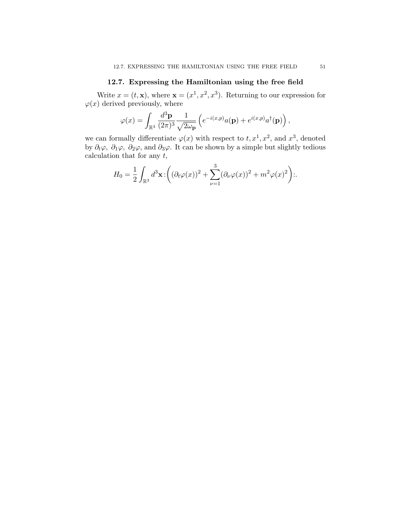## 12.7. Expressing the Hamiltonian using the free field

Write  $x = (t, \mathbf{x})$ , where  $\mathbf{x} = (x^1, x^2, x^3)$ . Returning to our expression for  $\varphi(x)$  derived previously, where

$$
\varphi(x) = \int_{\mathbb{R}^3} \frac{d^3 \mathbf{p}}{(2\pi)^3} \frac{1}{\sqrt{2\omega_{\mathbf{p}}}} \left( e^{-i(x,p)} a(\mathbf{p}) + e^{i(x,p)} a^{\dagger}(\mathbf{p}) \right),
$$

we can formally differentiate  $\varphi(x)$  with respect to  $t, x^1, x^2$ , and  $x^3$ , denoted by  $\partial_t\varphi$ ,  $\partial_1\varphi$ ,  $\partial_2\varphi$ , and  $\partial_3\varphi$ . It can be shown by a simple but slightly tedious calculation that for any  $t$ ,

$$
H_0 = \frac{1}{2} \int_{\mathbb{R}^3} d^3 \mathbf{x} \cdot \left( (\partial_t \varphi(x))^2 + \sum_{\nu=1}^3 (\partial_\nu \varphi(x))^2 + m^2 \varphi(x)^2 \right) \dots
$$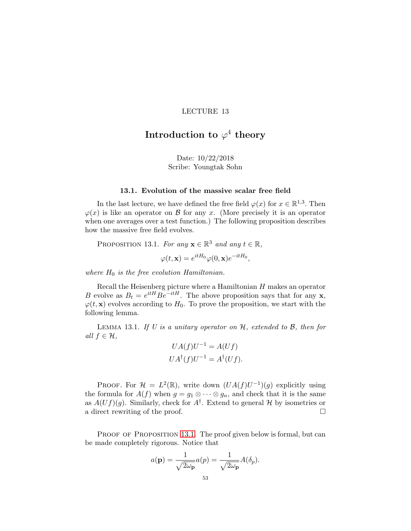# Introduction to  $\varphi^4$  theory

Date: 10/22/2018 Scribe: Youngtak Sohn

#### 13.1. Evolution of the massive scalar free field

In the last lecture, we have defined the free field  $\varphi(x)$  for  $x \in \mathbb{R}^{1,3}$ . Then  $\varphi(x)$  is like an operator on B for any x. (More precisely it is an operator when one averages over a test function.) The following proposition describes how the massive free field evolves.

<span id="page-56-0"></span>PROPOSITION 13.1. For any  $\mathbf{x} \in \mathbb{R}^3$  and any  $t \in \mathbb{R}$ ,

$$
\varphi(t, \mathbf{x}) = e^{itH_0} \varphi(0, \mathbf{x}) e^{-itH_0},
$$

where  $H_0$  is the free evolution Hamiltonian.

Recall the Heisenberg picture where a Hamiltonian  $H$  makes an operator B evolve as  $B_t = e^{itH} B e^{-itH}$ . The above proposition says that for any **x**,  $\varphi(t, \mathbf{x})$  evolves according to  $H_0$ . To prove the proposition, we start with the following lemma.

LEMMA 13.1. If U is a unitary operator on  $H$ , extended to  $B$ , then for all  $f \in \mathcal{H}$ ,

$$
UA(f)U^{-1} = A(Uf)
$$
  

$$
UA^{\dagger}(f)U^{-1} = A^{\dagger}(Uf).
$$

PROOF. For  $\mathcal{H} = L^2(\mathbb{R})$ , write down  $(UA(f)U^{-1})(g)$  explicitly using the formula for  $A(f)$  when  $g = g_1 \otimes \cdots \otimes g_n$ , and check that it is the same as  $A(Uf)(g)$ . Similarly, check for  $A^{\dagger}$ . Extend to general H by isometries or a direct rewriting of the proof.

PROOF OF PROPOSITION [13.1](#page-56-0). The proof given below is formal, but can be made completely rigorous. Notice that

$$
a(\mathbf{p}) = \frac{1}{\sqrt{2\omega_{\mathbf{p}}}} a(p) = \frac{1}{\sqrt{2\omega_{\mathbf{p}}}} A(\delta_p).
$$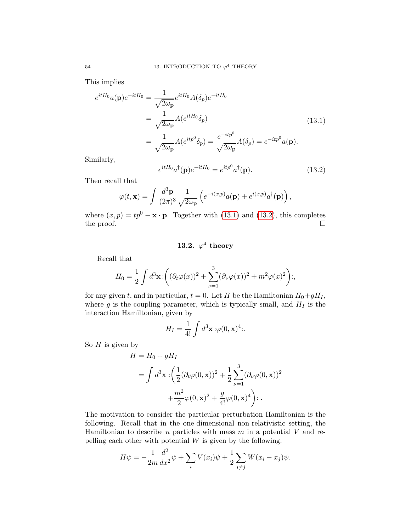This implies

<span id="page-57-0"></span>
$$
e^{itH_0}a(\mathbf{p})e^{-itH_0} = \frac{1}{\sqrt{2\omega_{\mathbf{p}}}}e^{itH_0}A(\delta_p)e^{-itH_0}
$$
  

$$
= \frac{1}{\sqrt{2\omega_{\mathbf{p}}}}A(e^{itH_0}\delta_p)
$$
  

$$
= \frac{1}{\sqrt{2\omega_{\mathbf{p}}}}A(e^{itp^0}\delta_p) = \frac{e^{-itp^0}}{\sqrt{2\omega_{\mathbf{p}}}}A(\delta_p) = e^{-itp^0}a(\mathbf{p}).
$$
 (13.1)

Similarly,

<span id="page-57-1"></span>
$$
e^{itH_0}a^\dagger(\mathbf{p})e^{-itH_0} = e^{itp^0}a^\dagger(\mathbf{p}).\tag{13.2}
$$

Then recall that

$$
\varphi(t, \mathbf{x}) = \int \frac{d^3 \mathbf{p}}{(2\pi)^3} \frac{1}{\sqrt{2\omega_{\mathbf{p}}}} \left( e^{-i(x, p)} a(\mathbf{p}) + e^{i(x, p)} a^{\dagger}(\mathbf{p}) \right),
$$

where  $(x, p) = tp^0 - \mathbf{x} \cdot \mathbf{p}$ . Together with [\(13.1\)](#page-57-0) and [\(13.2\)](#page-57-1), this completes the proof. the proof.

# 13.2.  $\varphi^4$  theory

Recall that

$$
H_0 = \frac{1}{2} \int d^3 \mathbf{x} \cdot \left( (\partial_t \varphi(x))^2 + \sum_{\nu=1}^3 (\partial_\nu \varphi(x))^2 + m^2 \varphi(x)^2 \right);
$$

for any given t, and in particular,  $t = 0$ . Let H be the Hamiltonian  $H_0 + gH_I$ , where g is the coupling parameter, which is typically small, and  $H_I$  is the interaction Hamiltonian, given by

$$
H_I = \frac{1}{4!} \int d^3 \mathbf{x} \, \therefore \varphi(0, \mathbf{x})^4 \, \therefore
$$

So  $H$  is given by

$$
H = H_0 + gH_I
$$
  
=  $\int d^3 \mathbf{x} : \left( \frac{1}{2} (\partial_t \varphi(0, \mathbf{x}))^2 + \frac{1}{2} \sum_{\nu=1}^3 (\partial_\nu \varphi(0, \mathbf{x}))^2 + \frac{m^2}{2} \varphi(0, \mathbf{x})^2 + \frac{g}{4!} \varphi(0, \mathbf{x})^4 \right) : .$ 

The motivation to consider the particular perturbation Hamiltonian is the following. Recall that in the one-dimensional non-relativistic setting, the Hamiltonian to describe n particles with mass  $m$  in a potential  $V$  and repelling each other with potential  $W$  is given by the following.

$$
H\psi = -\frac{1}{2m} \frac{d^2}{dx^2} \psi + \sum_i V(x_i) \psi + \frac{1}{2} \sum_{i \neq j} W(x_i - x_j) \psi.
$$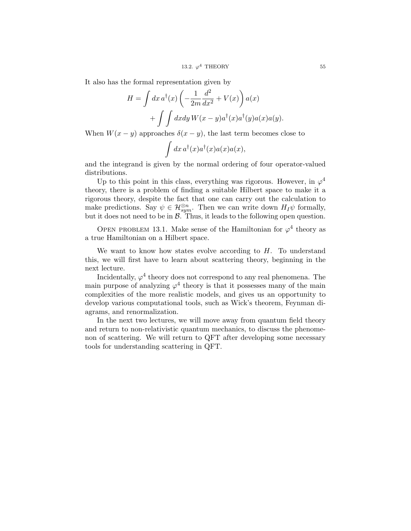It also has the formal representation given by

$$
H = \int dx \, a^{\dagger}(x) \left( -\frac{1}{2m} \frac{d^2}{dx^2} + V(x) \right) a(x)
$$

$$
+ \int \int dx dy \, W(x - y) a^{\dagger}(x) a^{\dagger}(y) a(x) a(y).
$$

When  $W(x - y)$  approaches  $\delta(x - y)$ , the last term becomes close to

$$
\int dx \, a^{\dagger}(x) a^{\dagger}(x) a(x) a(x),
$$

and the integrand is given by the normal ordering of four operator-valued distributions.

Up to this point in this class, everything was rigorous. However, in  $\varphi^4$ theory, there is a problem of finding a suitable Hilbert space to make it a rigorous theory, despite the fact that one can carry out the calculation to make predictions. Say  $\psi \in \mathcal{H}_{sym}^{\otimes n}$ . Then we can write down  $H_I\psi$  formally, but it does not need to be in  $\beta$ . Thus, it leads to the following open question.

OPEN PROBLEM 13.1. Make sense of the Hamiltonian for  $\varphi^4$  theory as a true Hamiltonian on a Hilbert space.

We want to know how states evolve according to  $H$ . To understand this, we will first have to learn about scattering theory, beginning in the next lecture.

Incidentally,  $\varphi^4$  theory does not correspond to any real phenomena. The main purpose of analyzing  $\varphi^4$  theory is that it possesses many of the main complexities of the more realistic models, and gives us an opportunity to develop various computational tools, such as Wick's theorem, Feynman diagrams, and renormalization.

In the next two lectures, we will move away from quantum field theory and return to non-relativistic quantum mechanics, to discuss the phenomenon of scattering. We will return to QFT after developing some necessary tools for understanding scattering in QFT.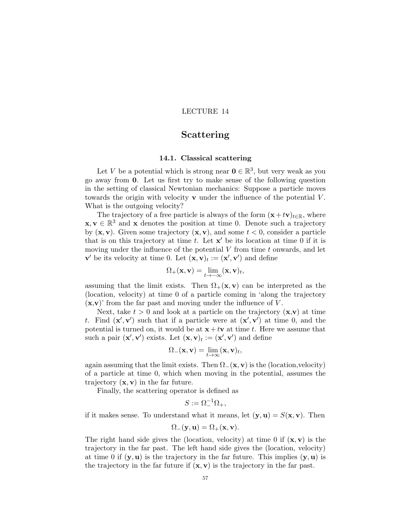# Scattering

## 14.1. Classical scattering

Let V be a potential which is strong near  $\mathbf{0} \in \mathbb{R}^3$ , but very weak as you go away from 0. Let us first try to make sense of the following question in the setting of classical Newtonian mechanics: Suppose a particle moves towards the origin with velocity  $\bf{v}$  under the influence of the potential  $\bf{V}$ . What is the outgoing velocity?

The trajectory of a free particle is always of the form  $(x+tv)_{t\in\mathbb{R}}$ , where  $\mathbf{x}, \mathbf{v} \in \mathbb{R}^3$  and  $\mathbf{x}$  denotes the position at time 0. Denote such a trajectory by  $(x, v)$ . Given some trajectory  $(x, v)$ , and some  $t < 0$ , consider a particle that is on this trajectory at time  $t$ . Let  $\mathbf{x}'$  be its location at time 0 if it is moving under the influence of the potential  $V$  from time  $t$  onwards, and let  $\mathbf{v}'$  be its velocity at time 0. Let  $(\mathbf{x}, \mathbf{v})_t := (\mathbf{x}', \mathbf{v}')$  and define

$$
\Omega_{+}(\mathbf{x},\mathbf{v})=\lim_{t\rightarrow -\infty}(\mathbf{x},\mathbf{v})_t,
$$

assuming that the limit exists. Then  $\Omega_+(\mathbf{x}, \mathbf{v})$  can be interpreted as the (location, velocity) at time 0 of a particle coming in 'along the trajectory  $(x, v)$  from the far past and moving under the influence of V.

Next, take  $t > 0$  and look at a particle on the trajectory  $(x, v)$  at time t. Find  $(\mathbf{x}', \mathbf{v}')$  such that if a particle were at  $(\mathbf{x}', \mathbf{v}')$  at time 0, and the potential is turned on, it would be at  $\mathbf{x} + t\mathbf{v}$  at time t. Here we assume that such a pair  $(\mathbf{x}', \mathbf{v}')$  exists. Let  $(\mathbf{x}, \mathbf{v})_t := (\mathbf{x}', \mathbf{v}')$  and define

$$
\Omega_{-}(\mathbf{x}, \mathbf{v}) = \lim_{t \to \infty} (\mathbf{x}, \mathbf{v})_t,
$$

again assuming that the limit exists. Then  $\Omega$ <sub>−</sub>(**x**, **v**) is the (location, velocity) of a particle at time 0, which when moving in the potential, assumes the trajectory  $(x, v)$  in the far future.

Finally, the scattering operator is defined as

$$
S:=\Omega_-^{-1}\Omega_+,
$$

if it makes sense. To understand what it means, let  $(\mathbf{y}, \mathbf{u}) = S(\mathbf{x}, \mathbf{v})$ . Then

$$
\Omega_{-}(\mathbf{y},\mathbf{u})=\Omega_{+}(\mathbf{x},\mathbf{v}).
$$

The right hand side gives the (location, velocity) at time 0 if  $(\mathbf{x}, \mathbf{v})$  is the trajectory in the far past. The left hand side gives the (location, velocity) at time 0 if  $(y, u)$  is the trajectory in the far future. This implies  $(y, u)$  is the trajectory in the far future if  $(x, v)$  is the trajectory in the far past.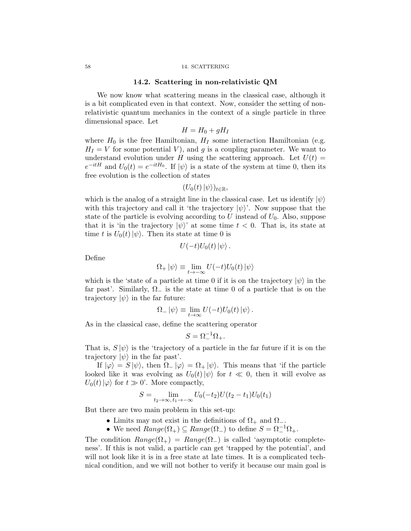#### 58 14. SCATTERING

#### 14.2. Scattering in non-relativistic QM

We now know what scattering means in the classical case, although it is a bit complicated even in that context. Now, consider the setting of nonrelativistic quantum mechanics in the context of a single particle in three dimensional space. Let

$$
H = H_0 + gH_I
$$

where  $H_0$  is the free Hamiltonian,  $H_I$  some interaction Hamiltonian (e.g.  $H_I = V$  for some potential V), and g is a coupling parameter. We want to understand evolution under H using the scattering approach. Let  $U(t)$  =  $e^{-itH}$  and  $U_0(t) = e^{-itH_0}$ . If  $|\psi\rangle$  is a state of the system at time 0, then its free evolution is the collection of states

$$
(U_0(t)\ket{\psi})_{t\in\mathbb{R}},
$$

which is the analog of a straight line in the classical case. Let us identify  $|\psi\rangle$ with this trajectory and call it 'the trajectory  $|\psi\rangle$ '. Now suppose that the state of the particle is evolving according to U instead of  $U_0$ . Also, suppose that it is 'in the trajectory  $|\psi\rangle$ ' at some time  $t < 0$ . That is, its state at time t is  $U_0(t)|\psi\rangle$ . Then its state at time 0 is

$$
U(-t)U_0(t)\ket{\psi}.
$$

Define

$$
\Omega_+ |\psi\rangle \equiv \lim_{t \to -\infty} U(-t)U_0(t) |\psi\rangle
$$

which is the 'state of a particle at time 0 if it is on the trajectory  $|\psi\rangle$  in the far past'. Similarly,  $\Omega_{-}$  is the state at time 0 of a particle that is on the trajectory  $|\psi\rangle$  in the far future:

$$
\Omega_{-} |\psi\rangle \equiv \lim_{t \to \infty} U(-t)U_{0}(t) |\psi\rangle.
$$

As in the classical case, define the scattering operator

$$
S=\Omega_-^{-1}\Omega_+.
$$

That is,  $S|\psi\rangle$  is the 'trajectory of a particle in the far future if it is on the trajectory  $|\psi\rangle$  in the far past'.

If  $|\varphi\rangle = S |\psi\rangle$ , then  $\Omega_- |\varphi\rangle = \Omega_+ |\psi\rangle$ . This means that 'if the particle looked like it was evolving as  $U_0(t)|\psi\rangle$  for  $t \ll 0$ , then it will evolve as  $U_0(t)|\varphi\rangle$  for  $t \gg 0'$ . More compactly,

$$
S = \lim_{t_2 \to \infty, t_1 \to -\infty} U_0(-t_2)U(t_2 - t_1)U_0(t_1)
$$

But there are two main problem in this set-up:

- Limits may not exist in the definitions of  $\Omega_+$  and  $\Omega_-$ .
- We need  $Range(\Omega_+) \subseteq Range(\Omega_-)$  to define  $S = \Omega_-^{-1} \Omega_+$ .

The condition  $Range(\Omega_+) = Range(\Omega_-)$  is called 'asymptotic completeness'. If this is not valid, a particle can get 'trapped by the potential', and will not look like it is in a free state at late times. It is a complicated technical condition, and we will not bother to verify it because our main goal is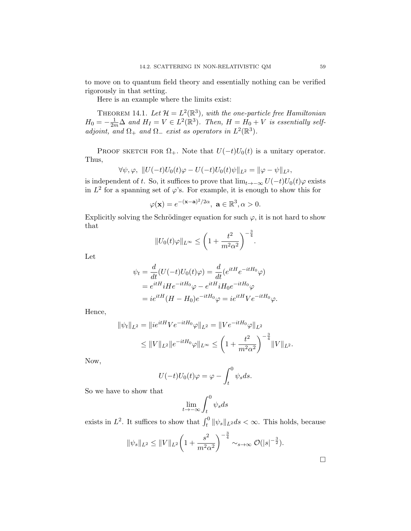to move on to quantum field theory and essentially nothing can be verified rigorously in that setting.

Here is an example where the limits exist:

THEOREM 14.1. Let  $\mathcal{H} = L^2(\mathbb{R}^3)$ , with the one-particle free Hamiltonian  $H_0 = -\frac{1}{2m}\Delta$  and  $H_I = V \in L^2(\mathbb{R}^3)$ . Then,  $H = H_0 + V$  is essentially selfadjoint, and  $\Omega_+$  and  $\Omega_-$  exist as operators in  $L^2(\mathbb{R}^3)$ .

PROOF SKETCH FOR  $\Omega_+$ . Note that  $U(-t)U_0(t)$  is a unitary operator. Thus,

$$
\forall \psi, \varphi, \; \|U(-t)U_0(t)\varphi - U(-t)U_0(t)\psi\|_{L^2} = \|\varphi - \psi\|_{L^2},
$$

is independent of t. So, it suffices to prove that  $\lim_{t\to-\infty} U(-t)U_0(t)\varphi$  exists in  $L^2$  for a spanning set of  $\varphi$ 's. For example, it is enough to show this for

$$
\varphi(\mathbf{x}) = e^{-(\mathbf{x}-\mathbf{a})^2/2\alpha}, \ \mathbf{a} \in \mathbb{R}^3, \alpha > 0.
$$

Explicitly solving the Schrödinger equation for such  $\varphi$ , it is not hard to show that

$$
||U_0(t)\varphi||_{L^{\infty}} \le \left(1 + \frac{t^2}{m^2 \alpha^2}\right)^{-\frac{3}{4}}.
$$

Let

$$
\psi_t = \frac{d}{dt}(U(-t)U_0(t)\varphi) = \frac{d}{dt}(e^{itH}e^{-itH_0}\varphi)
$$
  
=  $e^{itH}iHe^{-itH_0}\varphi - e^{itH}iH_0e^{-itH_0}\varphi$   
=  $ie^{itH}(H - H_0)e^{-itH_0}\varphi = ie^{itH}Ve^{-itH_0}\varphi.$ 

Hence,

$$
\|\psi_t\|_{L^2} = \|ie^{itH}Ve^{-itH_0}\varphi\|_{L^2} = \|Ve^{-itH_0}\varphi\|_{L^2}
$$
  

$$
\leq \|V\|_{L^2} \|e^{-itH_0}\varphi\|_{L^\infty} \leq \left(1 + \frac{t^2}{m^2\alpha^2}\right)^{-\frac{3}{4}} \|V\|_{L^2}.
$$

Now,

$$
U(-t)U_0(t)\varphi = \varphi - \int_t^0 \psi_s ds.
$$

So we have to show that

$$
\lim_{t \to -\infty} \int_t^0 \psi_s ds
$$

exists in  $L^2$ . It suffices to show that  $\int_t^0 ||\psi_s||_{L^2} ds < \infty$ . This holds, because

$$
\|\psi_s\|_{L^2} \le \|V\|_{L^2} \left(1 + \frac{s^2}{m^2 \alpha^2}\right)^{-\frac{3}{4}} \sim_{s \to \infty} \mathcal{O}(|s|^{-\frac{3}{2}}).
$$

 $\Box$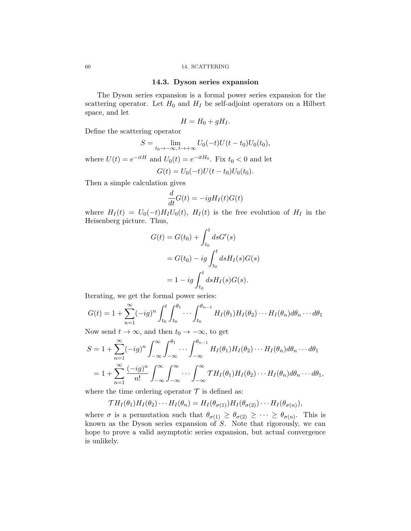#### 14.3. Dyson series expansion

The Dyson series expansion is a formal power series expansion for the scattering operator. Let  $H_0$  and  $H_I$  be self-adjoint operators on a Hilbert space, and let

$$
H = H_0 + gH_I.
$$

Define the scattering operator

$$
S = \lim_{t_0 \to -\infty, t \to +\infty} U_0(-t)U(t - t_0)U_0(t_0),
$$

where  $U(t) = e^{-itH}$  and  $U_0(t) = e^{-itH_0}$ . Fix  $t_0 < 0$  and let

$$
G(t) = U_0(-t)U(t - t_0)U_0(t_0).
$$

Then a simple calculation gives

$$
\frac{d}{dt}G(t) = -igH_I(t)G(t)
$$

where  $H_I(t) = U_0(-t)H_I U_0(t)$ ,  $H_I(t)$  is the free evolution of  $H_I$  in the Heisenberg picture. Thus,

$$
G(t) = G(t_0) + \int_{t_0}^t ds G'(s)
$$
  
=  $G(t_0) - ig \int_{t_0}^t ds H_I(s)G(s)$   
=  $1 - ig \int_{t_0}^t ds H_I(s)G(s)$ .

Iterating, we get the formal power series:

$$
G(t) = 1 + \sum_{n=1}^{\infty} (-ig)^n \int_{t_0}^t \int_{t_0}^{\theta_1} \cdots \int_{t_0}^{\theta_{n-1}} H_I(\theta_1) H_I(\theta_2) \cdots H_I(\theta_n) d\theta_n \cdots d\theta_1
$$

Now send  $t \to \infty$ , and then  $t_0 \to -\infty$ , to get

$$
S = 1 + \sum_{n=1}^{\infty} (-ig)^n \int_{-\infty}^{\infty} \int_{-\infty}^{\theta_1} \cdots \int_{-\infty}^{\theta_{n-1}} H_I(\theta_1) H_I(\theta_2) \cdots H_I(\theta_n) d\theta_n \cdots d\theta_1
$$
  
=  $1 + \sum_{n=1}^{\infty} \frac{(-ig)^n}{n!} \int_{-\infty}^{\infty} \int_{-\infty}^{\infty} \cdots \int_{-\infty}^{\infty} TH_I(\theta_1) H_I(\theta_2) \cdots H_I(\theta_n) d\theta_n \cdots d\theta_1$ ,

where the time ordering operator  $\mathcal T$  is defined as:

$$
\mathcal{T}H_I(\theta_1)H_I(\theta_2)\cdots H_I(\theta_n)=H_I(\theta_{\sigma(1)})H_I(\theta_{\sigma(2)})\cdots H_I(\theta_{\sigma(n)}),
$$

where  $\sigma$  is a permutation such that  $\theta_{\sigma(1)} \geq \theta_{\sigma(2)} \geq \cdots \geq \theta_{\sigma(n)}$ . This is known as the Dyson series expansion of  $S$ . Note that rigorously, we can hope to prove a valid asymptotic series expansion, but actual convergence is unlikely.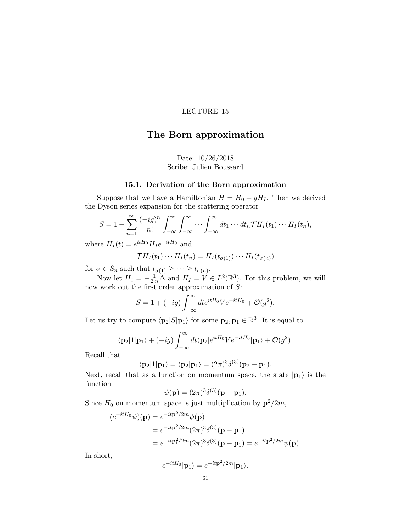# The Born approximation

# Date: 10/26/2018 Scribe: Julien Boussard

## 15.1. Derivation of the Born approximation

Suppose that we have a Hamiltonian  $H = H_0 + gH_I$ . Then we derived the Dyson series expansion for the scattering operator

$$
S=1+\sum_{n=1}^{\infty}\frac{(-ig)^n}{n!}\int_{-\infty}^{\infty}\int_{-\infty}^{\infty}\cdots\int_{-\infty}^{\infty}dt_1\cdots dt_n\mathcal{T}H_I(t_1)\cdots H_I(t_n),
$$

where  $H_I(t) = e^{itH_0} H_I e^{-itH_0}$  and

$$
\mathcal{T}H_I(t_1)\cdots H_I(t_n)=H_I(t_{\sigma(1)})\cdots H_I(t_{\sigma(n)})
$$

for  $\sigma \in S_n$  such that  $t_{\sigma(1)} \geq \cdots \geq t_{\sigma(n)}$ .

Now let  $H_0 = -\frac{1}{2m}\Delta$  and  $H_I = V \in L^2(\mathbb{R}^3)$ . For this problem, we will now work out the first order approximation of S:

$$
S = 1 + (-ig) \int_{-\infty}^{\infty} dt e^{itH_0} V e^{-itH_0} + \mathcal{O}(g^2).
$$

Let us try to compute  $\langle \mathbf{p}_2|S|\mathbf{p}_1\rangle$  for some  $\mathbf{p}_2, \mathbf{p}_1 \in \mathbb{R}^3$ . It is equal to

$$
\langle \mathbf{p}_2 | 1 | \mathbf{p}_1 \rangle + (-ig) \int_{-\infty}^{\infty} dt \langle \mathbf{p}_2 | e^{itH_0} V e^{-itH_0} | \mathbf{p}_1 \rangle + \mathcal{O}(g^2).
$$

Recall that

$$
\langle \mathbf{p}_2|1|\mathbf{p}_1\rangle = \langle \mathbf{p}_2|\mathbf{p}_1\rangle = (2\pi)^3 \delta^{(3)}(\mathbf{p}_2 - \mathbf{p}_1).
$$

Next, recall that as a function on momentum space, the state  $|\mathbf{p}_1\rangle$  is the function

$$
\psi(\mathbf{p}) = (2\pi)^3 \delta^{(3)}(\mathbf{p} - \mathbf{p}_1).
$$

Since  $H_0$  on momentum space is just multiplication by  $p^2/2m$ ,

$$
(e^{-itH_0}\psi)(\mathbf{p}) = e^{-it\mathbf{p}^2/2m}\psi(\mathbf{p})
$$
  
=  $e^{-it\mathbf{p}^2/2m}(2\pi)^3\delta^{(3)}(\mathbf{p}-\mathbf{p}_1)$   
=  $e^{-it\mathbf{p}_1^2/2m}(2\pi)^3\delta^{(3)}(\mathbf{p}-\mathbf{p}_1) = e^{-it\mathbf{p}_1^2/2m}\psi(\mathbf{p}).$ 

In short,

$$
e^{-itH_0}|\mathbf{p}_1\rangle = e^{-it\mathbf{p}_1^2/2m}|\mathbf{p}_1\rangle.
$$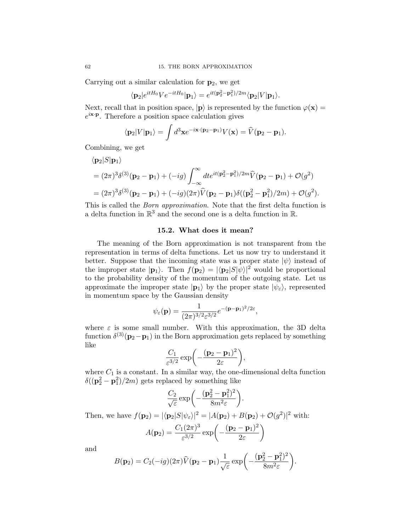Carrying out a similar calculation for  $p_2$ , we get

$$
\langle \mathbf{p}_2|e^{itH_0}Ve^{-itH_0}|\mathbf{p}_1\rangle = e^{it(\mathbf{p}_2^2-\mathbf{p}_1^2)/2m}\langle \mathbf{p}_2|V|\mathbf{p}_1\rangle.
$$

Next, recall that in position space,  $|{\bf p}\rangle$  is represented by the function  $\varphi({\bf x}) =$  $e^{i\mathbf{x}\cdot\mathbf{p}}$ . Therefore a position space calculation gives

$$
\langle \mathbf{p}_2 | V | \mathbf{p}_1 \rangle = \int d^3 \mathbf{x} e^{-i \mathbf{x} \cdot (\mathbf{p}_2 - \mathbf{p}_1)} V(\mathbf{x}) = \widehat{V}(\mathbf{p}_2 - \mathbf{p}_1).
$$

Combining, we get

$$
\langle \mathbf{p}_2 | S | \mathbf{p}_1 \rangle
$$
  
=  $(2\pi)^3 \delta^{(3)}(\mathbf{p}_2 - \mathbf{p}_1) + (-ig) \int_{-\infty}^{\infty} dt e^{it(\mathbf{p}_2^2 - \mathbf{p}_1^2)/2m} \hat{V}(\mathbf{p}_2 - \mathbf{p}_1) + \mathcal{O}(g^2)$   
=  $(2\pi)^3 \delta^{(3)}(\mathbf{p}_2 - \mathbf{p}_1) + (-ig)(2\pi) \hat{V}(\mathbf{p}_2 - \mathbf{p}_1) \delta((\mathbf{p}_2^2 - \mathbf{p}_1^2)/2m) + \mathcal{O}(g^2).$ 

This is called the Born approximation. Note that the first delta function is a delta function in  $\mathbb{R}^3$  and the second one is a delta function in  $\mathbb{R}$ .

## 15.2. What does it mean?

The meaning of the Born approximation is not transparent from the representation in terms of delta functions. Let us now try to understand it better. Suppose that the incoming state was a proper state  $|\psi\rangle$  instead of the improper state  $|\mathbf{p}_1\rangle$ . Then  $f(\mathbf{p}_2) = |\langle \mathbf{p}_2|S|\psi\rangle|^2$  would be proportional to the probability density of the momentum of the outgoing state. Let us approximate the improper state  $|\mathbf{p}_1\rangle$  by the proper state  $|\psi_{\varepsilon}\rangle$ , represented in momentum space by the Gaussian density

$$
\psi_{\varepsilon}(\mathbf{p}) = \frac{1}{(2\pi)^{3/2} \varepsilon^{3/2}} e^{-(\mathbf{p}-\mathbf{p}_1)^2/2\varepsilon},
$$

where  $\varepsilon$  is some small number. With this approximation, the 3D delta function  $\delta^{(3)}(\mathbf{p}_2-\mathbf{p}_1)$  in the Born approximation gets replaced by something like

$$
\frac{C_1}{\varepsilon^{3/2}}\exp\biggl(-\frac{(\mathbf{p}_2-\mathbf{p}_1)^2}{2\varepsilon}\biggr),\,
$$

where  $C_1$  is a constant. In a similar way, the one-dimensional delta function  $\delta((\mathbf{p}_2^2 - \mathbf{p}_1^2)/2m)$  gets replaced by something like

$$
\frac{C_2}{\sqrt{\varepsilon}}\exp\bigg(-\frac{(\mathbf{p}_2^2-\mathbf{p}_1^2)^2}{8m^2\varepsilon}\bigg).
$$

Then, we have  $f(\mathbf{p}_2) = |\langle \mathbf{p}_2 | S | \psi_\varepsilon \rangle|^2 = |A(\mathbf{p}_2) + B(\mathbf{p}_2) + \mathcal{O}(g^2)|^2$  with:

$$
A(\mathbf{p}_2) = \frac{C_1(2\pi)^3}{\varepsilon^{3/2}} \exp\left(-\frac{(\mathbf{p}_2 - \mathbf{p}_1)^2}{2\varepsilon}\right)
$$

and

$$
B(\mathbf{p}_2) = C_2(-ig)(2\pi)\widehat{V}(\mathbf{p}_2 - \mathbf{p}_1)\frac{1}{\sqrt{\varepsilon}}\exp\left(-\frac{(\mathbf{p}_2^2 - \mathbf{p}_1^2)^2}{8m^2\varepsilon}\right).
$$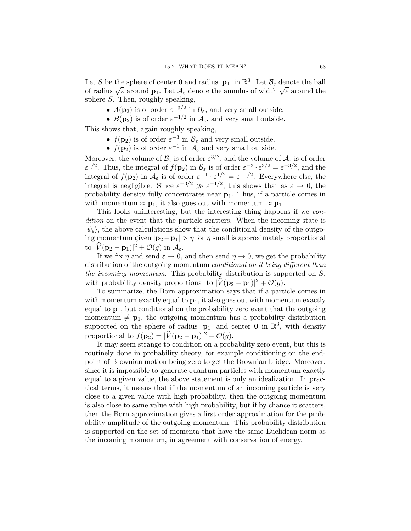Let S be the sphere of center **0** and radius  $|\mathbf{p}_1|$  in  $\mathbb{R}^3$ . Let  $\mathcal{B}_{\varepsilon}$  denote the ball of radius  $\sqrt{\varepsilon}$  around **p**<sub>1</sub>. Let  $\mathcal{A}_{\varepsilon}$  denote the annulus of width  $\sqrt{\varepsilon}$  around the sphere S. Then, roughly speaking,

- $A(\mathbf{p}_2)$  is of order  $\varepsilon^{-3/2}$  in  $\mathcal{B}_{\varepsilon}$ , and very small outside.
- $B(\mathbf{p}_2)$  is of order  $\varepsilon^{-1/2}$  in  $\mathcal{A}_{\varepsilon}$ , and very small outside.

This shows that, again roughly speaking,

- $f(\mathbf{p}_2)$  is of order  $\varepsilon^{-3}$  in  $\mathcal{B}_{\varepsilon}$  and very small outside.
- $f(\mathbf{p}_2)$  is of order  $\varepsilon^{-1}$  in  $\mathcal{A}_{\varepsilon}$  and very small outside.

Moreover, the volume of  $\mathcal{B}_{\varepsilon}$  is of order  $\varepsilon^{3/2}$ , and the volume of  $\mathcal{A}_{\varepsilon}$  is of order  $\varepsilon^{1/2}$ . Thus, the integral of  $f(\mathbf{p}_2)$  in  $\mathcal{B}_{\varepsilon}$  is of order  $\varepsilon^{-3} \cdot \varepsilon^{3/2} = \varepsilon^{-3/2}$ , and the integral of  $f(\mathbf{p}_2)$  in  $\mathcal{A}_{\varepsilon}$  is of order  $\varepsilon^{-1} \cdot \varepsilon^{1/2} = \varepsilon^{-1/2}$ . Everywhere else, the integral is negligible. Since  $\varepsilon^{-3/2} \gg \varepsilon^{-1/2}$ , this shows that as  $\varepsilon \to 0$ , the probability density fully concentrates near  $p_1$ . Thus, if a particle comes in with momentum  $\approx \mathbf{p}_1$ , it also goes out with momentum  $\approx \mathbf{p}_1$ .

This looks uninteresting, but the interesting thing happens if we condition on the event that the particle scatters. When the incoming state is  $|\psi_{\varepsilon}\rangle$ , the above calculations show that the conditional density of the outgoing momentum given  $|\mathbf{p}_2 - \mathbf{p}_1| > \eta$  for  $\eta$  small is approximately proportional to  $|\widehat{V}(\mathbf{p}_2 - \mathbf{p}_1)|^2 + \mathcal{O}(g)$  in  $\mathcal{A}_{\varepsilon}$ .

If we fix  $\eta$  and send  $\varepsilon \to 0$ , and then send  $\eta \to 0$ , we get the probability distribution of the outgoing momentum *conditional on it being different than* the incoming momentum. This probability distribution is supported on  $S$ , with probability density proportional to  $|\hat{V}(\mathbf{p}_2 - \mathbf{p}_1)|^2 + \mathcal{O}(g)$ .

To summarize, the Born approximation says that if a particle comes in with momentum exactly equal to  $\mathbf{p}_1$ , it also goes out with momentum exactly equal to  $p_1$ , but conditional on the probability zero event that the outgoing momentum  $\neq$  **p**<sub>1</sub>, the outgoing momentum has a probability distribution supported on the sphere of radius  $|\mathbf{p}_1|$  and center **0** in  $\mathbb{R}^3$ , with density proportional to  $f(\mathbf{p}_2) = |\hat{V}(\mathbf{p}_2 - \mathbf{p}_1)|^2 + \mathcal{O}(g)$ .

It may seem strange to condition on a probability zero event, but this is routinely done in probability theory, for example conditioning on the endpoint of Brownian motion being zero to get the Brownian bridge. Moreover, since it is impossible to generate quantum particles with momentum exactly equal to a given value, the above statement is only an idealization. In practical terms, it means that if the momentum of an incoming particle is very close to a given value with high probability, then the outgoing momentum is also close to same value with high probability, but if by chance it scatters, then the Born approximation gives a first order approximation for the probability amplitude of the outgoing momentum. This probability distribution is supported on the set of momenta that have the same Euclidean norm as the incoming momentum, in agreement with conservation of energy.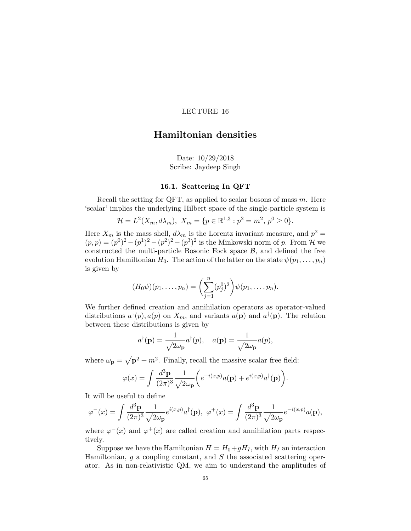# Hamiltonian densities

Date: 10/29/2018 Scribe: Jaydeep Singh

#### 16.1. Scattering In QFT

Recall the setting for QFT, as applied to scalar bosons of mass  $m$ . Here 'scalar' implies the underlying Hilbert space of the single-particle system is

$$
\mathcal{H} = L^{2}(X_{m}, d\lambda_{m}), \ X_{m} = \{p \in \mathbb{R}^{1,3} : p^{2} = m^{2}, p^{0} \ge 0\}.
$$

Here  $X_m$  is the mass shell,  $d\lambda_m$  is the Lorentz invariant measure, and  $p^2 =$  $(p, p) = (p^0)^2 - (p^1)^2 - (p^2)^2 - (p^3)^2$  is the Minkowski norm of p. From H we constructed the multi-particle Bosonic Fock space  $B$ , and defined the free evolution Hamiltonian  $H_0$ . The action of the latter on the state  $\psi(p_1, \ldots, p_n)$ is given by

$$
(H_0 \psi)(p_1, \ldots, p_n) = \left(\sum_{j=1}^n (p_j^0)^2\right) \psi(p_1, \ldots, p_n).
$$

We further defined creation and annihilation operators as operator-valued distributions  $a^{\dagger}(p), a(p)$  on  $X_m$ , and variants  $a(\mathbf{p})$  and  $a^{\dagger}(\mathbf{p})$ . The relation between these distributions is given by

$$
a^{\dagger}(\mathbf{p}) = \frac{1}{\sqrt{2\omega_{\mathbf{p}}}} a^{\dagger}(p), \quad a(\mathbf{p}) = \frac{1}{\sqrt{2\omega_{\mathbf{p}}}} a(p),
$$

where  $\omega_{\mathbf{p}} = \sqrt{\mathbf{p}^2 + m^2}$ . Finally, recall the massive scalar free field:

$$
\varphi(x) = \int \frac{d^3 \mathbf{p}}{(2\pi)^3} \frac{1}{\sqrt{2\omega_{\mathbf{p}}}} \bigg( e^{-i(x,p)} a(\mathbf{p}) + e^{i(x,p)} a^{\dagger}(\mathbf{p}) \bigg).
$$

It will be useful to define

$$
\varphi^{-}(x) = \int \frac{d^3 \mathbf{p}}{(2\pi)^3} \frac{1}{\sqrt{2\omega_{\mathbf{p}}}} e^{i(x,p)} a^{\dagger}(\mathbf{p}), \ \varphi^{+}(x) = \int \frac{d^3 \mathbf{p}}{(2\pi)^3} \frac{1}{\sqrt{2\omega_{\mathbf{p}}}} e^{-i(x,p)} a(\mathbf{p}),
$$

where  $\varphi^{-}(x)$  and  $\varphi^{+}(x)$  are called creation and annihilation parts respectively.

Suppose we have the Hamiltonian  $H = H_0 + gH_I$ , with  $H_I$  an interaction Hamiltonian,  $g$  a coupling constant, and  $S$  the associated scattering operator. As in non-relativistic QM, we aim to understand the amplitudes of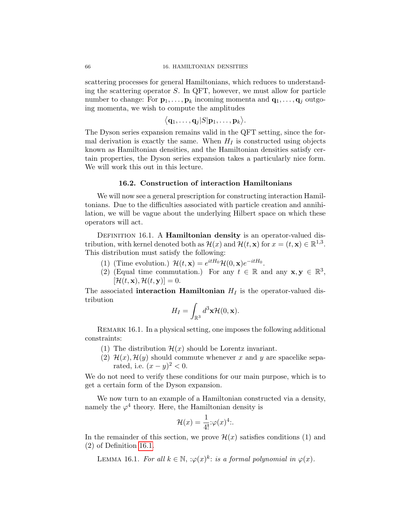scattering processes for general Hamiltonians, which reduces to understanding the scattering operator  $S$ . In QFT, however, we must allow for particle number to change: For  $\mathbf{p}_1, \ldots, \mathbf{p}_k$  incoming momenta and  $\mathbf{q}_1, \ldots, \mathbf{q}_i$  outgoing momenta, we wish to compute the amplitudes

$$
\langle \mathbf{q}_1,\ldots,\mathbf{q}_j|S|\mathbf{p}_1,\ldots,\mathbf{p}_k\rangle.
$$

The Dyson series expansion remains valid in the QFT setting, since the formal derivation is exactly the same. When  $H_I$  is constructed using objects known as Hamiltonian densities, and the Hamiltonian densities satisfy certain properties, the Dyson series expansion takes a particularly nice form. We will work this out in this lecture.

#### 16.2. Construction of interaction Hamiltonians

We will now see a general prescription for constructing interaction Hamiltonians. Due to the difficulties associated with particle creation and annihilation, we will be vague about the underlying Hilbert space on which these operators will act.

<span id="page-69-0"></span>DEFINITION 16.1. A Hamiltonian density is an operator-valued distribution, with kernel denoted both as  $\mathcal{H}(x)$  and  $\mathcal{H}(t, \mathbf{x})$  for  $x = (t, \mathbf{x}) \in \mathbb{R}^{1,3}$ . This distribution must satisfy the following:

- (1) (Time evolution.)  $\mathcal{H}(t, \mathbf{x}) = e^{itH_0}\mathcal{H}(0, \mathbf{x})e^{-itH_0}$ .
- (2) (Equal time commutation.) For any  $t \in \mathbb{R}$  and any  $\mathbf{x}, \mathbf{y} \in \mathbb{R}^3$ ,  $[\mathcal{H}(t, \mathbf{x}), \mathcal{H}(t, \mathbf{y})] = 0.$

The associated interaction Hamiltonian  $H_I$  is the operator-valued distribution

$$
H_I = \int_{\mathbb{R}^3} d^3 \mathbf{x} \mathcal{H}(0, \mathbf{x}).
$$

REMARK 16.1. In a physical setting, one imposes the following additional constraints:

- (1) The distribution  $\mathcal{H}(x)$  should be Lorentz invariant.
- (2)  $\mathcal{H}(x)$ ,  $\mathcal{H}(y)$  should commute whenever x and y are spacelike separated, i.e.  $(x - y)^2 < 0$ .

We do not need to verify these conditions for our main purpose, which is to get a certain form of the Dyson expansion.

We now turn to an example of a Hamiltonian constructed via a density, namely the  $\varphi^4$  theory. Here, the Hamiltonian density is

$$
\mathcal{H}(x) = \frac{1}{4!} \cdot \varphi(x)^4 \cdot .
$$

In the remainder of this section, we prove  $\mathcal{H}(x)$  satisfies conditions (1) and (2) of Definition [16.1.](#page-69-0)

LEMMA 16.1. For all  $k \in \mathbb{N}$ ,  $:\varphi(x)^k$ : is a formal polynomial in  $\varphi(x)$ .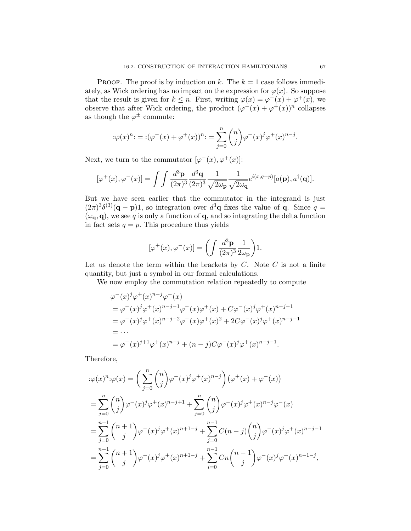PROOF. The proof is by induction on k. The  $k = 1$  case follows immediately, as Wick ordering has no impact on the expression for  $\varphi(x)$ . So suppose that the result is given for  $k \leq n$ . First, writing  $\varphi(x) = \varphi^{-}(x) + \varphi^{+}(x)$ , we observe that after Wick ordering, the product  $(\varphi^{-}(x) + \varphi^{+}(x))^{n}$  collapses as though the  $\varphi^{\pm}$  commute:

$$
:\!\varphi(x)^n\!:=(\varphi^-(x)+\varphi^+(x))^n\!:=\sum_{j=0}^n\binom{n}{j}\varphi^-(x)^j\varphi^+(x)^{n-j}.
$$

Next, we turn to the commutator  $[\varphi^-(x), \varphi^+(x)]$ :

$$
[\varphi^+(x), \varphi^-(x)] = \int \int \frac{d^3 \mathbf{p}}{(2\pi)^3} \frac{d^3 \mathbf{q}}{(2\pi)^3} \frac{1}{\sqrt{2\omega_\mathbf{p}}} \frac{1}{\sqrt{2\omega_\mathbf{q}}} e^{i(x,q-p)} [a(\mathbf{p}), a^\dagger(\mathbf{q})].
$$

But we have seen earlier that the commutator in the integrand is just  $(2\pi)^3 \delta^{(3)}(\mathbf{q}-\mathbf{p})$ 1, so integration over  $d^3\mathbf{q}$  fixes the value of **q**. Since  $q=$  $(\omega_{\mathbf{q}}, \mathbf{q})$ , we see q is only a function of  $\mathbf{q}$ , and so integrating the delta function in fact sets  $q = p$ . This procedure thus yields

$$
[\varphi^+(x), \varphi^-(x)] = \left(\int \frac{d^3 \mathbf{p}}{(2\pi)^3} \frac{1}{2\omega_{\mathbf{p}}}\right) 1.
$$

Let us denote the term within the brackets by  $C$ . Note  $C$  is not a finite quantity, but just a symbol in our formal calculations.

We now employ the commutation relation repeatedly to compute

$$
\varphi^-(x)^j \varphi^+(x)^{n-j} \varphi^-(x)
$$
  
=  $\varphi^-(x)^j \varphi^+(x)^{n-j-1} \varphi^-(x) \varphi^+(x) + C \varphi^-(x)^j \varphi^+(x)^{n-j-1}$   
=  $\varphi^-(x)^j \varphi^+(x)^{n-j-2} \varphi^-(x) \varphi^+(x)^2 + 2C \varphi^-(x)^j \varphi^+(x)^{n-j-1}$   
=  $\cdots$   
=  $\varphi^-(x)^{j+1} \varphi^+(x)^{n-j} + (n-j)C \varphi^-(x)^j \varphi^+(x)^{n-j-1}$ .

Therefore,

$$
\begin{split}\n&\,\psi(x)^n \cdot \varphi(x) = \bigg(\sum_{j=0}^n \binom{n}{j} \varphi^-(x)^j \varphi^+(x)^{n-j}\bigg) \big(\varphi^+(x) + \varphi^-(x)\big) \\
&= \sum_{j=0}^n \binom{n}{j} \varphi^-(x)^j \varphi^+(x)^{n-j+1} + \sum_{j=0}^n \binom{n}{j} \varphi^-(x)^j \varphi^+(x)^{n-j} \varphi^-(x) \\
&= \sum_{j=0}^{n+1} \binom{n+1}{j} \varphi^-(x)^j \varphi^+(x)^{n+1-j} + \sum_{j=0}^{n-1} C(n-j) \binom{n}{j} \varphi^-(x)^j \varphi^+(x)^{n-j-1} \\
&= \sum_{j=0}^{n+1} \binom{n+1}{j} \varphi^-(x)^j \varphi^+(x)^{n+1-j} + \sum_{i=0}^{n-1} Cn \binom{n-1}{j} \varphi^-(x)^j \varphi^+(x)^{n-1-j},\n\end{split}
$$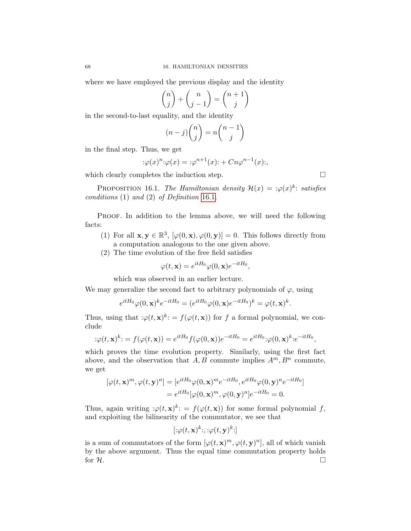where we have employed the previous display and the identity

$$
\binom{n}{j} + \binom{n}{j-1} = \binom{n+1}{j}
$$

in the second-to-last equality, and the identity

$$
(n-j)\binom{n}{j} = n\binom{n-1}{j}
$$

in the final step. Thus, we get

$$
\varphi(x)^n \colon \varphi(x) = \varphi^{n+1}(x) \colon + Cn\varphi^{n-1}(x) \colon,
$$

which clearly completes the induction step.  $\Box$ 

 $\ddot{\phantom{a}}$ :

PROPOSITION 16.1. The Hamiltonian density  $\mathcal{H}(x) = \mathcal{L}(\theta|x)^k$ : satisfies conditions  $(1)$  and  $(2)$  of Definition [16.1](#page-69-0).

PROOF. In addition to the lemma above, we will need the following facts:

- (1) For all  $\mathbf{x}, \mathbf{y} \in \mathbb{R}^3$ ,  $[\varphi(0, \mathbf{x}), \varphi(0, \mathbf{y})] = 0$ . This follows directly from a computation analogous to the one given above.
- (2) The time evolution of the free field satisfies

$$
\varphi(t, \mathbf{x}) = e^{itH_0} \varphi(0, \mathbf{x}) e^{-itH_0},
$$

which was observed in an earlier lecture.

We may generalize the second fact to arbitrary polynomials of  $\varphi$ , using

$$
e^{itH_0}\varphi(0,\mathbf{x})^k e^{-itH_0} = (e^{itH_0}\varphi(0,\mathbf{x})e^{-itH_0})^k = \varphi(t,\mathbf{x})^k.
$$

Thus, using that  $:\varphi(t,\mathbf{x})^k := f(\varphi(t,\mathbf{x}))$  for f a formal polynomial, we conclude

$$
\mathcal{L}\varphi(t,\mathbf{x})^k = f(\varphi(t,\mathbf{x})) = e^{itH_0}f(\varphi(0,\mathbf{x}))e^{-itH_0} = e^{itH_0}\mathcal{L}(\varphi(0,\mathbf{x})^k)e^{-itH_0},
$$

which proves the time evolution property. Similarly, using the first fact above, and the observation that  $A, B$  commute implies  $A^m, B^n$  commute, we get

$$
[\varphi(t, \mathbf{x})^m, \varphi(t, \mathbf{y})^n] = [e^{itH_0} \varphi(0, \mathbf{x})^m e^{-itH_0}, e^{itH_0} \varphi(0, \mathbf{y})^n e^{-itH_0}]
$$
  
=  $e^{itH_0} [\varphi(0, \mathbf{x})^m, \varphi(0, \mathbf{y})^n] e^{-itH_0} = 0.$ 

Thus, again writing  $:\varphi(t,\mathbf{x})^k: = f(\varphi(t,\mathbf{x}))$  for some formal polynomial f, and exploiting the bilinearity of the commutator, we see that

$$
[\mathbf{:}\varphi(t,\mathbf{x})^k\mathbf{:},\mathbf{:}\varphi(t,\mathbf{y})^k\mathbf{:}]
$$

is a sum of commutators of the form  $[\varphi(t, \mathbf{x})^m, \varphi(t, \mathbf{y})^n]$ , all of which vanish by the above argument. Thus the equal time commutation property holds for  $\mathcal{H}.$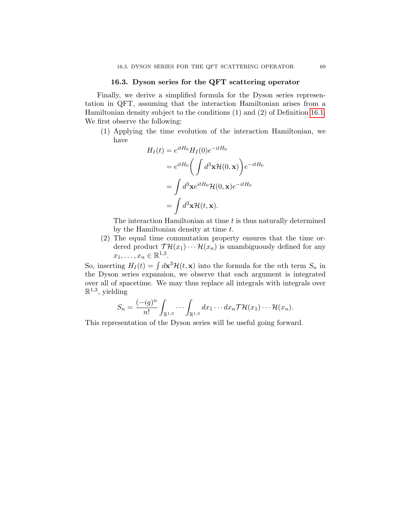### 16.3. Dyson series for the QFT scattering operator

Finally, we derive a simplified formula for the Dyson series representation in QFT, assuming that the interaction Hamiltonian arises from a Hamiltonian density subject to the conditions (1) and (2) of Definition [16.1.](#page-69-0) We first observe the following:

(1) Applying the time evolution of the interaction Hamiltonian, we have

$$
H_I(t) = e^{itH_0} H_I(0) e^{-itH_0}
$$
  
=  $e^{itH_0} \left( \int d^3 \mathbf{x} \mathcal{H}(0, \mathbf{x}) \right) e^{-itH_0}$   
=  $\int d^3 \mathbf{x} e^{itH_0} \mathcal{H}(0, \mathbf{x}) e^{-itH_0}$   
=  $\int d^3 \mathbf{x} \mathcal{H}(t, \mathbf{x}).$ 

The interaction Hamiltonian at time  $t$  is thus naturally determined by the Hamiltonian density at time t.

(2) The equal time commutation property ensures that the time ordered product  $\mathcal{T}H(x_1)\cdots \mathcal{H}(x_n)$  is unambiguously defined for any  $x_1, \ldots, x_n \in \mathbb{R}^{1,3}.$ 

So, inserting  $H_I(t) = \int d\mathbf{x}^3 \mathcal{H}(t, \mathbf{x})$  into the formula for the *n*th term  $S_n$  in the Dyson series expansion, we observe that each argument is integrated over all of spacetime. We may thus replace all integrals with integrals over  $\mathbb{R}^{1,3}$ , yielding

$$
S_n = \frac{(-ig)^n}{n!} \int_{\mathbb{R}^{1,3}} \cdots \int_{\mathbb{R}^{1,3}} dx_1 \cdots dx_n \mathcal{TH}(x_1) \cdots \mathcal{H}(x_n).
$$

This representation of the Dyson series will be useful going forward.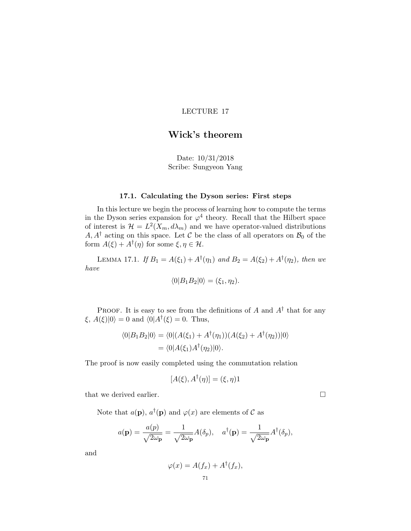# Wick's theorem

Date: 10/31/2018 Scribe: Sungyeon Yang

### 17.1. Calculating the Dyson series: First steps

In this lecture we begin the process of learning how to compute the terms in the Dyson series expansion for  $\varphi^4$  theory. Recall that the Hilbert space of interest is  $\mathcal{H} = L^2(X_m, d\lambda_m)$  and we have operator-valued distributions  $A, A^{\dagger}$  acting on this space. Let C be the class of all operators on  $\mathcal{B}_0$  of the form  $A(\xi) + A^{\dagger}(\eta)$  for some  $\xi, \eta \in \mathcal{H}$ .

<span id="page-74-0"></span>LEMMA 17.1. If  $B_1 = A(\xi_1) + A^{\dagger}(\eta_1)$  and  $B_2 = A(\xi_2) + A^{\dagger}(\eta_2)$ , then we have

$$
\langle 0|B_1B_2|0\rangle = (\xi_1,\eta_2).
$$

PROOF. It is easy to see from the definitions of A and  $A^{\dagger}$  that for any  $\xi$ ,  $A(\xi)|0\rangle = 0$  and  $\langle 0|A^{\dagger}(\xi) = 0$ . Thus,

$$
\langle 0|B_1B_2|0\rangle = \langle 0|(A(\xi_1) + A^{\dagger}(\eta_1))(A(\xi_2) + A^{\dagger}(\eta_2))|0\rangle
$$
  
= 
$$
\langle 0|A(\xi_1)A^{\dagger}(\eta_2)|0\rangle.
$$

The proof is now easily completed using the commutation relation

$$
[A(\xi), A^{\dagger}(\eta)] = (\xi, \eta)1
$$

that we derived earlier.

Note that  $a(\mathbf{p}), a^{\dagger}(\mathbf{p})$  and  $\varphi(x)$  are elements of  $\mathcal C$  as

$$
a(\mathbf{p}) = \frac{a(p)}{\sqrt{2\omega_{\mathbf{p}}}} = \frac{1}{\sqrt{2\omega_{\mathbf{p}}}} A(\delta_p), \quad a^{\dagger}(\mathbf{p}) = \frac{1}{\sqrt{2\omega_{\mathbf{p}}}} A^{\dagger}(\delta_p),
$$

and

$$
\varphi(x) = A(f_x) + A^{\dagger}(f_x),
$$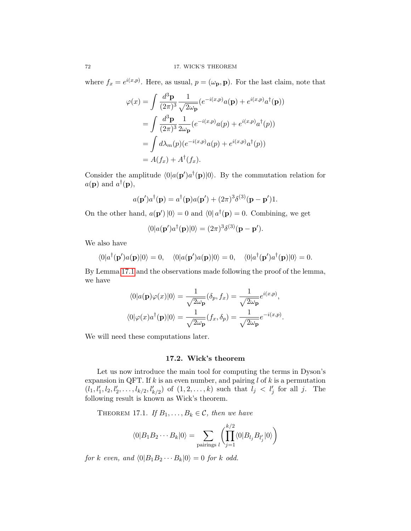where  $f_x = e^{i(x,p)}$ . Here, as usual,  $p = (\omega_p, \mathbf{p})$ . For the last claim, note that

$$
\varphi(x) = \int \frac{d^3 \mathbf{p}}{(2\pi)^3} \frac{1}{\sqrt{2\omega_{\mathbf{p}}}} (e^{-i(x,p)} a(\mathbf{p}) + e^{i(x,p)} a^{\dagger}(\mathbf{p}))
$$
  
= 
$$
\int \frac{d^3 \mathbf{p}}{(2\pi)^3} \frac{1}{2\omega_{\mathbf{p}}}(e^{-i(x,p)} a(p) + e^{i(x,p)} a^{\dagger}(p))
$$
  
= 
$$
\int d\lambda_m(p) (e^{-i(x,p)} a(p) + e^{i(x,p)} a^{\dagger}(p))
$$
  
= 
$$
A(f_x) + A^{\dagger}(f_x).
$$

Consider the amplitude  $\langle 0|a(\mathbf{p}')a^{\dagger}(\mathbf{p})|0\rangle$ . By the commutation relation for  $a(\mathbf{p})$  and  $a^{\dagger}(\mathbf{p}),$ 

$$
a(\mathbf{p}')a^{\dagger}(\mathbf{p}) = a^{\dagger}(\mathbf{p})a(\mathbf{p}') + (2\pi)^3 \delta^{(3)}(\mathbf{p} - \mathbf{p}')1.
$$

On the other hand,  $a(\mathbf{p}') |0\rangle = 0$  and  $\langle 0 | a^{\dagger}(\mathbf{p}) = 0$ . Combining, we get

$$
\langle 0|a(\mathbf{p}')a^{\dagger}(\mathbf{p})|0\rangle = (2\pi)^3 \delta^{(3)}(\mathbf{p}-\mathbf{p}').
$$

We also have

$$
\langle 0|a^{\dagger}(\mathbf{p}')a(\mathbf{p})|0\rangle = 0, \quad \langle 0|a(\mathbf{p}')a(\mathbf{p})|0\rangle = 0, \quad \langle 0|a^{\dagger}(\mathbf{p}')a^{\dagger}(\mathbf{p})|0\rangle = 0.
$$

By Lemma [17.1](#page-74-0) and the observations made following the proof of the lemma, we have

$$
\langle 0|a(\mathbf{p})\varphi(x)|0\rangle = \frac{1}{\sqrt{2\omega_{\mathbf{p}}}}(\delta_{p}, f_{x}) = \frac{1}{\sqrt{2\omega_{\mathbf{p}}}}e^{i(x,p)},
$$

$$
\langle 0|\varphi(x)a^{\dagger}(\mathbf{p})|0\rangle = \frac{1}{\sqrt{2\omega_{\mathbf{p}}}}(f_{x}, \delta_{p}) = \frac{1}{\sqrt{2\omega_{\mathbf{p}}}}e^{-i(x,p)}.
$$

We will need these computations later.

## 17.2. Wick's theorem

Let us now introduce the main tool for computing the terms in Dyson's expansion in QFT. If  $k$  is an even number, and pairing  $l$  of  $k$  is a permutation  $(l_1, l'_1, l_2, l'_2, \ldots, l_{k/2}, l'_{k/2})$  of  $(1, 2, \ldots, k)$  such that  $l_j < l'_j$  for all j. The following result is known as Wick's theorem.

THEOREM 17.1. If  $B_1, \ldots, B_k \in \mathcal{C}$ , then we have

$$
\langle 0|B_1B_2\cdots B_k|0\rangle = \sum_{\text{pairings }l} \left( \prod_{j=1}^{k/2} \langle 0|B_{l_j}B_{l'_j}|0\rangle \right)
$$

for k even, and  $\langle 0|B_1B_2\cdots B_k|0\rangle = 0$  for k odd.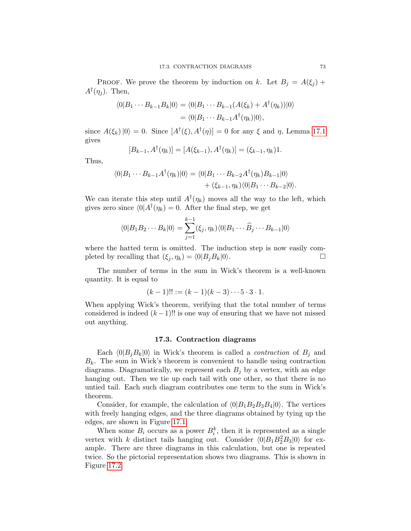PROOF. We prove the theorem by induction on k. Let  $B_i = A(\xi_i)$  +  $A^{\dagger}(\eta_j)$ . Then,

$$
\langle 0|B_1\cdots B_{k-1}B_k|0\rangle = \langle 0|B_1\cdots B_{k-1}(A(\xi_k) + A^{\dagger}(\eta_k))|0\rangle
$$
  
= 
$$
\langle 0|B_1\cdots B_{k-1}A^{\dagger}(\eta_k)|0\rangle,
$$

since  $A(\xi_k)|0\rangle = 0$ . Since  $[A^{\dagger}(\xi), A^{\dagger}(\eta)] = 0$  for any  $\xi$  and  $\eta$ , Lemma [17.1](#page-74-0) gives

$$
[B_{k-1}, A^{\dagger}(\eta_k)] = [A(\xi_{k-1}), A^{\dagger}(\eta_k)] = (\xi_{k-1}, \eta_k)1.
$$

Thus,

$$
\langle 0|B_1\cdots B_{k-1}A^{\dagger}(\eta_k)|0\rangle = \langle 0|B_1\cdots B_{k-2}A^{\dagger}(\eta_k)B_{k-1}|0\rangle
$$
  
+ 
$$
(\xi_{k-1}, \eta_k)\langle 0|B_1\cdots B_{k-2}|0\rangle.
$$

We can iterate this step until  $A^{\dagger}(\eta_k)$  moves all the way to the left, which gives zero since  $\langle 0 | A^{\dagger}(\eta_k) = 0$ . After the final step, we get

$$
\langle 0|B_1B_2\cdots B_k|0\rangle = \sum_{j=1}^{k-1} (\xi_j, \eta_k) \langle 0|B_1\cdots \widehat{B}_j\cdots B_{k-1}|0\rangle
$$

where the hatted term is omitted. The induction step is now easily completed by recalling that  $(\xi_j, \eta_k) = \langle 0|B_jB_k|0\rangle$ .

The number of terms in the sum in Wick's theorem is a well-known quantity. It is equal to

$$
(k-1)!! := (k-1)(k-3)\cdots 5\cdot 3\cdot 1.
$$

When applying Wick's theorem, verifying that the total number of terms considered is indeed  $(k-1)$ !! is one way of ensuring that we have not missed out anything.

#### 17.3. Contraction diagrams

Each  $\langle 0|B_jB_k|0\rangle$  in Wick's theorem is called a *contraction* of  $B_j$  and  $B_k$ . The sum in Wick's theorem is convenient to handle using contraction diagrams. Diagramatically, we represent each  $B_i$  by a vertex, with an edge hanging out. Then we tie up each tail with one other, so that there is no untied tail. Each such diagram contributes one term to the sum in Wick's theorem.

Consider, for example, the calculation of  $\langle 0|B_1B_2B_3B_4|0\rangle$ . The vertices with freely hanging edges, and the three diagrams obtained by tying up the edges, are shown in Figure [17.1.](#page-77-0)

When some  $B_i$  occurs as a power  $B_i^k$ , then it is represented as a single vertex with k distinct tails hanging out. Consider  $\langle 0|B_1B_2^2B_3|0\rangle$  for example. There are three diagrams in this calculation, but one is repeated twice. So the pictorial representation shows two diagrams. This is shown in Figure [17.2.](#page-77-1)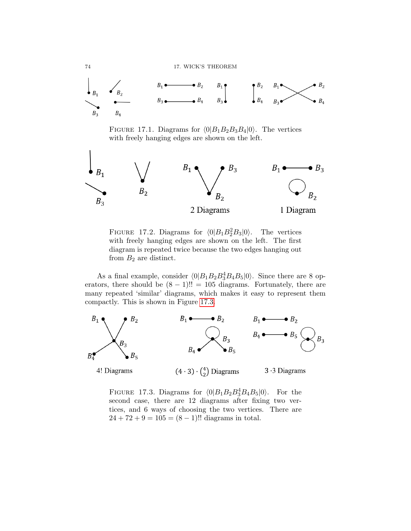74 17. WICK'S THEOREM



<span id="page-77-0"></span>FIGURE 17.1. Diagrams for  $\langle 0|B_1B_2B_3B_4|0\rangle$ . The vertices with freely hanging edges are shown on the left.



<span id="page-77-1"></span>FIGURE 17.2. Diagrams for  $\langle 0|B_1B_2^2B_3|0\rangle$ . The vertices with freely hanging edges are shown on the left. The first diagram is repeated twice because the two edges hanging out from  $B_2$  are distinct.

As a final example, consider  $\langle 0|B_1B_2B_3^4B_4B_5|0\rangle$ . Since there are 8 operators, there should be  $(8 - 1)!! = 105$  diagrams. Fortunately, there are many repeated 'similar' diagrams, which makes it easy to represent them compactly. This is shown in Figure [17.3.](#page-77-2)



<span id="page-77-2"></span>FIGURE 17.3. Diagrams for  $\langle 0|B_1B_2B_3^4B_4B_5|0\rangle$ . For the second case, there are 12 diagrams after fixing two vertices, and 6 ways of choosing the two vertices. There are  $24 + 72 + 9 = 105 = (8 - 1)!!$  diagrams in total.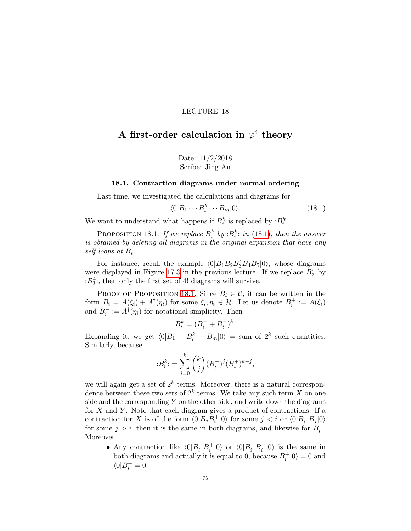# A first-order calculation in  $\varphi^4$  theory

Date: 11/2/2018 Scribe: Jing An

#### 18.1. Contraction diagrams under normal ordering

Last time, we investigated the calculations and diagrams for

<span id="page-78-0"></span>
$$
\langle 0|B_1\cdots B_i^k\cdots B_m|0\rangle. \tag{18.1}
$$

We want to understand what happens if  $B_i^k$  is replaced by  $:B_i^k$ .

<span id="page-78-1"></span>PROPOSITION 18.1. If we replace  $B_i^k$  by : $B_i^k$ : in [\(18.1\)](#page-78-0), then the answer is obtained by deleting all diagrams in the original expansion that have any self-loops at  $B_i$ .

For instance, recall the example  $\langle 0|B_1B_2B_3^4B_4B_5|0\rangle$ , whose diagrams were displayed in Figure [17.3](#page-77-2) in the previous lecture. If we replace  $B_3^4$  by  $:B_3^4$ ; then only the first set of 4! diagrams will survive.

PROOF OF PROPOSITION [18.1](#page-78-1). Since  $B_i \in \mathcal{C}$ , it can be written in the form  $B_i = A(\xi_i) + A^{\dagger}(\eta_i)$  for some  $\xi_i, \eta_i \in \mathcal{H}$ . Let us denote  $B_i^+ := A(\xi_i)$ and  $B_i^- := A^{\dagger}(\eta_i)$  for notational simplicity. Then

$$
B_i^k = (B_i^+ + B_i^-)^k.
$$

Expanding it, we get  $\langle 0|B_1 \cdots B_i^k \cdots B_m |0\rangle = \text{sum of } 2^k$  such quantities. Similarly, because

$$
B_i^k = \sum_{j=0}^k {k \choose j} (B_i^-)^j (B_i^+)^{k-j},
$$

we will again get a set of  $2^k$  terms. Moreover, there is a natural correspondence between these two sets of  $2^k$  terms. We take any such term X on one side and the corresponding  $Y$  on the other side, and write down the diagrams for  $X$  and  $Y$ . Note that each diagram gives a product of contractions. If a contraction for X is of the form  $\langle 0|B_jB_i^+|0\rangle$  for some  $j < i$  or  $\langle 0|B_i^+B_j|0\rangle$ for some  $j > i$ , then it is the same in both diagrams, and likewise for  $B_i^-$ . Moreover,

• Any contraction like  $\langle 0|B_i^+B_i^+|0\rangle$  or  $\langle 0|B_i^-B_i^-|0\rangle$  is the same in both diagrams and actually it is equal to 0, because  $B_i^+|0\rangle = 0$  and  $\langle 0 | B^-_i = 0.$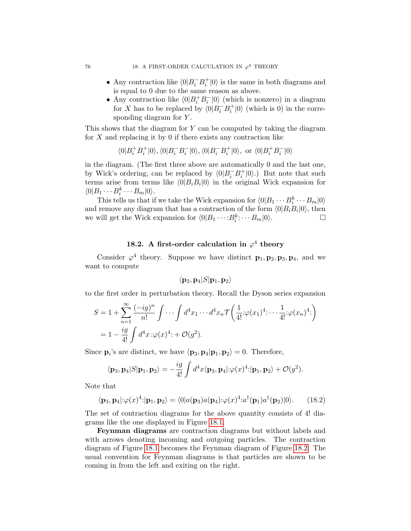- Any contraction like  $\langle 0|B_i^-B_i^+|0\rangle$  is the same in both diagrams and is equal to 0 due to the same reason as above.
- Any contraction like  $\langle 0|B_i^+B_i^-|0\rangle$  (which is nonzero) in a diagram for X has to be replaced by  $\langle 0|B_i^-B_i^+|0\rangle$  (which is 0) in the corresponding diagram for Y.

This shows that the diagram for  $Y$  can be computed by taking the diagram for  $X$  and replacing it by 0 if there exists any contraction like

$$
\langle 0|B^+_i B^+_i|0\rangle, \langle 0|B^-_i B^-_i|0\rangle, \langle 0|B^-_i B^+_i|0\rangle, \; {\rm or} \; \langle 0|B^+_i B^-_i|0\rangle
$$

in the diagram. (The first three above are automatically 0 and the last one, by Wick's ordering, can be replaced by  $\langle 0|B_i^{-}B_i^{+}|0\rangle$ .) But note that such terms arise from terms like  $\langle 0|B_iB_i|0\rangle$  in the original Wick expansion for  $\langle 0|B_1\cdots B_i^k\cdots B_m|0\rangle.$ 

This tells us that if we take the Wick expansion for  $\langle 0|B_1 \cdots B_n^k \cdots B_m|0\rangle$ and remove any diagram that has a contraction of the form  $\langle 0|B_iB_i|0\rangle$ , then we will get the Wick expansion for  $\langle 0|B_1 \cdots B_i^k \cdots B_m|0\rangle$ .

# 18.2. A first-order calculation in  $\varphi^4$  theory

Consider  $\varphi^4$  theory. Suppose we have distinct  $\mathbf{p}_1, \mathbf{p}_2, \mathbf{p}_3, \mathbf{p}_4$ , and we want to compute

<span id="page-79-0"></span>
$$
\langle{{\bf p}}_3,{{\bf p}}_4|S|{{\bf p}}_1,{{\bf p}}_2\rangle
$$

to the first order in perturbation theory. Recall the Dyson series expansion

$$
S = 1 + \sum_{n=1}^{\infty} \frac{(-ig)^n}{n!} \int \cdots \int d^4 x_1 \cdots d^4 x_n \mathcal{T} \left( \frac{1}{4!} \div \varphi(x_1)^4 \cdots \frac{1}{4!} \div \varphi(x_n)^4 \right)
$$
  
=  $1 - \frac{ig}{4!} \int d^4 x \div \varphi(x)^4 \div \mathcal{O}(g^2).$ 

Since  $\mathbf{p}_i$ 's are distinct, we have  $\langle \mathbf{p}_3, \mathbf{p}_4 | \mathbf{p}_1, \mathbf{p}_2 \rangle = 0$ . Therefore,

$$
\langle \mathbf{p}_3, \mathbf{p}_4 | S | \mathbf{p}_1, \mathbf{p}_2 \rangle = -\frac{ig}{4!} \int d^4x \langle \mathbf{p}_3, \mathbf{p}_4 | : \varphi(x)^4 : | \mathbf{p}_1, \mathbf{p}_2 \rangle + \mathcal{O}(g^2).
$$

Note that

$$
\langle \mathbf{p}_3, \mathbf{p}_4 | \colon \varphi(x)^4 : |\mathbf{p}_1, \mathbf{p}_2 \rangle = \langle 0 | a(\mathbf{p}_3) a(\mathbf{p}_4) : \varphi(x)^4 : a^\dagger(\mathbf{p}_1) a^\dagger(\mathbf{p}_2) | 0 \rangle. \tag{18.2}
$$

The set of contraction diagrams for the above quantity consists of 4! diagrams like the one displayed in Figure [18.1.](#page-80-0)

Feynman diagrams are contraction diagrams but without labels and with arrows denoting incoming and outgoing particles. The contraction diagram of Figure [18.1](#page-80-0) becomes the Feynman diagram of Figure [18.2.](#page-80-1) The usual convention for Feynman diagrams is that particles are shown to be coming in from the left and exiting on the right.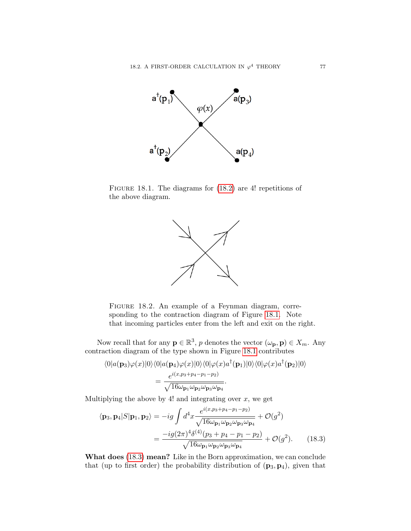

Figure 18.1. The diagrams for [\(18.2\)](#page-79-0) are 4! repetitions of the above diagram.

<span id="page-80-0"></span>

<span id="page-80-1"></span>FIGURE 18.2. An example of a Feynman diagram, corresponding to the contraction diagram of Figure [18.1.](#page-80-0) Note that incoming particles enter from the left and exit on the right.

Now recall that for any  $\mathbf{p} \in \mathbb{R}^3$ , p denotes the vector  $(\omega_{\mathbf{p}}, \mathbf{p}) \in X_m$ . Any contraction diagram of the type shown in Figure [18.1](#page-80-0) contributes

$$
\langle 0|a(\mathbf{p}_3)\varphi(x)|0\rangle\langle 0|a(\mathbf{p}_4)\varphi(x)|0\rangle\langle 0|\varphi(x)a^{\dagger}(\mathbf{p}_1)|0\rangle\langle 0|\varphi(x)a^{\dagger}(\mathbf{p}_2)|0\rangle
$$
  
= 
$$
\frac{e^{i(x,p_3+p_4-p_1-p_2)}}{\sqrt{16\omega_{\mathbf{p}_1}\omega_{\mathbf{p}_2}\omega_{\mathbf{p}_3}\omega_{\mathbf{p}_4}}}.
$$

Multiplying the above by 4! and integrating over  $x$ , we get

<span id="page-80-2"></span>
$$
\langle \mathbf{p}_3, \mathbf{p}_4 | S | \mathbf{p}_1, \mathbf{p}_2 \rangle = -ig \int d^4x \frac{e^{i(x, p_3 + p_4 - p_1 - p_2)}}{\sqrt{16\omega_{\mathbf{p}_1}\omega_{\mathbf{p}_2}\omega_{\mathbf{p}_3}\omega_{\mathbf{p}_4}}} + \mathcal{O}(g^2)
$$

$$
= \frac{-ig(2\pi)^4 \delta^{(4)}(p_3 + p_4 - p_1 - p_2)}{\sqrt{16\omega_{\mathbf{p}_1}\omega_{\mathbf{p}_2}\omega_{\mathbf{p}_3}\omega_{\mathbf{p}_4}}} + \mathcal{O}(g^2). \tag{18.3}
$$

What does [\(18.3\)](#page-80-2) mean? Like in the Born approximation, we can conclude that (up to first order) the probability distribution of  $(p_3, p_4)$ , given that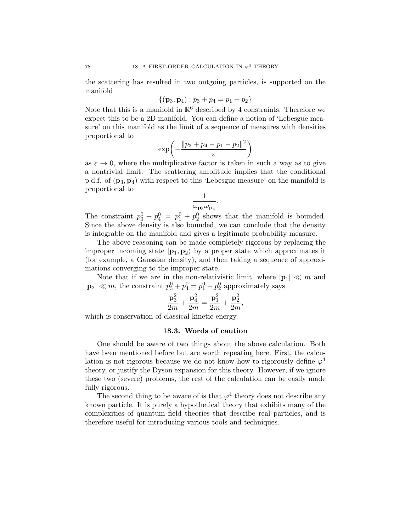the scattering has resulted in two outgoing particles, is supported on the manifold

$$
\{(\mathbf{p}_3, \mathbf{p}_4) : p_3 + p_4 = p_1 + p_2\}
$$

Note that this is a manifold in  $\mathbb{R}^6$  described by 4 constraints. Therefore we expect this to be a 2D manifold. You can define a notion of 'Lebesgue measure' on this manifold as the limit of a sequence of measures with densities proportional to

$$
\exp\left(-\frac{\|p_3+p_4-p_1-p_2\|^2}{\varepsilon}\right)
$$

as  $\varepsilon \to 0$ , where the multiplicative factor is taken in such a way as to give a nontrivial limit. The scattering amplitude implies that the conditional p.d.f. of  $(\mathbf{p}_3, \mathbf{p}_4)$  with respect to this 'Lebesgue measure' on the manifold is proportional to

$$
\frac{1}{\omega_{\mathbf{p}_3}\omega_{\mathbf{p}_4}}.
$$

The constraint  $p_3^0 + p_4^0 = p_1^0 + p_2^0$  shows that the manifold is bounded. Since the above density is also bounded, we can conclude that the density is integrable on the manifold and gives a legitimate probability measure.

The above reasoning can be made completely rigorous by replacing the improper incoming state  $|\mathbf{p}_1, \mathbf{p}_2\rangle$  by a proper state which approximates it (for example, a Gaussian density), and then taking a sequence of approximations converging to the improper state.

Note that if we are in the non-relativistic limit, where  $|\mathbf{p}_1| \ll m$  and  $|\mathbf{p}_2| \ll m$ , the constraint  $p_3^0 + p_4^0 = p_1^0 + p_2^0$  approximately says

$$
\frac{\mathbf{p}_3^2}{2m} + \frac{\mathbf{p}_4^2}{2m} = \frac{\mathbf{p}_1^2}{2m} + \frac{\mathbf{p}_2^2}{2m},
$$

which is conservation of classical kinetic energy.

### 18.3. Words of caution

One should be aware of two things about the above calculation. Both have been mentioned before but are worth repeating here. First, the calculation is not rigorous because we do not know how to rigorously define  $\varphi^4$ theory, or justify the Dyson expansion for this theory. However, if we ignore these two (severe) problems, the rest of the calculation can be easily made fully rigorous.

The second thing to be aware of is that  $\varphi^4$  theory does not describe any known particle. It is purely a hypothetical theory that exhibits many of the complexities of quantum field theories that describe real particles, and is therefore useful for introducing various tools and techniques.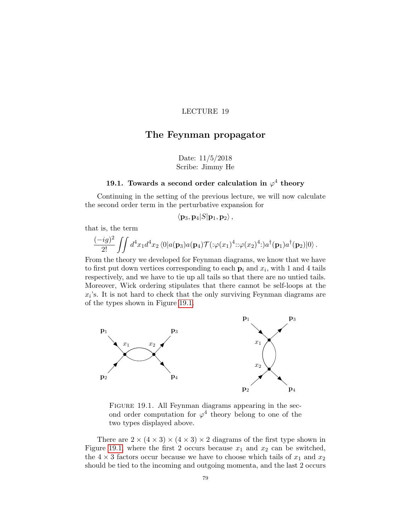# The Feynman propagator

Date: 11/5/2018 Scribe: Jimmy He

# 19.1. Towards a second order calculation in  $\varphi^4$  theory

<span id="page-82-0"></span>Continuing in the setting of the previous lecture, we will now calculate the second order term in the perturbative expansion for

$$
\langle\mathbf{p}_3,\mathbf{p}_4|S|\mathbf{p}_1,\mathbf{p}_2\rangle\,
$$

that is, the term

$$
\frac{(-ig)^2}{2!} \iint d^4x_1 d^4x_2 \langle 0|a(\mathbf{p}_3)a(\mathbf{p}_4) \mathcal{T}(\mathbf{p}(x_1)^4 \mathbf{p}(x_2)^4 \mathbf{p}(x_1) a^\dagger(\mathbf{p}_1) a^\dagger(\mathbf{p}_2)|0 \rangle.
$$

From the theory we developed for Feynman diagrams, we know that we have to first put down vertices corresponding to each  $\mathbf{p}_i$  and  $x_i$ , with 1 and 4 tails respectively, and we have to tie up all tails so that there are no untied tails. Moreover, Wick ordering stipulates that there cannot be self-loops at the  $x_i$ 's. It is not hard to check that the only surviving Feynman diagrams are of the types shown in Figure [19.1.](#page-82-0)



Figure 19.1. All Feynman diagrams appearing in the second order computation for  $\varphi^4$  theory belong to one of the two types displayed above.

There are  $2 \times (4 \times 3) \times (4 \times 3) \times 2$  diagrams of the first type shown in Figure [19.1,](#page-82-0) where the first 2 occurs because  $x_1$  and  $x_2$  can be switched, the  $4 \times 3$  factors occur because we have to choose which tails of  $x_1$  and  $x_2$ should be tied to the incoming and outgoing momenta, and the last 2 occurs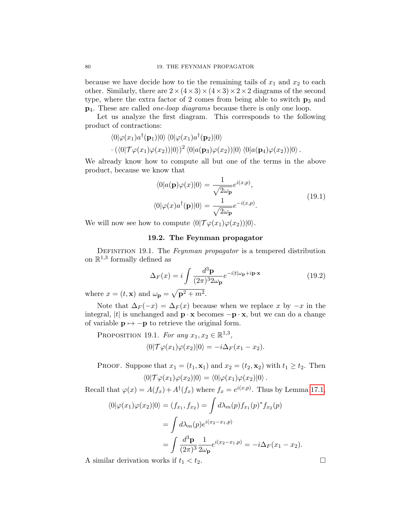because we have decide how to tie the remaining tails of  $x_1$  and  $x_2$  to each other. Similarly, there are  $2 \times (4 \times 3) \times (4 \times 3) \times 2 \times 2$  diagrams of the second type, where the extra factor of 2 comes from being able to switch  $p_3$  and p4. These are called one-loop diagrams because there is only one loop.

Let us analyze the first diagram. This corresponds to the following product of contractions:

$$
\langle 0|\varphi(x_1)a^{\dagger}(\mathbf{p}_1)|0\rangle \langle 0|\varphi(x_1)a^{\dagger}(\mathbf{p}_2)|0\rangle
$$

$$
\cdot (\langle 0|\mathcal{T}\varphi(x_1)\varphi(x_2))|0\rangle)^2 \langle 0|a(\mathbf{p}_3)\varphi(x_2))|0\rangle \langle 0|a(\mathbf{p}_4)\varphi(x_2))|0\rangle.
$$

We already know how to compute all but one of the terms in the above product, because we know that

$$
\langle 0|a(\mathbf{p})\varphi(x)|0\rangle = \frac{1}{\sqrt{2\omega_{\mathbf{p}}}}e^{i(x,p)},
$$
  

$$
\langle 0|\varphi(x)a^{\dagger}(\mathbf{p})|0\rangle = \frac{1}{\sqrt{2\omega_{\mathbf{p}}}}e^{-i(x,p)}.
$$
 (19.1)

<span id="page-83-1"></span>We will now see how to compute  $\langle 0|\mathcal{T}\varphi(x_1)\varphi(x_2)\rangle|0\rangle$ .

### 19.2. The Feynman propagator

DEFINITION 19.1. The Feynman propagator is a tempered distribution on  $\mathbb{R}^{1,3}$  formally defined as

<span id="page-83-0"></span>
$$
\Delta_F(x) = i \int \frac{d^3 \mathbf{p}}{(2\pi)^3 2\omega_{\mathbf{p}}} e^{-i|t|\omega_{\mathbf{p}} + i\mathbf{p}\cdot\mathbf{x}}
$$
(19.2)

where  $x = (t, \mathbf{x})$  and  $\omega_{\mathbf{p}} = \sqrt{\mathbf{p}^2 + m^2}$ .

Note that  $\Delta_F(-x) = \Delta_F(x)$  because when we replace x by  $-x$  in the integral, |t| is unchanged and  $\mathbf{p} \cdot \mathbf{x}$  becomes  $-\mathbf{p} \cdot \mathbf{x}$ , but we can do a change of variable  $\mathbf{p} \mapsto -\mathbf{p}$  to retrieve the original form.

PROPOSITION 19.1. For any  $x_1, x_2 \in \mathbb{R}^{1,3}$ ,  $\langle 0|\mathcal{T}\varphi(x_1)\varphi(x_2)|0\rangle = -i\Delta_F(x_1-x_2).$ 

PROOF. Suppose that  $x_1 = (t_1, \mathbf{x}_1)$  and  $x_2 = (t_2, \mathbf{x}_2)$  with  $t_1 \ge t_2$ . Then  $\langle 0|\mathcal{T}\varphi(x_1)\varphi(x_2)|0\rangle = \langle 0|\varphi(x_1)\varphi(x_2)|0\rangle.$ 

Recall that  $\varphi(x) = A(f_x) + A^{\dagger}(f_x)$  where  $f_x = e^{i(x,p)}$ . Thus by Lemma [17.1,](#page-74-0)

$$
\langle 0|\varphi(x_1)\varphi(x_2)|0\rangle = (f_{x_1}, f_{x_2}) = \int d\lambda_m(p) f_{x_1}(p)^* f_{x_2}(p)
$$

$$
= \int d\lambda_m(p) e^{i(x_2 - x_1, p)}
$$

$$
= \int \frac{d^3 \mathbf{p}}{(2\pi)^3} \frac{1}{2\omega_{\mathbf{p}}} e^{i(x_2 - x_1, p)} = -i\Delta_F(x_1 - x_2).
$$

A similar derivation works if  $t_1 < t_2$ .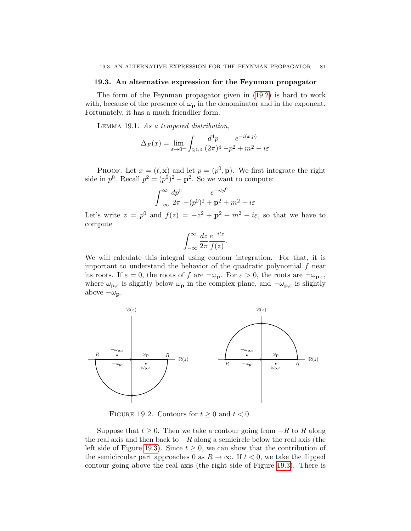#### 19.3. An alternative expression for the Feynman propagator

The form of the Feynman propagator given in [\(19.2\)](#page-83-0) is hard to work with, because of the presence of  $\omega_{\mathbf{p}}$  in the denominator and in the exponent. Fortunately, it has a much friendlier form.

<span id="page-84-0"></span>Lemma 19.1. As a tempered distribution,

$$
\Delta_F(x) = \lim_{\varepsilon \to 0^+} \int_{\mathbb{R}^{1,3}} \frac{d^4 p}{(2\pi)^4} \frac{e^{-i(x,p)}}{-p^2 + m^2 - i\varepsilon}
$$

PROOF. Let  $x = (t, \mathbf{x})$  and let  $p = (p^0, \mathbf{p})$ . We first integrate the right side in  $p^0$ . Recall  $p^2 = (p^0)^2 - \mathbf{p}^2$ . So we want to compute:

$$
\int_{-\infty}^{\infty} \frac{dp^0}{2\pi} \frac{e^{-itp^0}}{-(p^0)^2 + \mathbf{p}^2 + m^2 - i\varepsilon}
$$

Let's write  $z = p^0$  and  $f(z) = -z^2 + \mathbf{p}^2 + m^2 - i\varepsilon$ , so that we have to compute

$$
\int_{-\infty}^{\infty} \frac{dz}{2\pi} \frac{e^{-itz}}{f(z)}.
$$

We will calculate this integral using contour integration. For that, it is important to understand the behavior of the quadratic polynomial  $f$  near its roots. If  $\varepsilon = 0$ , the roots of f are  $\pm \omega_p$ . For  $\varepsilon > 0$ , the roots are  $\pm \omega_{p,\varepsilon}$ , where  $\omega_{\mathbf{p},\varepsilon}$  is slightly below  $\omega_{\mathbf{p}}$  in the complex plane, and  $-\omega_{\mathbf{p},\varepsilon}$  is slightly above  $-\omega_{\mathbf{p}}$ .



FIGURE 19.2. Contours for  $t \geq 0$  and  $t < 0$ .

Suppose that  $t \geq 0$ . Then we take a contour going from  $-R$  to R along the real axis and then back to  $-R$  along a semicircle below the real axis (the left side of Figure [19.3\)](#page-84-0). Since  $t \geq 0$ , we can show that the contribution of the semicircular part approaches 0 as  $R \to \infty$ . If  $t < 0$ , we take the flipped contour going above the real axis (the right side of Figure [19.3\)](#page-84-0). There is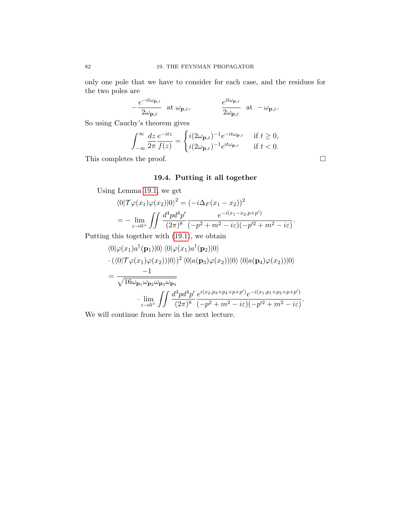only one pole that we have to consider for each case, and the residues for the two poles are

$$
-\frac{e^{-it\omega_{\mathbf{p},\varepsilon}}}{2\omega_{\mathbf{p},\varepsilon}} \quad \text{at } \omega_{\mathbf{p},\varepsilon}, \qquad \qquad \frac{e^{it\omega_{\mathbf{p},\varepsilon}}}{2\omega_{\mathbf{p},\varepsilon}} \quad \text{at } -\omega_{\mathbf{p},\varepsilon}.
$$

So using Cauchy's theorem gives

$$
\int_{-\infty}^{\infty} \frac{dz}{2\pi} \frac{e^{-itz}}{f(z)} = \begin{cases} i(2\omega_{\mathbf{p},\varepsilon})^{-1} e^{-it\omega_{\mathbf{p},\varepsilon}} & \text{if } t \ge 0, \\ i(2\omega_{\mathbf{p},\varepsilon})^{-1} e^{it\omega_{\mathbf{p},\varepsilon}} & \text{if } t < 0. \end{cases}
$$

This completes the proof.  $\hfill \square$ 

# 19.4. Putting it all together

Using Lemma [19.1,](#page-84-0) we get

$$
\langle 0|\mathcal{T}\varphi(x_1)\varphi(x_2)|0\rangle^2 = (-i\Delta_F(x_1 - x_2))^2
$$
  
= 
$$
-\lim_{\varepsilon \to 0^+} \iint \frac{d^4p d^4p'}{(2\pi)^8} \frac{e^{-i(x_1 - x_2, p+p')}}{(-p^2 + m^2 - i\varepsilon)(-p'^2 + m^2 - i\varepsilon)}
$$

Putting this together with [\(19.1\)](#page-83-1), we obtain

$$
\langle 0|\varphi(x_1)a^{\dagger}(\mathbf{p}_1)|0\rangle \langle 0|\varphi(x_1)a^{\dagger}(\mathbf{p}_2)|0\rangle \n\cdot (\langle 0|\mathcal{T}\varphi(x_1)\varphi(x_2))|0\rangle)^2 \langle 0|a(\mathbf{p}_3)\varphi(x_2))|0\rangle \langle 0|a(\mathbf{p}_4)\varphi(x_2))|0\rangle \n= \frac{-1}{\sqrt{16\omega_{\mathbf{p}_1}\omega_{\mathbf{p}_2}\omega_{\mathbf{p}_3}\omega_{\mathbf{p}_4}} \n\cdot \lim_{\varepsilon \to 0^+} \iint \frac{d^4p d^4p'}{(2\pi)^8} \frac{e^{i(x_2, p_3 + p_4 + p + p')}e^{-i(x_1, p_1 + p_2 + p + p')}}{(-p^2 + m^2 - i\varepsilon)(-p'^2 + m^2 - i\varepsilon)}.
$$

We will continue from here in the next lecture.

.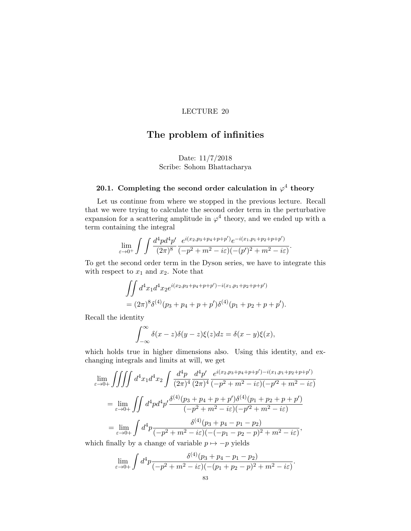# The problem of infinities

# Date: 11/7/2018 Scribe: Sohom Bhattacharya

# 20.1. Completing the second order calculation in  $\varphi^4$  theory

Let us continue from where we stopped in the previous lecture. Recall that we were trying to calculate the second order term in the perturbative expansion for a scattering amplitude in  $\varphi^4$  theory, and we ended up with a term containing the integral

$$
\lim_{\varepsilon \to 0^+} \int \int \frac{d^4 p d^4 p'}{(2\pi)^8} \frac{e^{i(x_2, p_3 + p_4 + p + p')} e^{-i(x_1, p_1 + p_2 + p + p')}}{(-p^2 + m^2 - i\varepsilon)(-(p')^2 + m^2 - i\varepsilon)}.
$$

To get the second order term in the Dyson series, we have to integrate this with respect to  $x_1$  and  $x_2$ . Note that

$$
\iint d^4x_1 d^4x_2 e^{i(x_2, p_3 + p_4 + p + p') - i(x_1, p_1 + p_2 + p + p')}
$$
  
=  $(2\pi)^8 \delta^{(4)}(p_3 + p_4 + p + p') \delta^{(4)}(p_1 + p_2 + p + p').$ 

Recall the identity

$$
\int_{-\infty}^{\infty} \delta(x-z)\delta(y-z)\xi(z)dz = \delta(x-y)\xi(x),
$$

which holds true in higher dimensions also. Using this identity, and exchanging integrals and limits at will, we get

$$
\lim_{\varepsilon \to 0+} \iiint d^4 x_1 d^4 x_2 \int \frac{d^4 p}{(2\pi)^4} \frac{d^4 p'}{(2\pi)^4} \frac{e^{i(x_2, p_3 + p_4 + p + p') - i(x_1, p_1 + p_2 + p + p')}}{(-p^2 + m^2 - i\varepsilon)(-p'^2 + m^2 - i\varepsilon)}
$$
\n
$$
= \lim_{\varepsilon \to 0+} \iint d^4 p d^4 p' \frac{\delta^{(4)}(p_3 + p_4 + p + p') \delta^{(4)}(p_1 + p_2 + p + p')}{(-p^2 + m^2 - i\varepsilon)(-p'^2 + m^2 - i\varepsilon)}
$$
\n
$$
= \lim_{\varepsilon \to 0+} \int d^4 p \frac{\delta^{(4)}(p_3 + p_4 - p_1 - p_2)}{(-p^2 + m^2 - i\varepsilon)(-(-p_1 - p_2 - p)^2 + m^2 - i\varepsilon)},
$$
\nish finally by a change of variable  $p_1, p_2$  yields

which finally by a change of variable  $p \mapsto -p$  yields

$$
\lim_{\varepsilon \to 0+} \int d^4p \frac{\delta^{(4)}(p_3 + p_4 - p_1 - p_2)}{(-p^2 + m^2 - i\varepsilon)(-(p_1 + p_2 - p)^2 + m^2 - i\varepsilon)}.
$$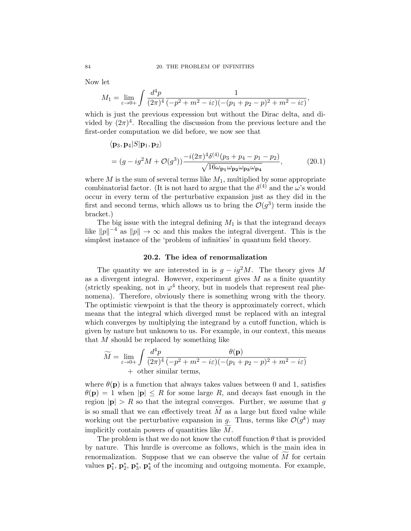Now let

$$
M_1 = \lim_{\varepsilon \to 0+} \int \frac{d^4p}{(2\pi)^4} \frac{1}{(-p^2 + m^2 - i\varepsilon)(-(p_1 + p_2 - p)^2 + m^2 - i\varepsilon)},
$$

which is just the previous expression but without the Dirac delta, and divided by  $(2\pi)^4$ . Recalling the discussion from the previous lecture and the first-order computation we did before, we now see that

$$
\langle \mathbf{p}_3, \mathbf{p}_4 | S | \mathbf{p}_1, \mathbf{p}_2 \rangle
$$
  
=  $(g - ig^2 M + \mathcal{O}(g^3)) \frac{-i(2\pi)^4 \delta^{(4)}(p_3 + p_4 - p_1 - p_2)}{\sqrt{16\omega_{\mathbf{p}_1}\omega_{\mathbf{p}_2}\omega_{\mathbf{p}_3}\omega_{\mathbf{p}_4}}},$  (20.1)

where  $M$  is the sum of several terms like  $M_1$ , multiplied by some appropriate combinatorial factor. (It is not hard to argue that the  $\delta^{(4)}$  and the  $\omega$ 's would occur in every term of the perturbative expansion just as they did in the first and second terms, which allows us to bring the  $\mathcal{O}(g^3)$  term inside the bracket.)

The big issue with the integral defining  $M_1$  is that the integrand decays like  $||p||^{-4}$  as  $||p|| \to \infty$  and this makes the integral divergent. This is the simplest instance of the 'problem of infinities' in quantum field theory.

#### <span id="page-87-0"></span>20.2. The idea of renormalization

<span id="page-87-1"></span>The quantity we are interested in is  $g - ig^2 M$ . The theory gives M as a divergent integral. However, experiment gives  $M$  as a finite quantity (strictly speaking, not in  $\varphi^4$  theory, but in models that represent real phenomena). Therefore, obviously there is something wrong with the theory. The optimistic viewpoint is that the theory is approximately correct, which means that the integral which diverged must be replaced with an integral which converges by multiplying the integrand by a cutoff function, which is given by nature but unknown to us. For example, in our context, this means that M should be replaced by something like

$$
\widetilde{M} = \lim_{\varepsilon \to 0+} \int \frac{d^4 p}{(2\pi)^4} \frac{\theta(\mathbf{p})}{(-p^2 + m^2 - i\varepsilon)(-(p_1 + p_2 - p)^2 + m^2 - i\varepsilon)} + \text{other similar terms},
$$

where  $\theta(\mathbf{p})$  is a function that always takes values between 0 and 1, satisfies  $\theta(\mathbf{p}) = 1$  when  $|\mathbf{p}| \leq R$  for some large R, and decays fast enough in the region  $|\mathbf{p}| > R$  so that the integral converges. Further, we assume that g is so small that we can effectively treat  $M$  as a large but fixed value while working out the perturbative expansion in  $g$ . Thus, terms like  $\mathcal{O}(g^k)$  may implicitly contain powers of quantities like  $M$ .

The problem is that we do not know the cutoff function  $\theta$  that is provided by nature. This hurdle is overcome as follows, which is the main idea in renormalization. Suppose that we can observe the value of  $\widetilde{M}$  for certain values  $\mathbf{p}_1^*$ ,  $\mathbf{p}_2^*$ ,  $\mathbf{p}_3^*$ ,  $\mathbf{p}_4^*$  of the incoming and outgoing momenta. For example,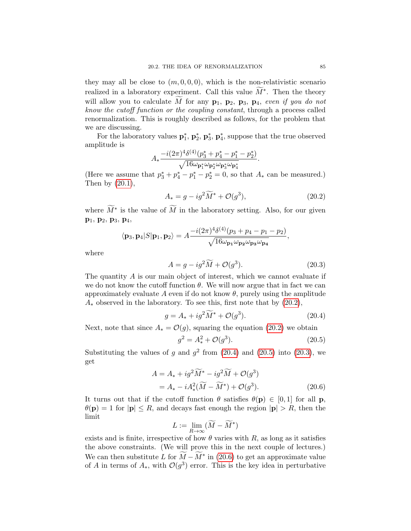they may all be close to  $(m, 0, 0, 0)$ , which is the non-relativistic scenario realized in a laboratory experiment. Call this value  $\widetilde{M}^*$ . Then the theory will allow you to calculate M for any  $p_1$ ,  $p_2$ ,  $p_3$ ,  $p_4$ , even if you do not know the cutoff function or the coupling constant, through a process called renormalization. This is roughly described as follows, for the problem that we are discussing.

For the laboratory values  $\mathbf{p}_1^*, \mathbf{p}_2^*, \mathbf{p}_3^*, \mathbf{p}_4^*$ , suppose that the true observed amplitude is

$$
A_* \frac{-i(2\pi)^4 \delta^{(4)}(p_3^*+p_4^*-p_1^*-p_2^*)}{\sqrt{16\omega_{\mathbf{p}_1^*}\omega_{\mathbf{p}_2^*}\omega_{\mathbf{p}_3^*}\omega_{\mathbf{p}_4^*}}}.
$$

(Here we assume that  $p_3^* + p_4^* - p_1^* - p_2^* = 0$ , so that  $A_*$  can be measured.) Then by  $(20.1)$ ,

<span id="page-88-0"></span>
$$
A_* = g - ig^2 \widetilde{M}^* + \mathcal{O}(g^3),\tag{20.2}
$$

where  $\widetilde{M}^*$  is the value of  $\widetilde{M}$  in the laboratory setting. Also, for our given p1, p2, p3, p4,

$$
\langle \mathbf{p}_3, \mathbf{p}_4 | S | \mathbf{p}_1, \mathbf{p}_2 \rangle = A \frac{-i(2\pi)^4 \delta^{(4)}(p_3 + p_4 - p_1 - p_2)}{\sqrt{16\omega_{\mathbf{p}_1}\omega_{\mathbf{p}_2}\omega_{\mathbf{p}_3}\omega_{\mathbf{p}_4}}},
$$

where

<span id="page-88-3"></span>
$$
A = g - ig^2 \widetilde{M} + \mathcal{O}(g^3). \tag{20.3}
$$

The quantity A is our main object of interest, which we cannot evaluate if we do not know the cutoff function  $\theta$ . We will now argue that in fact we can approximately evaluate A even if do not know  $\theta$ , purely using the amplitude  $A_*$  observed in the laboratory. To see this, first note that by  $(20.2)$ ,

$$
g = A_* + ig^2 \widetilde{M}^* + \mathcal{O}(g^3). \tag{20.4}
$$

Next, note that since  $A_* = \mathcal{O}(g)$ , squaring the equation [\(20.2\)](#page-88-0) we obtain

<span id="page-88-4"></span><span id="page-88-2"></span><span id="page-88-1"></span>
$$
g^2 = A_*^2 + \mathcal{O}(g^3). \tag{20.5}
$$

Substituting the values of g and  $g^2$  from [\(20.4\)](#page-88-1) and [\(20.5\)](#page-88-2) into [\(20.3\)](#page-88-3), we get

$$
A = A_* + ig^2 \widetilde{M}^* - ig^2 \widetilde{M} + \mathcal{O}(g^3)
$$
  
=  $A_* - i A_*^2 (\widetilde{M} - \widetilde{M}^*) + \mathcal{O}(g^3)$ . (20.6)

It turns out that if the cutoff function  $\theta$  satisfies  $\theta(\mathbf{p}) \in [0,1]$  for all p,  $\theta(\mathbf{p}) = 1$  for  $|\mathbf{p}| \leq R$ , and decays fast enough the region  $|\mathbf{p}| > R$ , then the limit

$$
L := \lim_{R \to \infty} (\widetilde{M} - \widetilde{M}^*)
$$

exists and is finite, irrespective of how  $\theta$  varies with R, as long as it satisfies the above constraints. (We will prove this in the next couple of lectures.) We can then substitute L for  $\widetilde{M} - \widetilde{M}^*$  in [\(20.6\)](#page-88-4) to get an approximate value of A in terms of  $A_*$ , with  $\mathcal{O}(g^3)$  error. This is the key idea in perturbative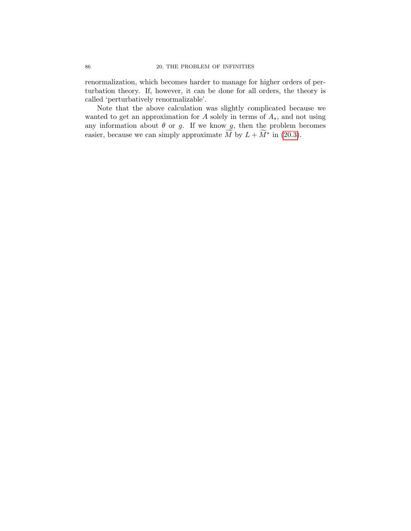renormalization, which becomes harder to manage for higher orders of perturbation theory. If, however, it can be done for all orders, the theory is called 'perturbatively renormalizable'.

Note that the above calculation was slightly complicated because we wanted to get an approximation for A solely in terms of  $A_*$ , and not using any information about  $\theta$  or g. If we know  $g$ , then the problem becomes easier, because we can simply approximate  $\widetilde{M}$  by  $L + \widetilde{M}^*$  in [\(20.3\)](#page-88-3).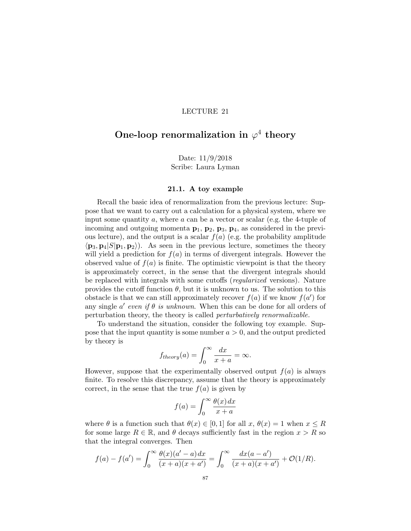# One-loop renormalization in  $\varphi^4$  theory

Date: 11/9/2018 Scribe: Laura Lyman

#### 21.1. A toy example

Recall the basic idea of renormalization from the previous lecture: Suppose that we want to carry out a calculation for a physical system, where we input some quantity a, where  $\alpha$  can be a vector or scalar (e.g. the 4-tuple of incoming and outgoing momenta  $\mathbf{p}_1$ ,  $\mathbf{p}_2$ ,  $\mathbf{p}_3$ ,  $\mathbf{p}_4$ , as considered in the previous lecture), and the output is a scalar  $f(a)$  (e.g. the probability amplitude  $\langle \mathbf{p}_3, \mathbf{p}_4 | S | \mathbf{p}_1, \mathbf{p}_2 \rangle$ . As seen in the previous lecture, sometimes the theory will yield a prediction for  $f(a)$  in terms of divergent integrals. However the observed value of  $f(a)$  is finite. The optimistic viewpoint is that the theory is approximately correct, in the sense that the divergent integrals should be replaced with integrals with some cutoffs (regularized versions). Nature provides the cutoff function  $\theta$ , but it is unknown to us. The solution to this obstacle is that we can still approximately recover  $f(a)$  if we know  $f(a')$  for any single  $a'$  even if  $\theta$  is unknown. When this can be done for all orders of perturbation theory, the theory is called perturbatively renormalizable.

To understand the situation, consider the following toy example. Suppose that the input quantity is some number  $a > 0$ , and the output predicted by theory is

$$
f_{theory}(a) = \int_0^\infty \frac{dx}{x+a} = \infty.
$$

However, suppose that the experimentally observed output  $f(a)$  is always finite. To resolve this discrepancy, assume that the theory is approximately correct, in the sense that the true  $f(a)$  is given by

$$
f(a) = \int_0^\infty \frac{\theta(x) \, dx}{x + a}
$$

where  $\theta$  is a function such that  $\theta(x) \in [0,1]$  for all  $x, \theta(x) = 1$  when  $x \leq R$ for some large  $R \in \mathbb{R}$ , and  $\theta$  decays sufficiently fast in the region  $x > R$  so that the integral converges. Then

$$
f(a) - f(a') = \int_0^\infty \frac{\theta(x)(a'-a) dx}{(x+a)(x+a')} = \int_0^\infty \frac{dx(a-a')}{(x+a)(x+a')} + \mathcal{O}(1/R).
$$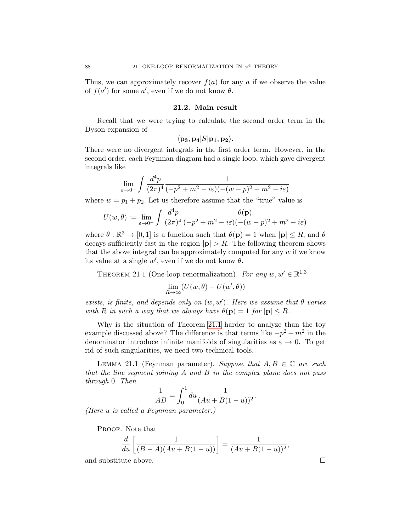Thus, we can approximately recover  $f(a)$  for any a if we observe the value of  $f(a')$  for some a', even if we do not know  $\theta$ .

### 21.2. Main result

Recall that we were trying to calculate the second order term in the Dyson expansion of

$$
\langle \mathbf{p_3}, \mathbf{p_4}|S|\mathbf{p_1}, \mathbf{p_2}\rangle.
$$

There were no divergent integrals in the first order term. However, in the second order, each Feynman diagram had a single loop, which gave divergent integrals like

$$
\lim_{\varepsilon \to 0^+} \int \frac{d^4 p}{(2\pi)^4} \frac{1}{(-p^2 + m^2 - i\varepsilon)((-(w-p)^2 + m^2 - i\varepsilon))}
$$

where  $w = p_1 + p_2$ . Let us therefore assume that the "true" value is

$$
U(w,\theta) := \lim_{\varepsilon \to 0^+} \int \frac{d^4p}{(2\pi)^4} \frac{\theta(\mathbf{p})}{(-p^2 + m^2 - i\varepsilon)(-(w-p)^2 + m^2 - i\varepsilon)}
$$

where  $\theta : \mathbb{R}^3 \to [0, 1]$  is a function such that  $\theta(\mathbf{p}) = 1$  when  $|\mathbf{p}| \leq R$ , and  $\theta$ decays sufficiently fast in the region  $|\mathbf{p}| > R$ . The following theorem shows that the above integral can be approximately computed for any  $w$  if we know its value at a single  $w'$ , even if we do not know  $\theta$ .

<span id="page-91-0"></span>THEOREM 21.1 (One-loop renormalization). For any  $w, w' \in \mathbb{R}^{1,3}$ 

$$
\lim_{R\to\infty}(U(w,\theta)-U(w',\theta))
$$

exists, is finite, and depends only on  $(w, w')$ . Here we assume that  $\theta$  varies with R in such a way that we always have  $\theta(\mathbf{p}) = 1$  for  $|\mathbf{p}| \leq R$ .

Why is the situation of Theorem [21.1](#page-91-0) harder to analyze than the toy example discussed above? The difference is that terms like  $-p^2 + m^2$  in the denominator introduce infinite manifolds of singularities as  $\varepsilon \to 0$ . To get rid of such singularities, we need two technical tools.

LEMMA 21.1 (Feynman parameter). Suppose that  $A, B \in \mathbb{C}$  are such that the line segment joining A and B in the complex plane does not pass through 0. Then

$$
\frac{1}{AB} = \int_0^1 du \frac{1}{(Au + B(1 - u))^2}.
$$

(Here u is called a Feynman parameter.)

PROOF. Note that

$$
\frac{d}{du}\left[\frac{1}{(B-A)(Au+B(1-u))}\right] = \frac{1}{(Au+B(1-u))^{2}},
$$

and substitute above.  $\hfill \square$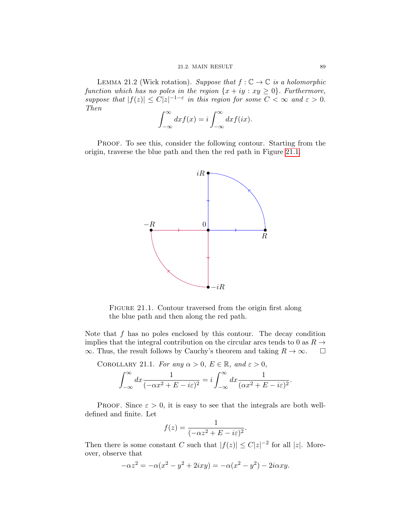<span id="page-92-1"></span>LEMMA 21.2 (Wick rotation). Suppose that  $f : \mathbb{C} \to \mathbb{C}$  is a holomorphic function which has no poles in the region  $\{x + iy : xy \ge 0\}$ . Furthermore, suppose that  $|f(z)| \leq C|z|^{-1-\varepsilon}$  in this region for some  $C < \infty$  and  $\varepsilon > 0$ . Then

$$
\int_{-\infty}^{\infty} dx f(x) = i \int_{-\infty}^{\infty} dx f(ix).
$$

PROOF. To see this, consider the following contour. Starting from the origin, traverse the blue path and then the red path in Figure [21.1.](#page-92-0)



<span id="page-92-0"></span>FIGURE 21.1. Contour traversed from the origin first along the blue path and then along the red path.

Note that  $f$  has no poles enclosed by this contour. The decay condition implies that the integral contribution on the circular arcs tends to 0 as  $R \to \infty$ . Thus, the result follows by Cauchy's theorem and taking  $R \to \infty$ .  $\infty$ . Thus, the result follows by Cauchy's theorem and taking  $R \to \infty$ .

<span id="page-92-2"></span>COROLLARY 21.1. For any 
$$
\alpha > 0
$$
,  $E \in \mathbb{R}$ , and  $\varepsilon > 0$ ,  

$$
\int_{-\infty}^{\infty} dx \frac{1}{(-\alpha x^2 + E - i\varepsilon)^2} = i \int_{-\infty}^{\infty} dx \frac{1}{(\alpha x^2 + E - i\varepsilon)^2}
$$

PROOF. Since  $\varepsilon > 0$ , it is easy to see that the integrals are both welldefined and finite. Let

.

$$
f(z) = \frac{1}{(-\alpha z^2 + E - i\varepsilon)^2}.
$$

Then there is some constant C such that  $|f(z)| \leq C|z|^{-2}$  for all  $|z|$ . Moreover, observe that

$$
-\alpha z^2 = -\alpha(x^2 - y^2 + 2ixy) = -\alpha(x^2 - y^2) - 2i\alpha xy.
$$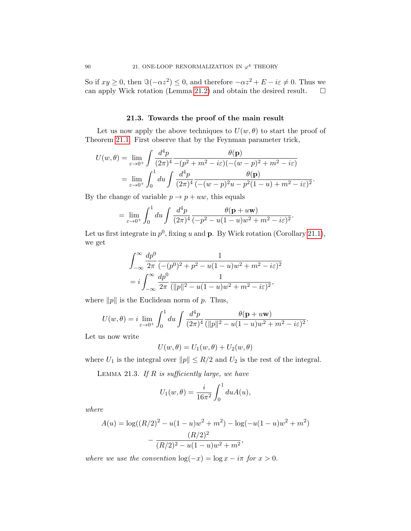So if  $xy \ge 0$ , then  $\Im(-\alpha z^2) \le 0$ , and therefore  $-\alpha z^2 + E - i\varepsilon \ne 0$ . Thus we can apply Wick rotation (Lemma [21.2\)](#page-92-1) and obtain the desired result.  $\Box$ 

# 21.3. Towards the proof of the main result

Let us now apply the above techniques to  $U(w, \theta)$  to start the proof of Theorem [21.1.](#page-91-0) First observe that by the Feynman parameter trick,

$$
U(w,\theta) = \lim_{\varepsilon \to 0^+} \int \frac{d^4 p}{(2\pi)^4} \frac{\theta(\mathbf{p})}{-(p^2 + m^2 - i\varepsilon)(-(w - p)^2 + m^2 - i\varepsilon)} = \lim_{\varepsilon \to 0^+} \int_0^1 du \int \frac{d^4 p}{(2\pi)^4} \frac{\theta(\mathbf{p})}{(-(w - p)^2 u - p^2 (1 - u) + m^2 - i\varepsilon)^2}.
$$

By the change of variable  $p \to p + uw$ , this equals

$$
= \lim_{\varepsilon \to 0^+} \int_0^1 du \int \frac{d^4 p}{(2\pi)^4} \frac{\theta(\mathbf{p} + u\mathbf{w})}{(-p^2 - u(1 - u)w^2 + m^2 - i\varepsilon)^2}.
$$

Let us first integrate in  $p^0$ , fixing u and **p**. By Wick rotation (Corollary [21.1\)](#page-92-2), we get

$$
\int_{-\infty}^{\infty} \frac{dp^0}{2\pi} \frac{1}{(-(p^0)^2 + p^2 - u(1 - u)w^2 + m^2 - i\varepsilon)^2}
$$
  
=  $i \int_{-\infty}^{\infty} \frac{dp^0}{2\pi} \frac{1}{(\|p\|^2 - u(1 - u)w^2 + m^2 - i\varepsilon)^2},$ 

where  $||p||$  is the Euclidean norm of p. Thus,

$$
U(w,\theta) = i \lim_{\varepsilon \to 0^+} \int_0^1 du \int \frac{d^4p}{(2\pi)^4} \frac{\theta(\mathbf{p} + u\mathbf{w})}{(||p||^2 - u(1-u)w^2 + m^2 - i\varepsilon)^2}.
$$

Let us now write

$$
U(w, \theta) = U_1(w, \theta) + U_2(w, \theta)
$$

where  $U_1$  is the integral over  $||p|| \leq R/2$  and  $U_2$  is the rest of the integral.

LEMMA 21.3. If  $R$  is sufficiently large, we have

$$
U_1(w,\theta) = \frac{i}{16\pi^2} \int_0^1 du A(u),
$$

where

$$
A(u) = \log((R/2)^2 - u(1-u)w^2 + m^2) - \log(-u(1-u)w^2 + m^2)
$$

$$
- \frac{(R/2)^2}{(R/2)^2 - u(1-u)w^2 + m^2},
$$

where we use the convention  $\log(-x) = \log x - i\pi$  for  $x > 0$ .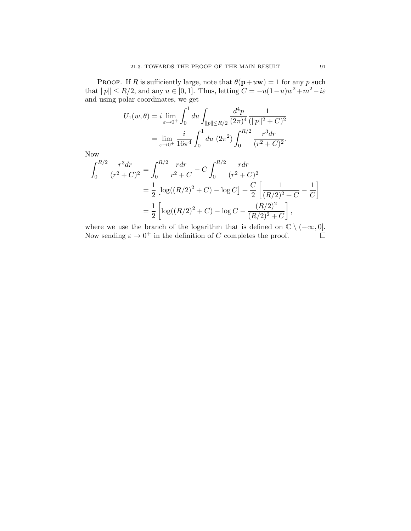PROOF. If R is sufficiently large, note that  $\theta(\mathbf{p}+u\mathbf{w})=1$  for any p such that  $||p|| \le R/2$ , and any  $u \in [0, 1]$ . Thus, letting  $C = -u(1-u)w^2 + m^2 - i\varepsilon$ and using polar coordinates, we get

$$
U_1(w,\theta) = i \lim_{\varepsilon \to 0^+} \int_0^1 du \int_{\|p\| \le R/2} \frac{d^4 p}{(2\pi)^4} \frac{1}{(\|p\|^2 + C)^2}
$$
  
= 
$$
\lim_{\varepsilon \to 0^+} \frac{i}{16\pi^4} \int_0^1 du \ (2\pi^2) \int_0^{R/2} \frac{r^3 dr}{(r^2 + C)^2}.
$$

Now

$$
\int_0^{R/2} \frac{r^3 dr}{(r^2 + C)^2} = \int_0^{R/2} \frac{r dr}{r^2 + C} - C \int_0^{R/2} \frac{r dr}{(r^2 + C)^2}
$$
  
=  $\frac{1}{2} \left[ \log((R/2)^2 + C) - \log C \right] + \frac{C}{2} \left[ \frac{1}{(R/2)^2 + C} - \frac{1}{C} \right]$   
=  $\frac{1}{2} \left[ \log((R/2)^2 + C) - \log C - \frac{(R/2)^2}{(R/2)^2 + C} \right],$ 

where we use the branch of the logarithm that is defined on  $\mathbb{C} \setminus (-\infty, 0]$ .<br>Now sending  $\varepsilon \to 0^+$  in the definition of C completes the proof. Now sending  $\varepsilon \to 0^+$  in the definition of C completes the proof.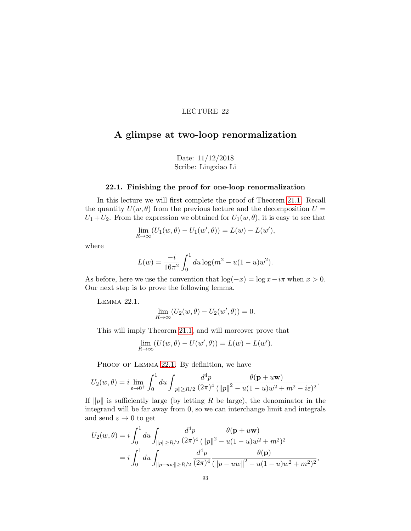# A glimpse at two-loop renormalization

Date: 11/12/2018 Scribe: Lingxiao Li

### 22.1. Finishing the proof for one-loop renormalization

In this lecture we will first complete the proof of Theorem [21.1.](#page-91-0) Recall the quantity  $U(w, \theta)$  from the previous lecture and the decomposition  $U =$  $U_1+U_2$ . From the expression we obtained for  $U_1(w, \theta)$ , it is easy to see that

$$
\lim_{R \to \infty} (U_1(w, \theta) - U_1(w', \theta)) = L(w) - L(w'),
$$

where

$$
L(w) = \frac{-i}{16\pi^2} \int_0^1 du \log(m^2 - u(1 - u)w^2).
$$

As before, here we use the convention that  $\log(-x) = \log x - i\pi$  when  $x > 0$ . Our next step is to prove the following lemma.

<span id="page-96-0"></span>Lemma 22.1.

$$
\lim_{R \to \infty} (U_2(w, \theta) - U_2(w', \theta)) = 0.
$$

This will imply Theorem [21.1,](#page-91-0) and will moreover prove that

$$
\lim_{R \to \infty} (U(w, \theta) - U(w', \theta)) = L(w) - L(w').
$$

PROOF OF LEMMA [22.1](#page-96-0). By definition, we have

$$
U_2(w,\theta) = i \lim_{\varepsilon \to 0^+} \int_0^1 du \int_{\|p\| \ge R/2} \frac{d^4 p}{(2\pi)^4} \frac{\theta(\mathbf{p} + u\mathbf{w})}{(\|p\|^2 - u(1-u)w^2 + m^2 - i\varepsilon)^2}.
$$

If  $||p||$  is sufficiently large (by letting R be large), the denominator in the integrand will be far away from 0, so we can interchange limit and integrals and send  $\varepsilon \to 0$  to get

$$
U_2(w,\theta) = i \int_0^1 du \int_{\|p\| \ge R/2} \frac{d^4 p}{(2\pi)^4} \frac{\theta(\mathbf{p} + u\mathbf{w})}{(\|p\|^2 - u(1 - u)w^2 + m^2)^2}
$$
  
=  $i \int_0^1 du \int_{\|p - uw\| \ge R/2} \frac{d^4 p}{(2\pi)^4} \frac{\theta(\mathbf{p})}{(\|p - uw\|^2 - u(1 - u)w^2 + m^2)^2},$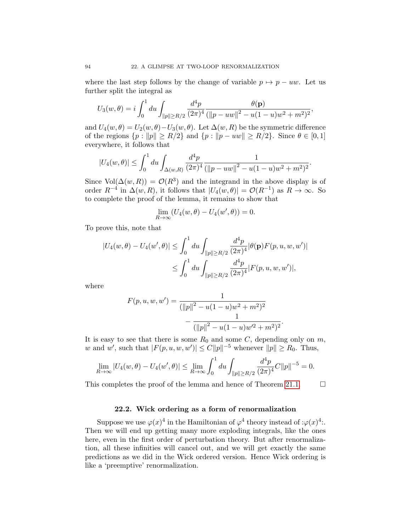where the last step follows by the change of variable  $p \mapsto p - uw$ . Let us further split the integral as

$$
U_3(w,\theta) = i \int_0^1 du \int_{\|p\| \ge R/2} \frac{d^4p}{(2\pi)^4} \frac{\theta(\mathbf{p})}{(\|p - uw\|^2 - u(1 - u)w^2 + m^2)^2},
$$

and  $U_4(w, \theta) = U_2(w, \theta) - U_3(w, \theta)$ . Let  $\Delta(w, R)$  be the symmetric difference of the regions  $\{p : ||p|| \ge R/2\}$  and  $\{p : ||p - uw|| \ge R/2\}$ . Since  $\theta \in [0, 1]$ everywhere, it follows that

$$
|U_4(w,\theta)| \leq \int_0^1 du \int_{\Delta(w,R)} \frac{d^4p}{(2\pi)^4} \frac{1}{(\|p - uw\|^2 - u(1 - u)w^2 + m^2)^2}.
$$

Since  $Vol(\Delta(w,R)) = \mathcal{O}(R^3)$  and the integrand in the above display is of order  $R^{-4}$  in  $\Delta(w, R)$ , it follows that  $|U_4(w, \theta)| = \mathcal{O}(R^{-1})$  as  $R \to \infty$ . So to complete the proof of the lemma, it remains to show that

$$
\lim_{R \to \infty} (U_4(w, \theta) - U_4(w', \theta)) = 0.
$$

To prove this, note that

$$
|U_4(w, \theta) - U_4(w', \theta)| \le \int_0^1 du \int_{\|p\| \ge R/2} \frac{d^4 p}{(2\pi)^4} |\theta(\mathbf{p}) F(p, u, w, w')|
$$
  

$$
\le \int_0^1 du \int_{\|p\| \ge R/2} \frac{d^4 p}{(2\pi)^4} |F(p, u, w, w')|,
$$

where

$$
F(p, u, w, w') = \frac{1}{(\|p\|^2 - u(1 - u)w^2 + m^2)^2} - \frac{1}{(\|p\|^2 - u(1 - u)w^2 + m^2)^2}.
$$

It is easy to see that there is some  $R_0$  and some  $C$ , depending only on  $m$ , w and w', such that  $|F(p, u, w, w')| \leq C ||p||^{-5}$  whenever  $||p|| \geq R_0$ . Thus,

$$
\lim_{R \to \infty} |U_4(w, \theta) - U_4(w', \theta)| \le \lim_{R \to \infty} \int_0^1 du \int_{\|p\| \ge R/2} \frac{d^4 p}{(2\pi)^4} C \|p\|^{-5} = 0.
$$

This completes the proof of the lemma and hence of Theorem [21.1.](#page-91-0)  $\Box$ 

# 22.2. Wick ordering as a form of renormalization

Suppose we use  $\varphi(x)^4$  in the Hamiltonian of  $\varphi^4$  theory instead of : $\varphi(x)^4$ . Then we will end up getting many more exploding integrals, like the ones here, even in the first order of perturbation theory. But after renormalization, all these infinities will cancel out, and we will get exactly the same predictions as we did in the Wick ordered version. Hence Wick ordering is like a 'preemptive' renormalization.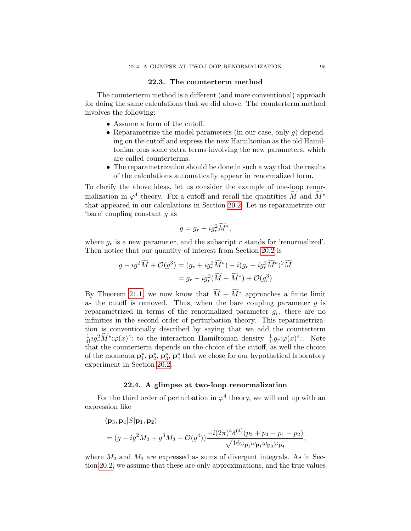#### 22.3. The counterterm method

The counterterm method is a different (and more conventional) approach for doing the same calculations that we did above. The counterterm method involves the following:

- Assume a form of the cutoff.
- Reparametrize the model parameters (in our case, only  $g$ ) depending on the cutoff and express the new Hamiltonian as the old Hamiltonian plus some extra terms involving the new parameters, which are called counterterms.
- The reparametrization should be done in such a way that the results of the calculations automatically appear in renormalized form.

To clarify the above ideas, let us consider the example of one-loop renormalization in  $\varphi^4$  theory. Fix a cutoff and recall the quantities M and  $M^*$ that appeared in our calculations in Section [20.2.](#page-87-1) Let us reparametrize our 'bare' coupling constant g as

$$
g = g_r + ig_r^2 \widetilde{M}^*,
$$

where  $g_r$  is a new parameter, and the subscript r stands for 'renormalized'. Then notice that our quantity of interest from Section [20.2](#page-87-1) is

$$
g - ig^2 \widetilde{M} + \mathcal{O}(g^3) = (g_r + ig_r^2 \widetilde{M}^*) - i(g_r + ig_r^2 \widetilde{M}^*)^2 \widetilde{M}
$$
  
=  $g_r - ig_r^2 (\widetilde{M} - \widetilde{M}^*) + \mathcal{O}(g_r^3)$ .

By Theorem [21.1,](#page-91-0) we now know that  $\widetilde{M} - \widetilde{M}^*$  approaches a finite limit as the cutoff is removed. Thus, when the bare coupling parameter  $q$  is reparametrized in terms of the renormalized parameter  $g_r$ , there are no infinities in the second order of perturbation theory. This reparametrization is conventionally described by saying that we add the counterterm  $\frac{1}{4!}ig_r^2\widetilde{M}^*\colon\varphi(x)^4$ : to the interaction Hamiltonian density  $\frac{1}{4!}g_r:\varphi(x)^4$ . Note that the counterterm depends on the choice of the cutoff, as well the choice of the momenta  $\mathbf{p}_1^*, \mathbf{p}_2^*, \mathbf{p}_3^*, \mathbf{p}_4^*$  that we chose for our hypothetical laboratory experiment in Section [20.2.](#page-87-1)

#### 22.4. A glimpse at two-loop renormalization

For the third order of perturbation in  $\varphi^4$  theory, we will end up with an expression like

$$
\langle \mathbf{p}_3, \mathbf{p}_4 | S | \mathbf{p}_1, \mathbf{p}_2 \rangle
$$
  
=  $(g - ig^2 M_2 + g^3 M_3 + \mathcal{O}(g^4)) \frac{-i(2\pi)^4 \delta^{(4)}(p_3 + p_4 - p_1 - p_2)}{\sqrt{16\omega_{\mathbf{p}_1}\omega_{\mathbf{p}_1}\omega_{\mathbf{p}_3}\omega_{\mathbf{p}_4}}},$ 

where  $M_2$  and  $M_3$  are expressed as sums of divergent integrals. As in Section [20.2,](#page-87-1) we assume that these are only approximations, and the true values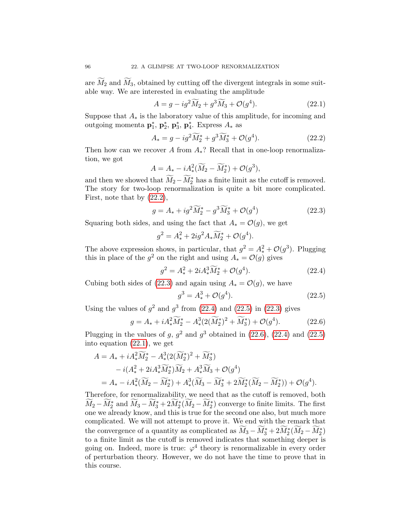are  $\widetilde{M}_2$  and  $\widetilde{M}_3$ , obtained by cutting off the divergent integrals in some suitable way. We are interested in evaluating the amplitude

<span id="page-99-5"></span><span id="page-99-0"></span>
$$
A = g - ig^2 \widetilde{M}_2 + g^3 \widetilde{M}_3 + \mathcal{O}(g^4). \tag{22.1}
$$

Suppose that  $A_*$  is the laboratory value of this amplitude, for incoming and outgoing momenta  $\mathbf{p}_1^*, \, \mathbf{p}_2^*, \, \mathbf{p}_3^*, \, \mathbf{p}_4^*.$  Express  $A_*$  as

$$
A_* = g - ig^2 \widetilde{M}_2^* + g^3 \widetilde{M}_3^* + \mathcal{O}(g^4). \tag{22.2}
$$

Then how can we recover A from  $A_*$ ? Recall that in one-loop renormalization, we got

$$
A = A_* - iA_*^2(\widetilde{M}_2 - \widetilde{M}_2^*) + \mathcal{O}(g^3),
$$

and then we showed that  $\widetilde{M}_2 - \widetilde{M}_2^*$  has a finite limit as the cutoff is removed. The story for two-loop renormalization is quite a bit more complicated. First, note that by [\(22.2\)](#page-99-0),

$$
g = A_* + ig^2 \widetilde{M}_2^* - g^3 \widetilde{M}_3^* + \mathcal{O}(g^4)
$$
 (22.3)

Squaring both sides, and using the fact that  $A_* = \mathcal{O}(q)$ , we get

<span id="page-99-1"></span>
$$
g^{2} = A_{*}^{2} + 2ig^{2} A_{*} \widetilde{M}_{2}^{*} + \mathcal{O}(g^{4}).
$$

The above expression shows, in particular, that  $g^2 = A_*^2 + \mathcal{O}(g^3)$ . Plugging this in place of the  $g^2$  on the right and using  $A_* = \mathcal{O}(g)$  gives

$$
g^2 = A_*^2 + 2iA_*^3 \widetilde{M}_2^* + \mathcal{O}(g^4). \tag{22.4}
$$

Cubing both sides of [\(22.3\)](#page-99-1) and again using  $A_* = \mathcal{O}(g)$ , we have

<span id="page-99-4"></span><span id="page-99-3"></span><span id="page-99-2"></span>
$$
g^3 = A_*^3 + \mathcal{O}(g^4). \tag{22.5}
$$

Using the values of  $g^2$  and  $g^3$  from [\(22.4\)](#page-99-2) and [\(22.5\)](#page-99-3) in [\(22.3\)](#page-99-1) gives

$$
g = A_* + iA_*^2 \widetilde{M}_2^* - A_*^3 (2(\widetilde{M}_2^*)^2 + \widetilde{M}_3^*) + \mathcal{O}(g^4). \tag{22.6}
$$

Plugging in the values of g,  $g^2$  and  $g^3$  obtained in [\(22.6\)](#page-99-4), [\(22.4\)](#page-99-2) and [\(22.5\)](#page-99-3) into equation [\(22.1\)](#page-99-5), we get

$$
A = A_* + iA_*^2 \widetilde{M}_2^* - A_*^3 (2(\widetilde{M}_2^*)^2 + \widetilde{M}_3^*)
$$
  
\t\t\t
$$
- i(A_*^2 + 2iA_*^3 \widetilde{M}_2^*) \widetilde{M}_2 + A_*^3 \widetilde{M}_3 + \mathcal{O}(g^4)
$$
  
\t\t\t
$$
= A_* - iA_*^2 (\widetilde{M}_2 - \widetilde{M}_2^*) + A_*^3 (\widetilde{M}_3 - \widetilde{M}_3^* + 2\widetilde{M}_2^* (\widetilde{M}_2 - \widetilde{M}_2^*)) + \mathcal{O}(g^4).
$$

Therefore, for renormalizability, we need that as the cutoff is removed, both  $\widetilde{M}_2 - \widetilde{M}_2^*$  and  $\widetilde{M}_3 - \widetilde{M}_3^* + 2\widetilde{M}_2^*(\widetilde{M}_2 - \widetilde{M}_2^*)$  converge to finite limits. The first one we already know, and this is true for the second one also, but much more complicated. We will not attempt to prove it. We end with the remark that the convergence of a quantity as complicated as  $\widetilde{M}_3 - \widetilde{M}_3^* + 2\widetilde{M}_2^*(\widetilde{M}_2 - \widetilde{M}_2^*)$ to a finite limit as the cutoff is removed indicates that something deeper is going on. Indeed, more is true:  $\varphi^4$  theory is renormalizable in every order of perturbation theory. However, we do not have the time to prove that in this course.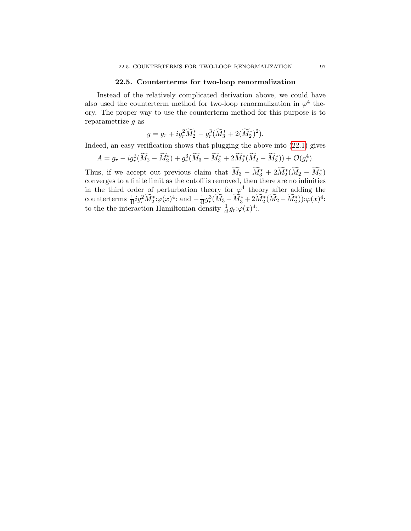### 22.5. Counterterms for two-loop renormalization

Instead of the relatively complicated derivation above, we could have also used the counterterm method for two-loop renormalization in  $\varphi^4$  theory. The proper way to use the counterterm method for this purpose is to reparametrize g as

$$
g = g_r + ig_r^2 \widetilde{M}_2^* - g_r^3 (\widetilde{M}_3^* + 2(\widetilde{M}_2^*)^2).
$$

Indeed, an easy verification shows that plugging the above into [\(22.1\)](#page-99-5) gives

$$
A = g_r - ig_r^2(\widetilde{M}_2 - \widetilde{M}_2^*) + g_r^3(\widetilde{M}_3 - \widetilde{M}_3^* + 2\widetilde{M}_2^*(\widetilde{M}_2 - \widetilde{M}_2^*)) + \mathcal{O}(g_r^4).
$$

Thus, if we accept out previous claim that  $\widetilde{M}_3 - \widetilde{M}_3^* + 2\widetilde{M}_2^*(\widetilde{M}_2 - \widetilde{M}_2^*)$ converges to a finite limit as the cutoff is removed, then there are no infinities in the third order of perturbation theory for  $\varphi^4$  theory after adding the counterterms  $\frac{1}{4!} ig_r^2 \widetilde{M}_2^* : \varphi(x)^4$ : and  $-\frac{1}{4!} g_r^3 \widetilde{M}_3 - \widetilde{M}_3^* + 2 \widetilde{M}_2^* (\widetilde{M}_2 - \widetilde{M}_2^*) : \varphi(x)^4$ : to the the interaction Hamiltonian density  $\frac{1}{4!}g_r:\varphi(x)^4$ .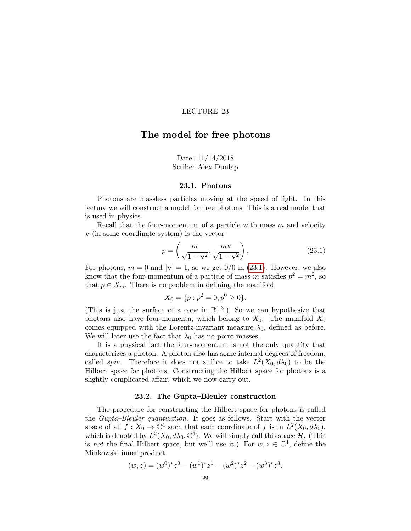# The model for free photons

# Date: 11/14/2018 Scribe: Alex Dunlap

#### 23.1. Photons

Photons are massless particles moving at the speed of light. In this lecture we will construct a model for free photons. This is a real model that is used in physics.

Recall that the four-momentum of a particle with mass  $m$  and velocity v (in some coordinate system) is the vector

<span id="page-102-0"></span>
$$
p = \left(\frac{m}{\sqrt{1 - \mathbf{v}^2}}, \frac{m\mathbf{v}}{\sqrt{1 - \mathbf{v}^2}}\right).
$$
 (23.1)

For photons,  $m = 0$  and  $|v| = 1$ , so we get  $0/0$  in [\(23.1\)](#page-102-0). However, we also know that the four-momentum of a particle of mass m satisfies  $p^2 = m^2$ , so that  $p \in X_m$ . There is no problem in defining the manifold

$$
X_0 = \{p : p^2 = 0, p^0 \ge 0\}.
$$

(This is just the surface of a cone in  $\mathbb{R}^{1,3}$ .) So we can hypothesize that photons also have four-momenta, which belong to  $X_0$ . The manifold  $X_0$ comes equipped with the Lorentz-invariant measure  $\lambda_0$ , defined as before. We will later use the fact that  $\lambda_0$  has no point masses.

It is a physical fact the four-momentum is not the only quantity that characterizes a photon. A photon also has some internal degrees of freedom, called *spin*. Therefore it does not suffice to take  $L^2(X_0, d\lambda_0)$  to be the Hilbert space for photons. Constructing the Hilbert space for photons is a slightly complicated affair, which we now carry out.

#### 23.2. The Gupta–Bleuler construction

The procedure for constructing the Hilbert space for photons is called the Gupta–Bleuler quantization. It goes as follows. Start with the vector space of all  $f: X_0 \to \mathbb{C}^4$  such that each coordinate of f is in  $L^2(X_0, d\lambda_0)$ , which is denoted by  $L^2(X_0, d\lambda_0, \mathbb{C}^4)$ . We will simply call this space  $\mathcal{H}$ . (This is not the final Hilbert space, but we'll use it.) For  $w, z \in \mathbb{C}^4$ , define the Minkowski inner product

$$
(w, z) = (w0) * z0 - (w1) * z1 - (w2) * z2 - (w3) * z3.
$$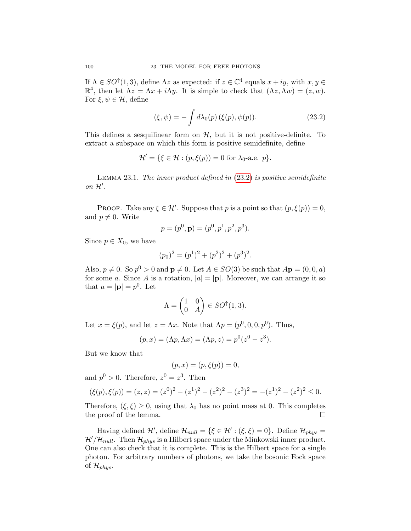If  $\Lambda \in SO^{\uparrow}(1,3)$ , define  $\Lambda z$  as expected: if  $z \in \mathbb{C}^4$  equals  $x + iy$ , with  $x, y \in$  $\mathbb{R}^4$ , then let  $\Lambda z = \Lambda x + i \Lambda y$ . It is simple to check that  $(\Lambda z, \Lambda w) = (z, w)$ . For  $\xi, \psi \in \mathcal{H}$ , define

<span id="page-103-0"></span>
$$
(\xi, \psi) = -\int d\lambda_0(p) \left(\xi(p), \psi(p)\right). \tag{23.2}
$$

This defines a sesquilinear form on  $H$ , but it is not positive-definite. To extract a subspace on which this form is positive semidefinite, define

$$
\mathcal{H}' = \{ \xi \in \mathcal{H} : (p, \xi(p)) = 0 \text{ for } \lambda_0 \text{-a.e. } p \}.
$$

Lemma 23.1. The inner product defined in [\(23.2\)](#page-103-0) is positive semidefinite on  $\mathcal{H}'$ .

PROOF. Take any  $\xi \in \mathcal{H}'$ . Suppose that p is a point so that  $(p, \xi(p)) = 0$ , and  $p \neq 0$ . Write

$$
p = (p^0, \mathbf{p}) = (p^0, p^1, p^2, p^3).
$$

Since  $p \in X_0$ , we have

$$
(p_0)^2 = (p^1)^2 + (p^2)^2 + (p^3)^2.
$$

Also,  $p \neq 0$ . So  $p^0 > 0$  and  $p \neq 0$ . Let  $A \in SO(3)$  be such that  $A\mathbf{p} = (0, 0, a)$ for some a. Since A is a rotation,  $|a| = |p|$ . Moreover, we can arrange it so that  $a = |\mathbf{p}| = p^0$ . Let

$$
\Lambda = \begin{pmatrix} 1 & 0 \\ 0 & A \end{pmatrix} \in SO^{\uparrow}(1,3).
$$

Let  $x = \xi(p)$ , and let  $z = \Lambda x$ . Note that  $\Lambda p = (p^0, 0, 0, p^0)$ . Thus,

$$
(p, x) = (\Lambda p, \Lambda x) = (\Lambda p, z) = p^{0}(z^{0} - z^{3}).
$$

But we know that

$$
(p, x) = (p, \xi(p)) = 0,
$$

and  $p^0 > 0$ . Therefore,  $z^0 = z^3$ . Then

$$
(\xi(p), \xi(p)) = (z, z) = (z^0)^2 - (z^1)^2 - (z^2)^2 - (z^3)^2 = -(z^1)^2 - (z^2)^2 \le 0.
$$

Therefore,  $(\xi, \xi) \ge 0$ , using that  $\lambda_0$  has no point mass at 0. This completes the proof of the lemma. the proof of the lemma.

Having defined  $\mathcal{H}'$ , define  $\mathcal{H}_{null} = {\xi \in \mathcal{H}' : (\xi, \xi) = 0}.$  Define  $\mathcal{H}_{phys} =$  $\mathcal{H}/\mathcal{H}_{null}$ . Then  $\mathcal{H}_{phys}$  is a Hilbert space under the Minkowski inner product. One can also check that it is complete. This is the Hilbert space for a single photon. For arbitrary numbers of photons, we take the bosonic Fock space of  $\mathcal{H}_{phys}$ .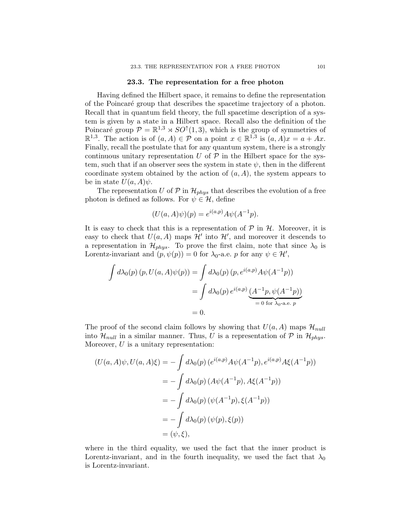#### 23.3. The representation for a free photon

Having defined the Hilbert space, it remains to define the representation of the Poincar´e group that describes the spacetime trajectory of a photon. Recall that in quantum field theory, the full spacetime description of a system is given by a state in a Hilbert space. Recall also the definition of the Poincaré group  $\mathcal{P} = \mathbb{R}^{1,3} \rtimes SO^{\uparrow}(1,3)$ , which is the group of symmetries of  $\mathbb{R}^{1,3}$ . The action is of  $(a, A) \in \mathcal{P}$  on a point  $x \in \mathbb{R}^{1,3}$  is  $(a, A)x = a + Ax$ . Finally, recall the postulate that for any quantum system, there is a strongly continuous unitary representation  $U$  of  $\mathcal P$  in the Hilbert space for the system, such that if an observer sees the system in state  $\psi$ , then in the different coordinate system obtained by the action of  $(a, A)$ , the system appears to be in state  $U(a, A)\psi$ .

The representation U of  $P$  in  $\mathcal{H}_{phys}$  that describes the evolution of a free photon is defined as follows. For  $\psi \in \mathcal{H}$ , define

$$
(U(a, A)\psi)(p) = e^{i(a,p)}A\psi(A^{-1}p).
$$

It is easy to check that this is a representation of  $P$  in  $H$ . Moreover, it is easy to check that  $U(a, A)$  maps  $\mathcal{H}'$  into  $\mathcal{H}'$ , and moreover it descends to a representation in  $\mathcal{H}_{phys}$ . To prove the first claim, note that since  $\lambda_0$  is Lorentz-invariant and  $(p, \psi(p)) = 0$  for  $\lambda_0$ -a.e. p for any  $\psi \in \mathcal{H}'$ ,

$$
\int d\lambda_0(p) (p, U(a, A)\psi(p)) = \int d\lambda_0(p) (p, e^{i(a,p)} A\psi(A^{-1}p))
$$
  
= 
$$
\int d\lambda_0(p) e^{i(a,p)} \underbrace{(A^{-1}p, \psi(A^{-1}p))}_{= 0 \text{ for } \lambda_0\text{-a.e. } p}
$$
  
= 0.

The proof of the second claim follows by showing that  $U(a, A)$  maps  $\mathcal{H}_{null}$ into  $\mathcal{H}_{null}$  in a similar manner. Thus, U is a representation of P in  $\mathcal{H}_{phys}$ . Moreover,  $U$  is a unitary representation:

$$
(U(a, A)\psi, U(a, A)\xi) = -\int d\lambda_0(p) (e^{i(a,p)} A\psi(A^{-1}p), e^{i(a,p)} A\xi(A^{-1}p))
$$
  
=  $-\int d\lambda_0(p) (A\psi(A^{-1}p), A\xi(A^{-1}p))$   
=  $-\int d\lambda_0(p) (\psi(A^{-1}p), \xi(A^{-1}p))$   
=  $-\int d\lambda_0(p) (\psi(p), \xi(p))$   
=  $(\psi, \xi),$ 

where in the third equality, we used the fact that the inner product is Lorentz-invariant, and in the fourth inequality, we used the fact that  $\lambda_0$ is Lorentz-invariant.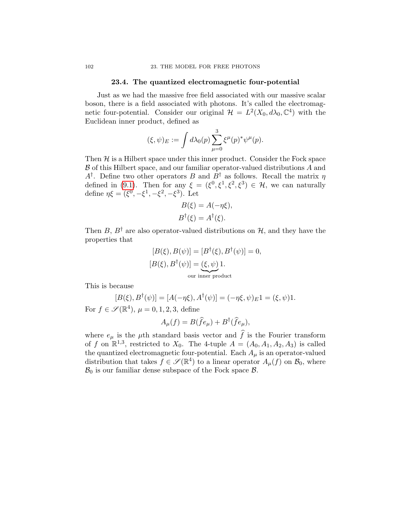# 23.4. The quantized electromagnetic four-potential

Just as we had the massive free field associated with our massive scalar boson, there is a field associated with photons. It's called the electromagnetic four-potential. Consider our original  $\mathcal{H} = L^2(X_0, d\lambda_0, \mathbb{C}^4)$  with the Euclidean inner product, defined as

$$
(\xi, \psi)_E := \int d\lambda_0(p) \sum_{\mu=0}^3 \xi^{\mu}(p)^* \psi^{\mu}(p).
$$

Then  $H$  is a Hilbert space under this inner product. Consider the Fock space  $\beta$  of this Hilbert space, and our familiar operator-valued distributions  $A$  and  $A^{\dagger}$ . Define two other operators B and  $B^{\dagger}$  as follows. Recall the matrix  $\eta$ defined in [\(9.1\)](#page-40-0). Then for any  $\xi = (\xi^0, \xi^1, \xi^2, \xi^3) \in \mathcal{H}$ , we can naturally define  $\eta \xi = (\xi^0, -\xi^1, -\xi^2, -\xi^3)$ . Let

$$
B(\xi) = A(-\eta \xi),
$$
  

$$
B^{\dagger}(\xi) = A^{\dagger}(\xi).
$$

Then B,  $B^{\dagger}$  are also operator-valued distributions on H, and they have the properties that

$$
[B(\xi), B(\psi)] = [B^{\dagger}(\xi), B^{\dagger}(\psi)] = 0,
$$
  
\n
$$
[B(\xi), B^{\dagger}(\psi)] = \underbrace{(\xi, \psi)}_{\text{our inner product}} 1.
$$

This is because

$$
[B(\xi), B^{\dagger}(\psi)] = [A(-\eta \xi), A^{\dagger}(\psi)] = (-\eta \xi, \psi)_E 1 = (\xi, \psi) 1.
$$
  
For  $f \in \mathcal{S}(\mathbb{R}^4)$ ,  $\mu = 0, 1, 2, 3$ , define

$$
A_{\mu}(f) = B(\hat{f}e_{\mu}) + B^{\dagger}(\hat{f}e_{\mu}),
$$

where  $e_{\mu}$  is the  $\mu$ th standard basis vector and  $\hat{f}$  is the Fourier transform of f on  $\mathbb{R}^{1,3}$ , restricted to  $X_0$ . The 4-tuple  $A = (A_0, A_1, A_2, A_3)$  is called the quantized electromagnetic four-potential. Each  $A_{\mu}$  is an operator-valued distribution that takes  $f \in \mathscr{S}(\mathbb{R}^4)$  to a linear operator  $A_\mu(f)$  on  $\mathcal{B}_0$ , where  $\mathcal{B}_0$  is our familiar dense subspace of the Fock space  $\mathcal{B}$ .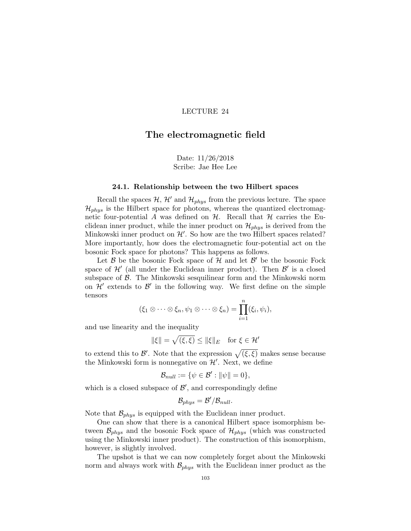# The electromagnetic field

Date: 11/26/2018 Scribe: Jae Hee Lee

#### 24.1. Relationship between the two Hilbert spaces

Recall the spaces  $\mathcal{H}, \mathcal{H}'$  and  $\mathcal{H}_{phys}$  from the previous lecture. The space  $\mathcal{H}_{phys}$  is the Hilbert space for photons, whereas the quantized electromagnetic four-potential A was defined on  $H$ . Recall that  $H$  carries the Euclidean inner product, while the inner product on  $\mathcal{H}_{phys}$  is derived from the Minkowski inner product on  $\mathcal{H}'$ . So how are the two Hilbert spaces related? More importantly, how does the electromagnetic four-potential act on the bosonic Fock space for photons? This happens as follows.

Let  $\beta$  be the bosonic Fock space of  $\mathcal H$  and let  $\beta'$  be the bosonic Fock space of  $\mathcal{H}'$  (all under the Euclidean inner product). Then  $\mathcal{B}'$  is a closed subspace of  $\beta$ . The Minkowski sesquilinear form and the Minkowski norm on  $\mathcal{H}'$  extends to  $\mathcal{B}'$  in the following way. We first define on the simple tensors

$$
(\xi_1 \otimes \cdots \otimes \xi_n, \psi_1 \otimes \cdots \otimes \xi_n) = \prod_{i=1}^n (\xi_i, \psi_i),
$$

and use linearity and the inequality

$$
\|\xi\| = \sqrt{(\xi, \xi)} \le \|\xi\|_E \quad \text{for } \xi \in \mathcal{H}'
$$

to extend this to  $\mathcal{B}'$ . Note that the expression  $\sqrt{(\xi,\xi)}$  makes sense because the Minkowski form is nonnegative on  $\mathcal{H}'.$  Next, we define

$$
\mathcal{B}_{null} := \{ \psi \in \mathcal{B}' : ||\psi|| = 0 \},\
$$

which is a closed subspace of  $\mathcal{B}',$  and correspondingly define

$$
\mathcal{B}_{phys}=\mathcal{B}'/\mathcal{B}_{null}.
$$

Note that  $\mathcal{B}_{phys}$  is equipped with the Euclidean inner product.

One can show that there is a canonical Hilbert space isomorphism between  $\mathcal{B}_{phys}$  and the bosonic Fock space of  $\mathcal{H}_{phys}$  (which was constructed using the Minkowski inner product). The construction of this isomorphism, however, is slightly involved.

The upshot is that we can now completely forget about the Minkowski norm and always work with  $\mathcal{B}_{phys}$  with the Euclidean inner product as the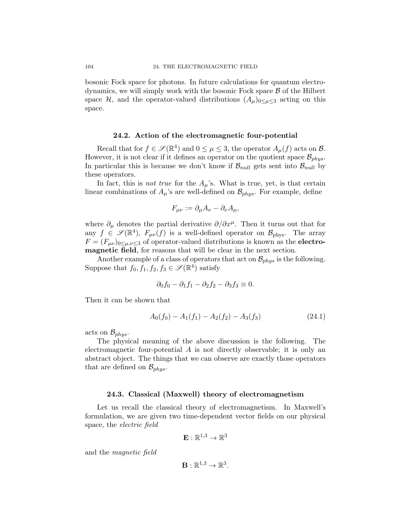bosonic Fock space for photons. In future calculations for quantum electrodynamics, we will simply work with the bosonic Fock space  $\beta$  of the Hilbert space  $\mathcal{H}$ , and the operator-valued distributions  $(A_\mu)_{0 \leq \mu \leq 3}$  acting on this space.

#### 24.2. Action of the electromagnetic four-potential

Recall that for  $f \in \mathscr{S}(\mathbb{R}^4)$  and  $0 \leq \mu \leq 3$ , the operator  $A_{\mu}(f)$  acts on  $\mathcal{B}$ . However, it is not clear if it defines an operator on the quotient space  $\mathcal{B}_{phys}$ . In particular this is because we don't know if  $B_{null}$  gets sent into  $B_{null}$  by these operators.

In fact, this is *not true* for the  $A_\mu$ 's. What is true, yet, is that certain linear combinations of  $A_\mu$ 's are well-defined on  $\mathcal{B}_{phys}$ . For example, define

$$
F_{\mu\nu} := \partial_{\mu} A_{\nu} - \partial_{\nu} A_{\mu},
$$

where  $\partial_{\mu}$  denotes the partial derivative  $\partial/\partial x^{\mu}$ . Then it turns out that for any  $f \in \mathscr{S}(\mathbb{R}^4)$ ,  $F_{\mu\nu}(f)$  is a well-defined operator on  $\mathcal{B}_{\text{phys}}$ . The array  $F = (F_{\mu\nu})_{0 \leq \mu,\nu \leq 3}$  of operator-valued distributions is known as the **electro**magnetic field, for reasons that will be clear in the next section.

Another example of a class of operators that act on  $\mathcal{B}_{phys}$  is the following. Suppose that  $f_0, f_1, f_2, f_3 \in \mathscr{S}(\mathbb{R}^4)$  satisfy

$$
\partial_0 f_0 - \partial_1 f_1 - \partial_2 f_2 - \partial_3 f_3 \equiv 0.
$$

Then it can be shown that

$$
A_0(f_0) - A_1(f_1) - A_2(f_2) - A_3(f_3)
$$
\n(24.1)

acts on  $\mathcal{B}_{phys}$ .

The physical meaning of the above discussion is the following. The electromagnetic four-potential A is not directly observable; it is only an abstract object. The things that we can observe are exactly those operators that are defined on  $\mathcal{B}_{phys}$ .

#### 24.3. Classical (Maxwell) theory of electromagnetism

Let us recall the classical theory of electromagnetism. In Maxwell's formulation, we are given two time-dependent vector fields on our physical space, the electric field

$$
\mathbf{E}:\mathbb{R}^{1,3}\to\mathbb{R}^3
$$

and the magnetic field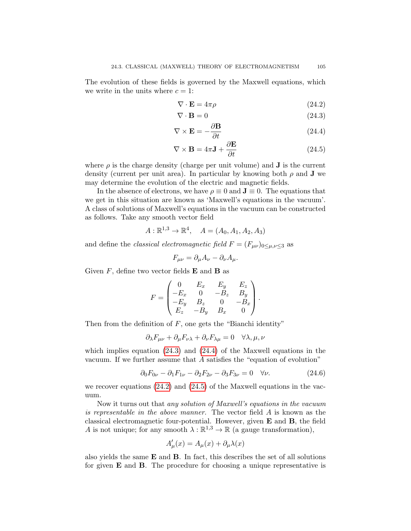The evolution of these fields is governed by the Maxwell equations, which we write in the units where  $c = 1$ :

<span id="page-108-2"></span><span id="page-108-1"></span><span id="page-108-0"></span>
$$
\nabla \cdot \mathbf{E} = 4\pi \rho \tag{24.2}
$$

$$
\nabla \cdot \mathbf{B} = 0 \tag{24.3}
$$

$$
\nabla \times \mathbf{E} = -\frac{\partial \mathbf{B}}{\partial t}
$$
 (24.4)

<span id="page-108-3"></span>
$$
\nabla \times \mathbf{B} = 4\pi \mathbf{J} + \frac{\partial \mathbf{E}}{\partial t}
$$
 (24.5)

where  $\rho$  is the charge density (charge per unit volume) and **J** is the current density (current per unit area). In particular by knowing both  $\rho$  and **J** we may determine the evolution of the electric and magnetic fields.

In the absence of electrons, we have  $\rho \equiv 0$  and  $\mathbf{J} \equiv 0$ . The equations that we get in this situation are known as 'Maxwell's equations in the vacuum'. A class of solutions of Maxwell's equations in the vacuum can be constructed as follows. Take any smooth vector field

$$
A: \mathbb{R}^{1,3} \to \mathbb{R}^4
$$
,  $A = (A_0, A_1, A_2, A_3)$ 

and define the *classical electromagnetic field*  $F = (F_{\mu\nu})_{0 \le \mu,\nu \le 3}$  as

$$
F_{\mu\nu} = \partial_{\mu}A_{\nu} - \partial_{\nu}A_{\mu}.
$$

Given  $F$ , define two vector fields **E** and **B** as

$$
F = \begin{pmatrix} 0 & E_x & E_y & E_z \\ -E_x & 0 & -B_z & B_y \\ -E_y & B_z & 0 & -B_x \\ E_z & -B_y & B_x & 0 \end{pmatrix}.
$$

Then from the definition of  $F$ , one gets the "Bianchi identity"

$$
\partial_{\lambda} F_{\mu\nu} + \partial_{\mu} F_{\nu\lambda} + \partial_{\nu} F_{\lambda\mu} = 0 \quad \forall \lambda, \mu, \nu
$$

which implies equation [\(24.3\)](#page-108-0) and [\(24.4\)](#page-108-1) of the Maxwell equations in the vacuum. If we further assume that  $A$  satisfies the "equation of evolution"

<span id="page-108-4"></span>
$$
\partial_0 F_{0\nu} - \partial_1 F_{1\nu} - \partial_2 F_{2\nu} - \partial_3 F_{3\nu} = 0 \quad \forall \nu.
$$
 (24.6)

we recover equations [\(24.2\)](#page-108-2) and [\(24.5\)](#page-108-3) of the Maxwell equations in the vacuum.

Now it turns out that any solution of Maxwell's equations in the vacuum is representable in the above manner. The vector field A is known as the classical electromagnetic four-potential. However, given  $E$  and  $B$ , the field A is not unique; for any smooth  $\lambda : \mathbb{R}^{1,3} \to \mathbb{R}$  (a gauge transformation),

$$
A'_{\mu}(x) = A_{\mu}(x) + \partial_{\mu}\lambda(x)
$$

also yields the same  $E$  and  $B$ . In fact, this describes the set of all solutions for given  $E$  and  $B$ . The procedure for choosing a unique representative is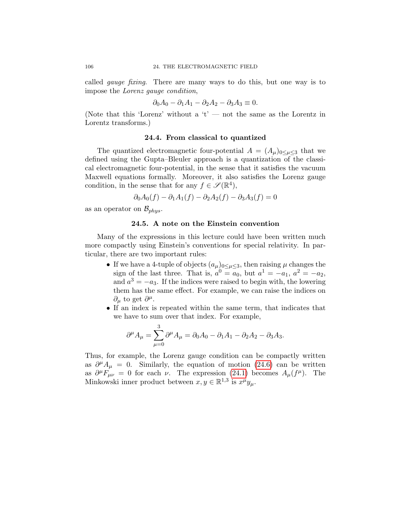called gauge fixing. There are many ways to do this, but one way is to impose the Lorenz gauge condition,

$$
\partial_0 A_0 - \partial_1 A_1 - \partial_2 A_2 - \partial_3 A_3 \equiv 0.
$$

(Note that this 'Lorenz' without a 't' — not the same as the Lorentz in Lorentz transforms.)

### 24.4. From classical to quantized

The quantized electromagnetic four-potential  $A = (A_\mu)_{0 \leq \mu \leq 3}$  that we defined using the Gupta–Bleuler approach is a quantization of the classical electromagnetic four-potential, in the sense that it satisfies the vacuum Maxwell equations formally. Moreover, it also satisfies the Lorenz gauge condition, in the sense that for any  $f \in \mathscr{S}(\mathbb{R}^4)$ ,

$$
\partial_0 A_0(f) - \partial_1 A_1(f) - \partial_2 A_2(f) - \partial_3 A_3(f) = 0
$$

as an operator on  $\mathcal{B}_{phys}$ .

## 24.5. A note on the Einstein convention

Many of the expressions in this lecture could have been written much more compactly using Einstein's conventions for special relativity. In particular, there are two important rules:

- If we have a 4-tuple of objects  $(a_{\mu})_{0 \leq \mu \leq 3}$ , then raising  $\mu$  changes the sign of the last three. That is,  $a^0 = a_0$ , but  $a^1 = -a_1$ ,  $a^2 = -a_2$ , and  $a^3 = -a_3$ . If the indices were raised to begin with, the lowering them has the same effect. For example, we can raise the indices on  $\partial_{\mu}$  to get  $\partial^{\mu}$ .
- If an index is repeated within the same term, that indicates that we have to sum over that index. For example,

$$
\partial^{\mu}A_{\mu} = \sum_{\mu=0}^{3} \partial^{\mu}A_{\mu} = \partial_{0}A_{0} - \partial_{1}A_{1} - \partial_{2}A_{2} - \partial_{3}A_{3}.
$$

Thus, for example, the Lorenz gauge condition can be compactly written as  $\partial^{\mu} A_{\mu} = 0$ . Similarly, the equation of motion [\(24.6\)](#page-108-4) can be written as  $\partial^{\mu}F_{\mu\nu} = 0$  for each  $\nu$ . The expression [\(24.1\)](#page-107-0) becomes  $A_{\mu}(f^{\mu})$ . The Minkowski inner product between  $x, y \in \mathbb{R}^{1,3}$  is  $x^{\mu}y_{\mu}$ .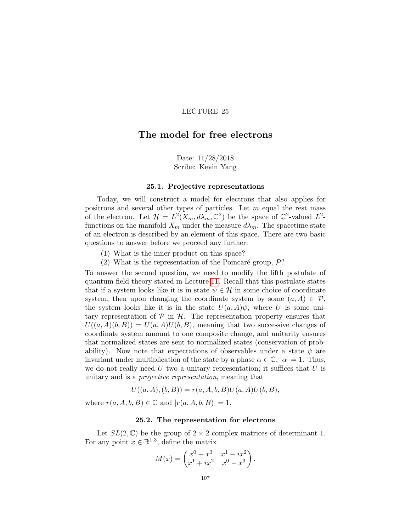# The model for free electrons

Date: 11/28/2018 Scribe: Kevin Yang

#### 25.1. Projective representations

Today, we will construct a model for electrons that also applies for positrons and several other types of particles. Let  $m$  equal the rest mass of the electron. Let  $\mathcal{H} = L^2(X_m, d\lambda_m, \mathbb{C}^2)$  be the space of  $\mathbb{C}^2$ -valued  $L^2$ functions on the manifold  $X_m$  under the measure  $d\lambda_m$ . The spacetime state of an electron is described by an element of this space. There are two basic questions to answer before we proceed any further:

- (1) What is the inner product on this space?
- (2) What is the representation of the Poincaré group,  $\mathcal{P}$ ?

To answer the second question, we need to modify the fifth postulate of quantum field theory stated in Lecture [11.](#page-46-0) Recall that this postulate states that if a system looks like it is in state  $\psi \in \mathcal{H}$  in some choice of coordinate system, then upon changing the coordinate system by some  $(a, A) \in \mathcal{P}$ , the system looks like it is in the state  $U(a, A)\psi$ , where U is some unitary representation of  $\mathcal P$  in  $\mathcal H$ . The representation property ensures that  $U((a, A)(b, B)) = U(a, A)U(b, B)$ , meaning that two successive changes of coordinate system amount to one composite change, and unitarity ensures that normalized states are sent to normalized states (conservation of probability). Now note that expectations of observables under a state  $\psi$  are invariant under multiplication of the state by a phase  $\alpha \in \mathbb{C}$ ,  $|\alpha| = 1$ . Thus, we do not really need  $U$  two a unitary representation; it suffices that  $U$  is unitary and is a projective representation, meaning that

$$
U((a, A), (b, B)) = r(a, A, b, B)U(a, A)U(b, B),
$$

where  $r(a, A, b, B) \in \mathbb{C}$  and  $|r(a, A, b, B)| = 1$ .

## 25.2. The representation for electrons

Let  $SL(2,\mathbb{C})$  be the group of  $2\times 2$  complex matrices of determinant 1. For any point  $x \in \mathbb{R}^{1,3}$ , define the matrix

$$
M(x) = \begin{pmatrix} x^0 + x^3 & x^1 - ix^2 \\ x^1 + ix^2 & x^0 - x^3 \end{pmatrix}.
$$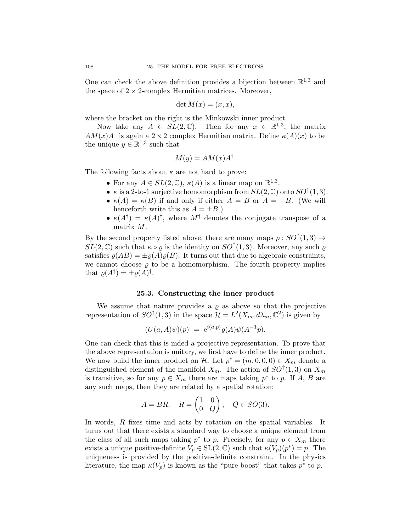One can check the above definition provides a bijection between  $\mathbb{R}^{1,3}$  and the space of  $2 \times 2$ -complex Hermitian matrices. Moreover,

$$
\det M(x) = (x, x),
$$

where the bracket on the right is the Minkowski inner product.

Now take any  $A \in SL(2,\mathbb{C})$ . Then for any  $x \in \mathbb{R}^{1,3}$ , the matrix  $AM(x)A^{\dagger}$  is again a 2 × 2 complex Hermitian matrix. Define  $\kappa(A)(x)$  to be the unique  $y \in \mathbb{R}^{1,3}$  such that

$$
M(y) = AM(x)A^{\dagger}.
$$

The following facts about  $\kappa$  are not hard to prove:

- For any  $A \in SL(2, \mathbb{C}), \kappa(A)$  is a linear map on  $\mathbb{R}^{1,3}$ .
- $\kappa$  is a 2-to-1 surjective homomorphism from  $SL(2,\mathbb{C})$  onto  $SO^{\uparrow}(1,3)$ .
- $\kappa(A) = \kappa(B)$  if and only if either  $A = B$  or  $A = -B$ . (We will henceforth write this as  $A = \pm B$ .)
- $\kappa(A^{\dagger}) = \kappa(A)^{\dagger}$ , where  $M^{\dagger}$  denotes the conjugate transpose of a matrix M.

By the second property listed above, there are many maps  $\rho: SO^{\uparrow}(1,3) \rightarrow$  $SL(2,\mathbb{C})$  such that  $\kappa \circ \varrho$  is the identity on  $SO^{\uparrow}(1,3)$ . Moreover, any such  $\varrho$ satisfies  $\varrho(AB) = \pm \varrho(A)\varrho(B)$ . It turns out that due to algebraic constraints, we cannot choose  $\rho$  to be a homomorphism. The fourth property implies that  $\varrho(A^{\dagger}) = \pm \varrho(A)^{\dagger}$ .

#### 25.3. Constructing the inner product

We assume that nature provides a  $\rho$  as above so that the projective representation of  $SO^{\uparrow}(1,3)$  in the space  $\mathcal{H} = L^2(X_m, d\lambda_m, \mathbb{C}^2)$  is given by

$$
(U(a, A)\psi)(p) = e^{i(a,p)} \varrho(A)\psi(A^{-1}p).
$$

One can check that this is inded a projective representation. To prove that the above representation is unitary, we first have to define the inner product. We now build the inner product on H. Let  $p^* = (m, 0, 0, 0) \in X_m$  denote a distinguished element of the manifold  $X_m$ . The action of  $SO^{\uparrow}(1,3)$  on  $X_m$ is transitive, so for any  $p \in X_m$  there are maps taking  $p^*$  to p. If A, B are any such maps, then they are related by a spatial rotation:

$$
A = BR, \quad R = \begin{pmatrix} 1 & 0 \\ 0 & Q \end{pmatrix}, \quad Q \in SO(3).
$$

In words, R fixes time and acts by rotation on the spatial variables. It turns out that there exists a standard way to choose a unique element from the class of all such maps taking  $p^*$  to p. Precisely, for any  $p \in X_m$  there exists a unique positive-definite  $V_p \in SL(2,\mathbb{C})$  such that  $\kappa(V_p)(p^*) = p$ . The uniqueness is provided by the positive-definite constraint. In the physics literature, the map  $\kappa(V_p)$  is known as the "pure boost" that takes  $p^*$  to p.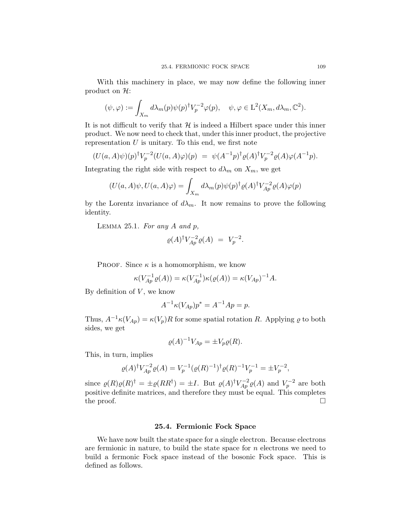With this machinery in place, we may now define the following inner product on  $\mathcal{H}$ :

$$
(\psi, \varphi) := \int_{X_m} d\lambda_m(p) \psi(p)^\dagger V_p^{-2} \varphi(p), \quad \psi, \varphi \in \mathcal{L}^2(X_m, d\lambda_m, \mathbb{C}^2).
$$

It is not difficult to verify that  $H$  is indeed a Hilbert space under this inner product. We now need to check that, under this inner product, the projective representation  $U$  is unitary. To this end, we first note

$$
(U(a, A)\psi)(p)^{\dagger}V_p^{-2}(U(a, A)\varphi)(p) = \psi(A^{-1}p)^{\dagger}\varrho(A)^{\dagger}V_p^{-2}\varrho(A)\varphi(A^{-1}p).
$$

Integrating the right side with respect to  $d\lambda_m$  on  $X_m$ , we get

$$
(U(a, A)\psi, U(a, A)\varphi) = \int_{X_m} d\lambda_m(p) \psi(p)^\dagger \varrho(A)^\dagger V_{Ap}^{-2} \varrho(A) \varphi(p)
$$

by the Lorentz invariance of  $d\lambda_m$ . It now remains to prove the following identity.

LEMMA 25.1. For any  $A$  and  $p$ ,

$$
\varrho(A)^\dagger V_{Ap}^{-2} \varrho(A) = V_p^{-2}.
$$

PROOF. Since  $\kappa$  is a homomorphism, we know

$$
\kappa(V_{Ap}^{-1}\varrho(A)) = \kappa(V_{Ap}^{-1})\kappa(\varrho(A)) = \kappa(V_{Ap})^{-1}A.
$$

By definition of  $V$ , we know

$$
A^{-1} \kappa (V_{Ap}) p^* = A^{-1} A p = p.
$$

Thus,  $A^{-1}\kappa(V_{Ap}) = \kappa(V_p)R$  for some spatial rotation R. Applying  $\varrho$  to both sides, we get

$$
\varrho(A)^{-1}V_{Ap} = \pm V_p \varrho(R).
$$

This, in turn, implies

$$
\varrho(A)^{\dagger} V_{Ap}^{-2} \varrho(A) = V_p^{-1} (\varrho(R)^{-1})^{\dagger} \varrho(R)^{-1} V_p^{-1} = \pm V_p^{-2},
$$

since  $\varrho(R)\varrho(R)^{\dagger} = \pm \varrho(RR^{\dagger}) = \pm I$ . But  $\varrho(A)^{\dagger}V_{Ap}^{-2}\varrho(A)$  and  $V_p^{-2}$  are both positive definite matrices, and therefore they must be equal. This completes the proof.  $\Box$ 

#### 25.4. Fermionic Fock Space

We have now built the state space for a single electron. Because electrons are fermionic in nature, to build the state space for  $n$  electrons we need to build a fermonic Fock space instead of the bosonic Fock space. This is defined as follows.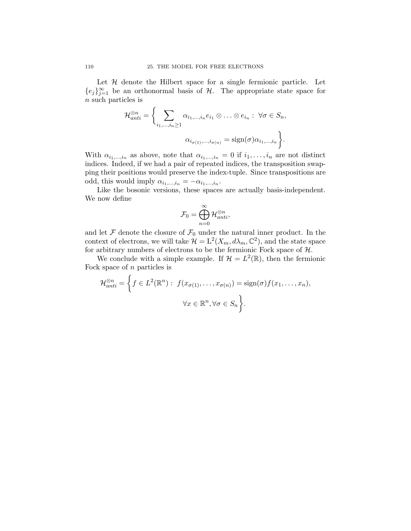Let  $H$  denote the Hilbert space for a single fermionic particle. Let  ${e_j}_{j=1}^{\infty}$  be an orthonormal basis of H. The appropriate state space for n such particles is

$$
\mathcal{H}_{anti}^{\otimes n} = \left\{ \sum_{i_1,\dots,i_n \ge 1} \alpha_{i_1,\dots,i_n} e_{i_1} \otimes \dots \otimes e_{i_n} : \ \forall \sigma \in S_n, \right.
$$

$$
\alpha_{i_{\sigma(1)},\dots,i_{\sigma(n)}} = \text{sign}(\sigma) \alpha_{i_1,\dots,i_n} \right\}.
$$

With  $\alpha_{i_1,\dots,i_n}$  as above, note that  $\alpha_{i_1,\dots,i_n} = 0$  if  $i_1,\dots,i_n$  are not distinct indices. Indeed, if we had a pair of repeated indices, the transposition swapping their positions would preserve the index-tuple. Since transpositions are odd, this would imply  $\alpha_{i_1,\dots,i_n} = -\alpha_{i_1,\dots,i_n}$ .

Like the bosonic versions, these spaces are actually basis-independent. We now define

$$
\mathcal{F}_0=\bigoplus_{n=0}^\infty \mathcal{H}_{anti}^{\otimes n},
$$

and let  $\mathcal F$  denote the closure of  $\mathcal F_0$  under the natural inner product. In the context of electrons, we will take  $\mathcal{H} = L^2(X_m, d\lambda_m, \mathbb{C}^2)$ , and the state space for arbitrary numbers of electrons to be the fermionic Fock space of  $\mathcal{H}$ .

We conclude with a simple example. If  $\mathcal{H} = L^2(\mathbb{R})$ , then the fermionic Fock space of  $n$  particles is

$$
\mathcal{H}_{anti}^{\otimes n} = \left\{ f \in L^{2}(\mathbb{R}^{n}) : f(x_{\sigma(1)}, \dots, x_{\sigma(n)}) = \text{sign}(\sigma) f(x_{1}, \dots, x_{n}),
$$
  

$$
\forall x \in \mathbb{R}^{n}, \forall \sigma \in S_{n} \right\}.
$$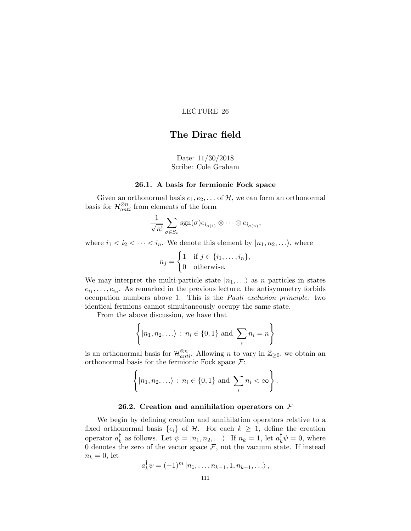# The Dirac field

## Date: 11/30/2018 Scribe: Cole Graham

## 26.1. A basis for fermionic Fock space

Given an orthonormal basis  $e_1, e_2, \ldots$  of  $H$ , we can form an orthonormal basis for  $\mathcal{H}^{\otimes n}_{anti}$  from elements of the form

$$
\frac{1}{\sqrt{n!}}\sum_{\sigma\in S_n} \operatorname{sgn}(\sigma) e_{i_{\sigma(1)}} \otimes \cdots \otimes e_{i_{\sigma(n)}},
$$

where  $i_1 < i_2 < \cdots < i_n$ . We denote this element by  $|n_1, n_2, \ldots\rangle$ , where

$$
n_j = \begin{cases} 1 & \text{if } j \in \{i_1, \dots, i_n\}, \\ 0 & \text{otherwise.} \end{cases}
$$

We may interpret the multi-particle state  $|n_1,...\rangle$  as n particles in states  $e_{i_1}, \ldots, e_{i_n}$ . As remarked in the previous lecture, the antisymmetry forbids occupation numbers above 1. This is the Pauli exclusion principle: two identical fermions cannot simultaneously occupy the same state.

From the above discussion, we have that

$$
\left\{ |n_1, n_2, \ldots \rangle : n_i \in \{0, 1\} \text{ and } \sum_i n_i = n \right\}
$$

is an orthonormal basis for  $\mathcal{H}_{anti}^{\otimes n}$ . Allowing n to vary in  $\mathbb{Z}_{\geq 0}$ , we obtain an orthonormal basis for the fermionic Fock space  $\mathcal{F}$ :

$$
\left\{ |n_1, n_2, \ldots \rangle : n_i \in \{0, 1\} \text{ and } \sum_i n_i < \infty \right\}.
$$

### 26.2. Creation and annihilation operators on  $\mathcal F$

We begin by defining creation and annihilation operators relative to a fixed orthonormal basis  $\{e_i\}$  of H. For each  $k \geq 1$ , define the creation operator  $a_k^{\dagger}$ <sup>†</sup><sub>k</sub> as follows. Let  $\psi = |n_1, n_2, \ldots \rangle$ . If  $n_k = 1$ , let  $a_k^{\dagger} \psi = 0$ , where 0 denotes the zero of the vector space  $\mathcal{F}$ , not the vacuum state. If instead  $n_k = 0$ , let

$$
a_k^{\dagger} \psi = (-1)^m |n_1, \ldots, n_{k-1}, 1, n_{k+1}, \ldots \rangle,
$$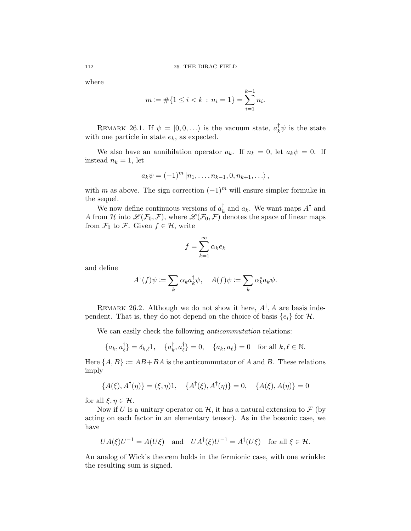where

$$
m := #\{1 \le i < k : n_i = 1\} = \sum_{i=1}^{k-1} n_i.
$$

REMARK 26.1. If  $\psi = |0,0,\ldots\rangle$  is the vacuum state,  $a_k^{\dagger} \psi$  is the state with one particle in state  $e_k$ , as expected.

We also have an annihilation operator  $a_k$ . If  $n_k = 0$ , let  $a_k \psi = 0$ . If instead  $n_k = 1$ , let

$$
a_k \psi = (-1)^m |n_1, \dots, n_{k-1}, 0, n_{k+1}, \dots \rangle,
$$

with m as above. The sign correction  $(-1)^m$  will ensure simpler formulæ in the sequel.

We now define continuous versions of  $a_k^{\dagger}$  $\frac{1}{k}$  and  $a_k$ . We want maps  $A^{\dagger}$  and A from H into  $\mathscr{L}(\mathcal{F}_0,\mathcal{F})$ , where  $\mathscr{L}(\mathcal{F}_0,\mathcal{F})$  denotes the space of linear maps from  $\mathcal{F}_0$  to  $\mathcal{F}$ . Given  $f \in \mathcal{H}$ , write

$$
f = \sum_{k=1}^{\infty} \alpha_k e_k
$$

and define

$$
A^{\dagger}(f)\psi := \sum_{k} \alpha_{k} a_{k}^{\dagger} \psi, \quad A(f)\psi := \sum_{k} \alpha_{k}^{*} a_{k} \psi.
$$

REMARK 26.2. Although we do not show it here,  $A^{\dagger}$ , A are basis independent. That is, they do not depend on the choice of basis  $\{e_i\}$  for  $\mathcal{H}$ .

We can easily check the following *anticommutation* relations:

$$
\{a_k, a_\ell^\dagger\} = \delta_{k,\ell} 1, \quad \{a_k^\dagger, a_\ell^\dagger\} = 0, \quad \{a_k, a_\ell\} = 0 \quad \text{for all } k,\ell \in \mathbb{N}.
$$

Here  $\{A, B\} \coloneqq AB + BA$  is the anticommutator of A and B. These relations imply

$$
\{A(\xi), A^{\dagger}(\eta)\} = (\xi, \eta)1, \quad \{A^{\dagger}(\xi), A^{\dagger}(\eta)\} = 0, \quad \{A(\xi), A(\eta)\} = 0
$$

for all  $\xi, \eta \in \mathcal{H}$ .

 $\mathbf{r}$ 

Now if U is a unitary operator on  $\mathcal{H}$ , it has a natural extension to  $\mathcal{F}$  (by acting on each factor in an elementary tensor). As in the bosonic case, we have

$$
UA(\xi)U^{-1} = A(U\xi) \quad \text{and} \quad UA^{\dagger}(\xi)U^{-1} = A^{\dagger}(U\xi) \quad \text{for all } \xi \in \mathcal{H}.
$$

An analog of Wick's theorem holds in the fermionic case, with one wrinkle: the resulting sum is signed.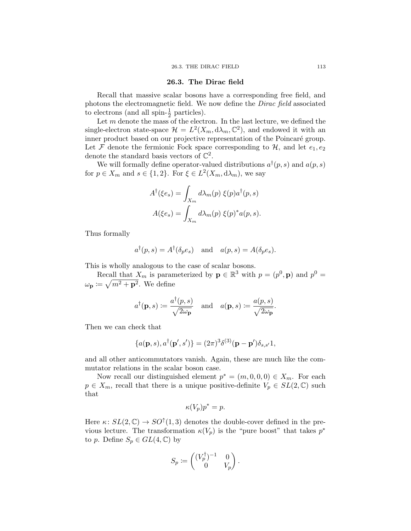### 26.3. The Dirac field

Recall that massive scalar bosons have a corresponding free field, and photons the electromagnetic field. We now define the Dirac field associated to electrons (and all spin- $\frac{1}{2}$  particles).

Let  $m$  denote the mass of the electron. In the last lecture, we defined the single-electron state-space  $\mathcal{H} = L^2(X_m, d\lambda_m, \mathbb{C}^2)$ , and endowed it with an inner product based on our projective representation of the Poincaré group. Let F denote the fermionic Fock space corresponding to  $H$ , and let  $e_1, e_2$ denote the standard basis vectors of  $\mathbb{C}^2$ .

We will formally define operator-valued distributions  $a^{\dagger}(p, s)$  and  $a(p, s)$ for  $p \in X_m$  and  $s \in \{1, 2\}$ . For  $\xi \in L^2(X_m, d\lambda_m)$ , we say

$$
A^{\dagger}(\xi e_s) = \int_{X_m} d\lambda_m(p) \xi(p) a^{\dagger}(p, s)
$$

$$
A(\xi e_s) = \int_{X_m} d\lambda_m(p) \xi(p)^* a(p, s).
$$

Thus formally

$$
a^{\dagger}(p, s) = A^{\dagger}(\delta_p e_s)
$$
 and  $a(p, s) = A(\delta_p e_s)$ .

This is wholly analogous to the case of scalar bosons.

Recall that  $X_m$  is parameterized by  $\mathbf{p} \in \mathbb{R}^3$  with  $p = (p^0, \mathbf{p})$  and  $p^0 =$  $\omega_{\mathbf{p}} \coloneqq \sqrt{m^2 + \mathbf{p}^2}$ . We define

$$
a^{\dagger}(\mathbf{p},s) := \frac{a^{\dagger}(p,s)}{\sqrt{2\omega_{\mathbf{p}}}}
$$
 and  $a(\mathbf{p},s) := \frac{a(p,s)}{\sqrt{2\omega_{\mathbf{p}}}}$ .

Then we can check that

$$
\{a(\mathbf{p},s),a^{\dagger}(\mathbf{p}',s')\}=(2\pi)^3\delta^{(3)}(\mathbf{p}-\mathbf{p}')\delta_{s,s'}1,
$$

and all other anticommutators vanish. Again, these are much like the commutator relations in the scalar boson case.

Now recall our distinguished element  $p^* = (m, 0, 0, 0) \in X_m$ . For each  $p \in X_m$ , recall that there is a unique positive-definite  $V_p \in SL(2,\mathbb{C})$  such that

$$
\kappa(V_p)p^* = p.
$$

Here  $\kappa: SL(2, \mathbb{C}) \to SO^{\uparrow}(1, 3)$  denotes the double-cover defined in the previous lecture. The transformation  $\kappa(V_p)$  is the "pure boost" that takes  $p^*$ to p. Define  $S_p \in GL(4,\mathbb{C})$  by

$$
S_p \coloneqq \begin{pmatrix} (V_p^\dagger)^{-1} & 0 \\ 0 & V_p \end{pmatrix}.
$$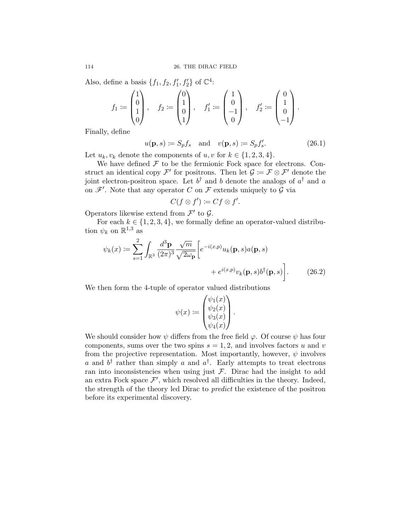Also, define a basis  $\{f_1, f_2, f_1', f_2'\}$  of  $\mathbb{C}^4$ :

$$
f_1 := \begin{pmatrix} 1 \\ 0 \\ 1 \\ 0 \end{pmatrix}, \quad f_2 := \begin{pmatrix} 0 \\ 1 \\ 0 \\ 1 \end{pmatrix}, \quad f_1' := \begin{pmatrix} 1 \\ 0 \\ -1 \\ 0 \end{pmatrix}, \quad f_2' := \begin{pmatrix} 0 \\ 1 \\ 0 \\ -1 \end{pmatrix}.
$$

Finally, define

<span id="page-117-1"></span>
$$
u(\mathbf{p}, s) \coloneqq S_p f_s \quad \text{and} \quad v(\mathbf{p}, s) \coloneqq S_p f'_s. \tag{26.1}
$$

Let  $u_k, v_k$  denote the components of  $u, v$  for  $k \in \{1, 2, 3, 4\}.$ 

We have defined  $\mathcal F$  to be the fermionic Fock space for electrons. Construct an identical copy  $\mathcal{F}'$  for positrons. Then let  $\mathcal{G} := \mathcal{F} \otimes \mathcal{F}'$  denote the joint electron-positron space. Let  $b^{\dagger}$  and b denote the analogs of  $a^{\dagger}$  and a on  $\mathscr{F}'$ . Note that any operator C on F extends uniquely to G via

$$
C(f\otimes f')\coloneqq Cf\otimes f'.
$$

Operators likewise extend from  $\mathcal{F}'$  to  $\mathcal{G}$ .

For each  $k \in \{1, 2, 3, 4\}$ , we formally define an operator-valued distribution  $\psi_k$  on  $\mathbb{R}^{1,3}$  as

$$
\psi_k(x) := \sum_{s=1}^2 \int_{\mathbb{R}^3} \frac{d^3 \mathbf{p}}{(2\pi)^3} \frac{\sqrt{m}}{\sqrt{2\omega_{\mathbf{p}}}} \left[ e^{-i(x,p)} u_k(\mathbf{p}, s) a(\mathbf{p}, s) + e^{i(x,p)} v_k(\mathbf{p}, s) b^{\dagger}(\mathbf{p}, s) \right].
$$
\n(26.2)

We then form the 4-tuple of operator valued distributions

<span id="page-117-0"></span>
$$
\psi(x) \coloneqq \begin{pmatrix} \psi_1(x) \\ \psi_2(x) \\ \psi_3(x) \\ \psi_4(x) \end{pmatrix}.
$$

We should consider how  $\psi$  differs from the free field  $\varphi$ . Of course  $\psi$  has four components, sums over the two spins  $s = 1, 2$ , and involves factors u and v from the projective representation. Most importantly, however,  $\psi$  involves a and  $b^{\dagger}$  rather than simply a and  $a^{\dagger}$ . Early attempts to treat electrons ran into inconsistencies when using just  $\mathcal F$ . Dirac had the insight to add an extra Fock space  $\mathcal{F}'$ , which resolved all difficulties in the theory. Indeed, the strength of the theory led Dirac to predict the existence of the positron before its experimental discovery.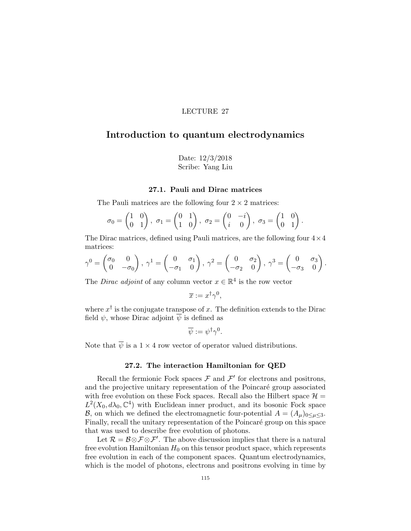# Introduction to quantum electrodynamics

Date: 12/3/2018 Scribe: Yang Liu

## 27.1. Pauli and Dirac matrices

The Pauli matrices are the following four  $2 \times 2$  matrices:

$$
\sigma_0 = \begin{pmatrix} 1 & 0 \\ 0 & 1 \end{pmatrix}, \ \sigma_1 = \begin{pmatrix} 0 & 1 \\ 1 & 0 \end{pmatrix}, \ \sigma_2 = \begin{pmatrix} 0 & -i \\ i & 0 \end{pmatrix}, \ \sigma_3 = \begin{pmatrix} 1 & 0 \\ 0 & 1 \end{pmatrix}.
$$

The Dirac matrices, defined using Pauli matrices, are the following four  $4 \times 4$ matrices:

$$
\gamma^0 = \begin{pmatrix} \sigma_0 & 0 \\ 0 & -\sigma_0 \end{pmatrix}, \ \gamma^1 = \begin{pmatrix} 0 & \sigma_1 \\ -\sigma_1 & 0 \end{pmatrix}, \ \gamma^2 = \begin{pmatrix} 0 & \sigma_2 \\ -\sigma_2 & 0 \end{pmatrix}, \ \gamma^3 = \begin{pmatrix} 0 & \sigma_3 \\ -\sigma_3 & 0 \end{pmatrix}.
$$

The *Dirac adjoint* of any column vector  $x \in \mathbb{R}^4$  is the row vector

$$
\overline{x} := x^{\dagger} \gamma^0,
$$

where  $x^{\dagger}$  is the conjugate transpose of x. The definition extends to the Dirac field  $\psi$ , whose Dirac adjoint  $\overline{\psi}$  is defined as

$$
\overline{\psi} := \psi^{\dagger} \gamma^{0}.
$$

Note that  $\overline{\psi}$  is a  $1 \times 4$  row vector of operator valued distributions.

## 27.2. The interaction Hamiltonian for QED

Recall the fermionic Fock spaces  $\mathcal F$  and  $\mathcal F'$  for electrons and positrons, and the projective unitary representation of the Poincaré group associated with free evolution on these Fock spaces. Recall also the Hilbert space  $\mathcal{H} =$  $L^2(X_0, d\lambda_0, \mathbb{C}^4)$  with Euclidean inner product, and its bosonic Fock space B, on which we defined the electromagnetic four-potential  $A = (A_{\mu})_{0 \leq \mu \leq 3}$ . Finally, recall the unitary representation of the Poincaré group on this space that was used to describe free evolution of photons.

Let  $\mathcal{R} = \mathcal{B} \otimes \mathcal{F} \otimes \mathcal{F}'$ . The above discussion implies that there is a natural free evolution Hamiltonian  $H_0$  on this tensor product space, which represents free evolution in each of the component spaces. Quantum electrodynamics, which is the model of photons, electrons and positrons evolving in time by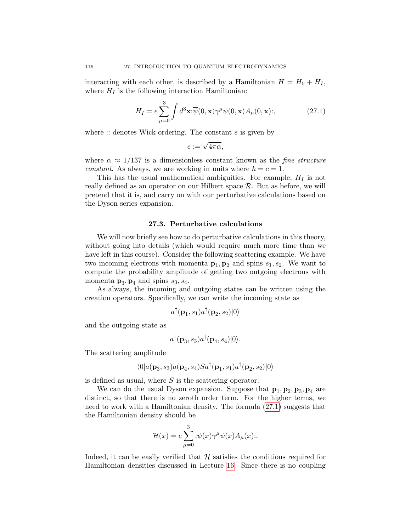interacting with each other, is described by a Hamiltonian  $H = H_0 + H_I$ , where  $H_I$  is the following interaction Hamiltonian:

<span id="page-119-0"></span>
$$
H_I = e \sum_{\mu=0}^{3} \int d^3 \mathbf{x} : \overline{\psi}(0, \mathbf{x}) \gamma^{\mu} \psi(0, \mathbf{x}) A_{\mu}(0, \mathbf{x}); \qquad (27.1)
$$

where  $\therefore$  denotes Wick ordering. The constant e is given by

$$
e:=\sqrt{4\pi\alpha},
$$

where  $\alpha \approx 1/137$  is a dimensionless constant known as the *fine structure constant.* As always, we are working in units where  $\hbar = c = 1$ .

This has the usual mathematical ambiguities. For example,  $H_I$  is not really defined as an operator on our Hilbert space R. But as before, we will pretend that it is, and carry on with our perturbative calculations based on the Dyson series expansion.

## 27.3. Perturbative calculations

We will now briefly see how to do perturbative calculations in this theory, without going into details (which would require much more time than we have left in this course). Consider the following scattering example. We have two incoming electrons with momenta  $\mathbf{p}_1, \mathbf{p}_2$  and spins  $s_1, s_2$ . We want to compute the probability amplitude of getting two outgoing electrons with momenta  $\mathbf{p}_3, \mathbf{p}_4$  and spins  $s_3, s_4$ .

As always, the incoming and outgoing states can be written using the creation operators. Specifically, we can write the incoming state as

$$
a^{\dagger}(\mathbf{p}_1,s_1)a^{\dagger}(\mathbf{p}_2,s_2)|0\rangle
$$

and the outgoing state as

$$
a^{\dagger}(\mathbf{p}_3, s_3)a^{\dagger}(\mathbf{p}_4, s_4)|0\rangle.
$$

The scattering amplitude

$$
\langle 0|a(\mathbf{p}_3,s_3)a(\mathbf{p}_4,s_4)Sa^\dagger(\mathbf{p}_1,s_1)a^\dagger(\mathbf{p}_2,s_2)|0\rangle
$$

is defined as usual, where  $S$  is the scattering operator.

We can do the usual Dyson expansion. Suppose that  $\mathbf{p}_1, \mathbf{p}_2, \mathbf{p}_3, \mathbf{p}_4$  are distinct, so that there is no zeroth order term. For the higher terms, we need to work with a Hamiltonian density. The formula [\(27.1\)](#page-119-0) suggests that the Hamiltonian density should be

$$
\mathcal{H}(x) = e \sum_{\mu=0}^{3} \overline{\psi}(x) \gamma^{\mu} \psi(x) A_{\mu}(x) \dots
$$

Indeed, it can be easily verified that  $H$  satisfies the conditions required for Hamiltonian densities discussed in Lecture [16.](#page-68-0) Since there is no coupling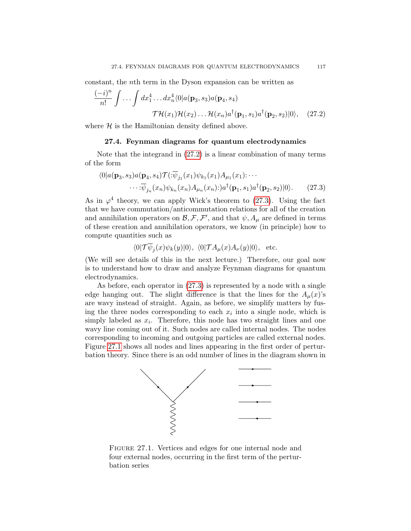constant, the nth term in the Dyson expansion can be written as

$$
\frac{(-i)^n}{n!} \int \dots \int dx_1^4 \dots dx_n^4 \langle 0 | a(\mathbf{p}_3, s_3) a(\mathbf{p}_4, s_4) \cdot \mathcal{T} \mathcal{H}(x_1) \mathcal{H}(x_2) \dots \mathcal{H}(x_n) a^\dagger(\mathbf{p}_1, s_1) a^\dagger(\mathbf{p}_2, s_2) | 0 \rangle, \quad (27.2)
$$

where  $H$  is the Hamiltonian density defined above.

#### <span id="page-120-0"></span>27.4. Feynman diagrams for quantum electrodynamics

Note that the integrand in [\(27.2\)](#page-120-0) is a linear combination of many terms of the form

$$
\langle 0|a(\mathbf{p}_3,s_3)a(\mathbf{p}_4,s_4)\mathcal{T}(\mathbf{:\overline{\psi}}_{j_1}(x_1)\psi_{k_1}(x_1)A_{\mu_1}(x_1)\mathbf{:\cdots}\cdots\mathbf{:\overline{\psi}}_{j_n}(x_n)\psi_{k_n}(x_n)A_{\mu_n}(x_n)\mathbf{:\rangle}a^{\dagger}(\mathbf{p}_1,s_1)a^{\dagger}(\mathbf{p}_2,s_2)|0\rangle.
$$
 (27.3)

As in  $\varphi^4$  theory, we can apply Wick's theorem to [\(27.3\)](#page-120-1). Using the fact that we have commutation/anticommutation relations for all of the creation and annihilation operators on  $\mathcal{B}, \mathcal{F}, \mathcal{F}'$ , and that  $\psi$ ,  $A_{\mu}$  are defined in terms of these creation and annihilation operators, we know (in principle) how to compute quantities such as

<span id="page-120-1"></span>
$$
\langle 0|\mathcal{T}\psi_j(x)\psi_k(y)|0\rangle, \ \langle 0|\mathcal{T}A_\mu(x)A_\nu(y)|0\rangle, \text{ etc.}
$$

(We will see details of this in the next lecture.) Therefore, our goal now is to understand how to draw and analyze Feynman diagrams for quantum electrodynamics.

As before, each operator in [\(27.3\)](#page-120-1) is represented by a node with a single edge hanging out. The slight difference is that the lines for the  $A_\mu(x)$ 's are wavy instead of straight. Again, as before, we simplify matters by fusing the three nodes corresponding to each  $x_i$  into a single node, which is simply labeled as  $x_i$ . Therefore, this node has two straight lines and one wavy line coming out of it. Such nodes are called internal nodes. The nodes corresponding to incoming and outgoing particles are called external nodes. Figure [27.1](#page-120-2) shows all nodes and lines appearing in the first order of perturbation theory. Since there is an odd number of lines in the diagram shown in



<span id="page-120-2"></span>Figure 27.1. Vertices and edges for one internal node and four external nodes, occurring in the first term of the perturbation series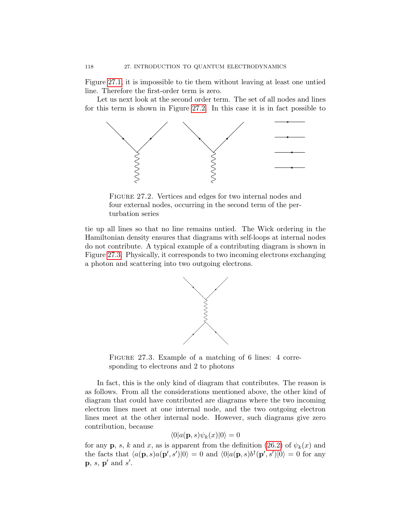Figure [27.1,](#page-120-2) it is impossible to tie them without leaving at least one untied line. Therefore the first-order term is zero.

Let us next look at the second order term. The set of all nodes and lines for this term is shown in Figure [27.2.](#page-121-0) In this case it is in fact possible to



<span id="page-121-0"></span>FIGURE 27.2. Vertices and edges for two internal nodes and four external nodes, occurring in the second term of the perturbation series

tie up all lines so that no line remains untied. The Wick ordering in the Hamiltonian density ensures that diagrams with self-loops at internal nodes do not contribute. A typical example of a contributing diagram is shown in Figure [27.3.](#page-121-1) Physically, it corresponds to two incoming electrons exchanging a photon and scattering into two outgoing electrons.



<span id="page-121-1"></span>FIGURE 27.3. Example of a matching of 6 lines: 4 corresponding to electrons and 2 to photons

In fact, this is the only kind of diagram that contributes. The reason is as follows. From all the considerations mentioned above, the other kind of diagram that could have contributed are diagrams where the two incoming electron lines meet at one internal node, and the two outgoing electron lines meet at the other internal node. However, such diagrams give zero contribution, because

$$
\langle 0|a(\mathbf{p},s)\psi_k(x)|0\rangle = 0
$$

for any **p**, *s*, *k* and *x*, as is apparent from the definition [\(26.2\)](#page-117-0) of  $\psi_k(x)$  and the facts that  $\langle a(\mathbf{p}, s)a(\mathbf{p}', s')|0\rangle = 0$  and  $\langle 0|a(\mathbf{p}, s)b^{\dagger}(\mathbf{p}', s')|0\rangle = 0$  for any  $\mathbf{p}, s, \mathbf{p}'$  and s'.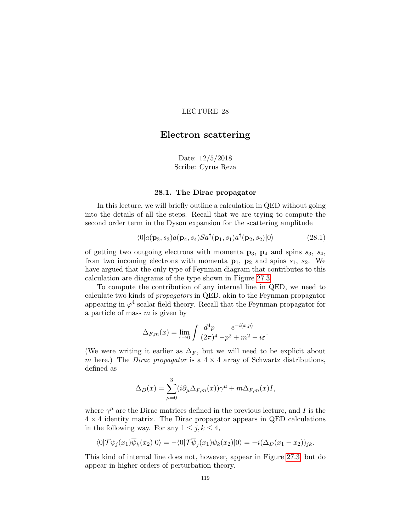# Electron scattering

<span id="page-122-0"></span>Date: 12/5/2018 Scribe: Cyrus Reza

#### 28.1. The Dirac propagator

In this lecture, we will briefly outline a calculation in QED without going into the details of all the steps. Recall that we are trying to compute the second order term in the Dyson expansion for the scattering amplitude

$$
\langle 0|a(\mathbf{p}_3,s_3)a(\mathbf{p}_4,s_4)Sa^\dagger(\mathbf{p}_1,s_1)a^\dagger(\mathbf{p}_2,s_2)|0\rangle \qquad (28.1)
$$

of getting two outgoing electrons with momenta  $\mathbf{p}_3$ ,  $\mathbf{p}_4$  and spins  $s_3$ ,  $s_4$ , from two incoming electrons with momenta  $p_1$ ,  $p_2$  and spins  $s_1$ ,  $s_2$ . We have argued that the only type of Feynman diagram that contributes to this calculation are diagrams of the type shown in Figure [27.3.](#page-121-1)

To compute the contribution of any internal line in QED, we need to calculate two kinds of propagators in QED, akin to the Feynman propagator appearing in  $\varphi^4$  scalar field theory. Recall that the Feynman propagator for a particle of mass  $m$  is given by

$$
\Delta_{F,m}(x) = \lim_{\varepsilon \to 0} \int \frac{d^4 p}{(2\pi)^4} \frac{e^{-i(x,p)}}{-p^2 + m^2 - i\varepsilon}.
$$

(We were writing it earlier as  $\Delta_F$ , but we will need to be explicit about m here.) The *Dirac propagator* is a  $4 \times 4$  array of Schwartz distributions, defined as

$$
\Delta_D(x) = \sum_{\mu=0}^3 (i \partial_\mu \Delta_{F,m}(x)) \gamma^\mu + m \Delta_{F,m}(x) I,
$$

where  $\gamma^{\mu}$  are the Dirac matrices defined in the previous lecture, and I is the  $4 \times 4$  identity matrix. The Dirac propagator appears in QED calculations in the following way. For any  $1 \leq j, k \leq 4$ ,

$$
\langle 0|\mathcal{T}\psi_j(x_1)\overline{\psi}_k(x_2)|0\rangle = -\langle 0|\mathcal{T}\overline{\psi}_j(x_1)\psi_k(x_2)|0\rangle = -i(\Delta_D(x_1-x_2))_{jk}.
$$

This kind of internal line does not, however, appear in Figure [27.3,](#page-121-1) but do appear in higher orders of perturbation theory.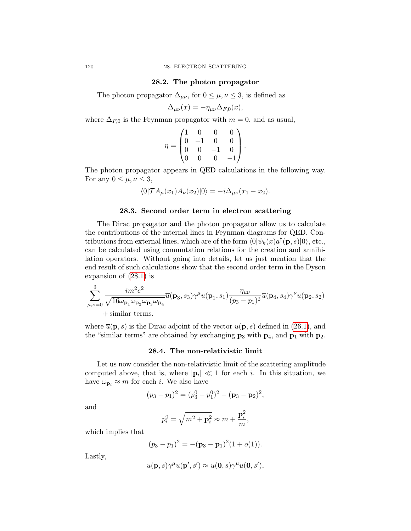#### 28.2. The photon propagator

The photon propagator  $\Delta_{\mu\nu}$ , for  $0 \leq \mu, \nu \leq 3$ , is defined as

$$
\Delta_{\mu\nu}(x) = -\eta_{\mu\nu}\Delta_{F,0}(x),
$$

where  $\Delta_{F,0}$  is the Feynman propagator with  $m = 0$ , and as usual,

$$
\eta = \begin{pmatrix} 1 & 0 & 0 & 0 \\ 0 & -1 & 0 & 0 \\ 0 & 0 & -1 & 0 \\ 0 & 0 & 0 & -1 \end{pmatrix}.
$$

The photon propagator appears in QED calculations in the following way. For any  $0 \leq \mu, \nu \leq 3$ ,

$$
\langle 0| \mathcal{T} A_{\mu}(x_1) A_{\nu}(x_2) |0\rangle = -i \Delta_{\mu\nu}(x_1 - x_2).
$$

## 28.3. Second order term in electron scattering

The Dirac propagator and the photon propagator allow us to calculate the contributions of the internal lines in Feynman diagrams for QED. Contributions from external lines, which are of the form  $\langle 0 | \psi_k(x) a^{\dagger}(\mathbf{p}, s) | 0 \rangle$ , etc., can be calculated using commutation relations for the creation and annihilation operators. Without going into details, let us just mention that the end result of such calculations show that the second order term in the Dyson expansion of [\(28.1\)](#page-122-0) is

$$
\sum_{\mu,\nu=0}^3 \frac{im^2e^2}{\sqrt{16\omega_{\mathbf{p}_1}\omega_{\mathbf{p}_2}\omega_{\mathbf{p}_3}\omega_{\mathbf{p}_4}}} \overline{u}(\mathbf{p}_3,s_3)\gamma^{\mu}u(\mathbf{p}_1,s_1)\frac{\eta_{\mu\nu}}{(p_3-p_1)^2}\overline{u}(\mathbf{p}_4,s_4)\gamma^{\nu}u(\mathbf{p}_2,s_2) + \text{similar terms},
$$

where  $\overline{u}(\mathbf{p},s)$  is the Dirac adjoint of the vector  $u(\mathbf{p},s)$  defined in [\(26.1\)](#page-117-1), and the "similar terms" are obtained by exchanging  $\mathbf{p}_3$  with  $\mathbf{p}_4$ , and  $\mathbf{p}_1$  with  $\mathbf{p}_2$ .

## 28.4. The non-relativistic limit

Let us now consider the non-relativistic limit of the scattering amplitude computed above, that is, where  $|\mathbf{p}_i| \ll 1$  for each i. In this situation, we have  $\omega_{\mathbf{p}_i} \approx m$  for each *i*. We also have

$$
(p_3 - p_1)^2 = (p_3^0 - p_1^0)^2 - (\mathbf{p}_3 - \mathbf{p}_2)^2,
$$

and

$$
p_i^0 = \sqrt{m^2 + \mathbf{p}_i^2} \approx m + \frac{\mathbf{p}_i^2}{m},
$$

which implies that

$$
(p_3-p_1)^2 = -(\mathbf{p}_3-\mathbf{p}_1)^2(1+o(1)).
$$

Lastly,

$$
\overline{u}(\mathbf{p},s)\gamma^{\mu}u(\mathbf{p}',s')\approx\overline{u}(\mathbf{0},s)\gamma^{\mu}u(\mathbf{0},s'),
$$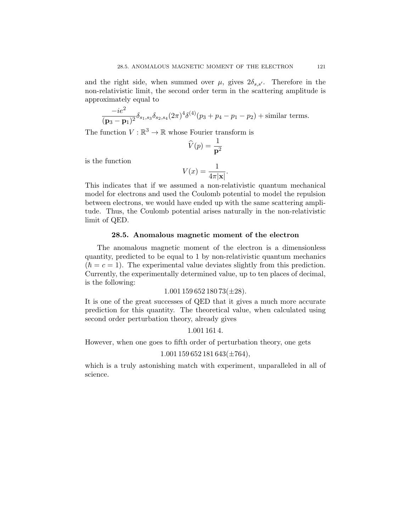and the right side, when summed over  $\mu$ , gives  $2\delta_{s,s}$ . Therefore in the non-relativistic limit, the second order term in the scattering amplitude is approximately equal to

$$
\frac{-ie^2}{(\mathbf{p}_3 - \mathbf{p}_1)^2} \delta_{s_1, s_3} \delta_{s_2, s_4} (2\pi)^4 \delta^{(4)}(p_3 + p_4 - p_1 - p_2) + \text{similar terms.}
$$

The function  $V : \mathbb{R}^3 \to \mathbb{R}$  whose Fourier transform is

$$
\widehat{V}(p) = \frac{1}{\mathbf{p}^2}
$$

is the function

$$
V(x) = \frac{1}{4\pi|\mathbf{x}|}.
$$

This indicates that if we assumed a non-relativistic quantum mechanical model for electrons and used the Coulomb potential to model the repulsion between electrons, we would have ended up with the same scattering amplitude. Thus, the Coulomb potential arises naturally in the non-relativistic limit of QED.

#### 28.5. Anomalous magnetic moment of the electron

The anomalous magnetic moment of the electron is a dimensionless quantity, predicted to be equal to 1 by non-relativistic quantum mechanics  $(\hbar = c = 1)$ . The experimental value deviates slightly from this prediction. Currently, the experimentally determined value, up to ten places of decimal, is the following:

### $1.001$  159 652 180 73( $\pm$ 28).

It is one of the great successes of QED that it gives a much more accurate prediction for this quantity. The theoretical value, when calculated using second order perturbation theory, already gives

1.001 161 4.

However, when one goes to fifth order of perturbation theory, one gets

## $1.001$  159 652 181 643( $\pm 764$ ),

which is a truly astonishing match with experiment, unparalleled in all of science.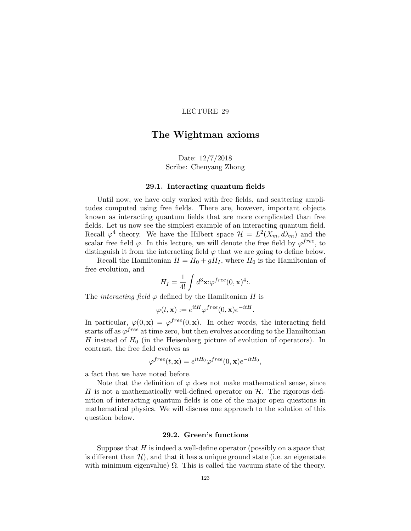# The Wightman axioms

Date: 12/7/2018 Scribe: Chenyang Zhong

### 29.1. Interacting quantum fields

Until now, we have only worked with free fields, and scattering amplitudes computed using free fields. There are, however, important objects known as interacting quantum fields that are more complicated than free fields. Let us now see the simplest example of an interacting quantum field. Recall  $\varphi^4$  theory. We have the Hilbert space  $\mathcal{H} = L^2(X_m, d\lambda_m)$  and the scalar free field  $\varphi$ . In this lecture, we will denote the free field by  $\varphi^{free}$ , to distinguish it from the interacting field  $\varphi$  that we are going to define below.

Recall the Hamiltonian  $H = H_0 + gH_I$ , where  $H_0$  is the Hamiltonian of free evolution, and

$$
H_I = \frac{1}{4!} \int d^3 \mathbf{x} \, \varphi^{free}(0, \mathbf{x})^4.
$$

The *interacting field*  $\varphi$  defined by the Hamiltonian H is

$$
\varphi(t, \mathbf{x}) := e^{itH} \varphi^{free}(0, \mathbf{x}) e^{-itH}.
$$

In particular,  $\varphi(0, \mathbf{x}) = \varphi^{free}(0, \mathbf{x})$ . In other words, the interacting field starts off as  $\varphi^{free}$  at time zero, but then evolves according to the Hamiltonian H instead of  $H_0$  (in the Heisenberg picture of evolution of operators). In contrast, the free field evolves as

$$
\varphi^{free}(t, \mathbf{x}) = e^{itH_0} \varphi^{free}(0, \mathbf{x}) e^{-itH_0},
$$

a fact that we have noted before.

Note that the definition of  $\varphi$  does not make mathematical sense, since H is not a mathematically well-defined operator on  $H$ . The rigorous definition of interacting quantum fields is one of the major open questions in mathematical physics. We will discuss one approach to the solution of this question below.

## 29.2. Green's functions

Suppose that  $H$  is indeed a well-define operator (possibly on a space that is different than  $\mathcal{H}$ ), and that it has a unique ground state (i.e. an eigenstate with minimum eigenvalue)  $\Omega$ . This is called the vacuum state of the theory.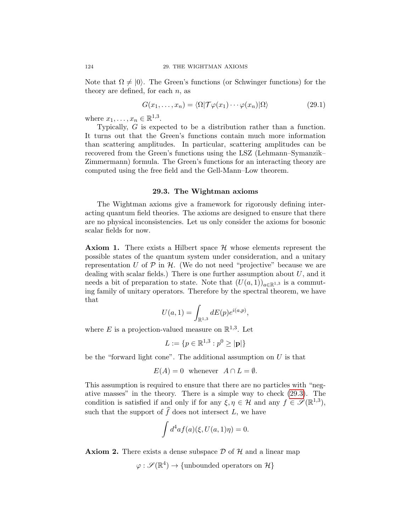Note that  $\Omega \neq \{0\}$ . The Green's functions (or Schwinger functions) for the theory are defined, for each  $n$ , as

$$
G(x_1, \ldots, x_n) = \langle \Omega | \mathcal{T} \varphi(x_1) \cdots \varphi(x_n) | \Omega \rangle \tag{29.1}
$$

where  $x_1, \ldots, x_n \in \mathbb{R}^{1,3}$ .

Typically, G is expected to be a distribution rather than a function. It turns out that the Green's functions contain much more information than scattering amplitudes. In particular, scattering amplitudes can be recovered from the Green's functions using the LSZ (Lehmann–Symanzik– Zimmermann) formula. The Green's functions for an interacting theory are computed using the free field and the Gell-Mann–Low theorem.

## 29.3. The Wightman axioms

<span id="page-127-0"></span>The Wightman axioms give a framework for rigorously defining interacting quantum field theories. The axioms are designed to ensure that there are no physical inconsistencies. Let us only consider the axioms for bosonic scalar fields for now.

**Axiom 1.** There exists a Hilbert space  $\mathcal{H}$  whose elements represent the possible states of the quantum system under consideration, and a unitary representation U of  $P$  in  $H$ . (We do not need "projective" because we are dealing with scalar fields.) There is one further assumption about  $U$ , and it needs a bit of preparation to state. Note that  $(U(a, 1))_{a \in \mathbb{R}^{1,3}}$  is a commuting family of unitary operators. Therefore by the spectral theorem, we have that

$$
U(a, 1) = \int_{\mathbb{R}^{1,3}} dE(p) e^{i(a, p)},
$$

where E is a projection-valued measure on  $\mathbb{R}^{1,3}$ . Let

$$
L := \{ p \in \mathbb{R}^{1,3} : p^0 \ge |\mathbf{p}| \}
$$

be the "forward light cone". The additional assumption on  $U$  is that

$$
E(A) = 0 \quad \text{whenever} \quad A \cap L = \emptyset.
$$

This assumption is required to ensure that there are no particles with "negative masses" in the theory. There is a simple way to check [\(29.3\)](#page-127-0). The condition is satisfied if and only if for any  $\xi, \eta \in \mathcal{H}$  and any  $f \in \mathscr{S}(\mathbb{R}^{1,3})$ , such that the support of  $\widehat{f}$  does not intersect L, we have

$$
\int d^4af(a)(\xi, U(a,1)\eta) = 0.
$$

**Axiom 2.** There exists a dense subspace  $\mathcal{D}$  of  $\mathcal{H}$  and a linear map

$$
\varphi : \mathscr{S}(\mathbb{R}^4) \to \{\text{unbounded operators on }\mathcal{H}\}\
$$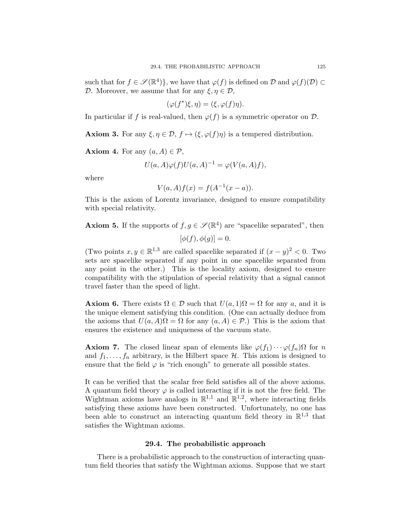such that for  $f \in \mathscr{S}(\mathbb{R}^4)$ , we have that  $\varphi(f)$  is defined on  $\mathcal D$  and  $\varphi(f)(\mathcal D) \subset$ D. Moreover, we assume that for any  $\xi, \eta \in \mathcal{D}$ ,

$$
(\varphi(f^*)\xi,\eta)=(\xi,\varphi(f)\eta).
$$

In particular if f is real-valued, then  $\varphi(f)$  is a symmetric operator on  $\mathcal{D}$ .

**Axiom 3.** For any  $\xi, \eta \in \mathcal{D}, f \mapsto (\xi, \varphi(f)\eta)$  is a tempered distribution.

**Axiom 4.** For any  $(a, A) \in \mathcal{P}$ ,

$$
U(a, A)\varphi(f)U(a, A)^{-1} = \varphi(V(a, A)f),
$$

where

$$
V(a, A) f(x) = f(A^{-1}(x - a)).
$$

This is the axiom of Lorentz invariance, designed to ensure compatibility with special relativity.

**Axiom 5.** If the supports of  $f, g \in \mathcal{S}(\mathbb{R}^4)$  are "spacelike separated", then

$$
[\phi(f), \phi(g)] = 0.
$$

(Two points  $x, y \in \mathbb{R}^{1,3}$  are called spacelike separated if  $(x - y)^2 < 0$ . Two sets are spacelike separated if any point in one spacelike separated from any point in the other.) This is the locality axiom, designed to ensure compatibility with the stipulation of special relativity that a signal cannot travel faster than the speed of light.

**Axiom 6.** There exists  $\Omega \in \mathcal{D}$  such that  $U(a, 1)\Omega = \Omega$  for any a, and it is the unique element satisfying this condition. (One can actually deduce from the axioms that  $U(a, A)\Omega = \Omega$  for any  $(a, A) \in \mathcal{P}$ .) This is the axiom that ensures the existence and uniqueness of the vacuum state.

**Axiom 7.** The closed linear span of elements like  $\varphi(f_1)\cdots\varphi(f_n)\Omega$  for n and  $f_1, \ldots, f_n$  arbitrary, is the Hilbert space  $\mathcal{H}$ . This axiom is designed to ensure that the field  $\varphi$  is "rich enough" to generate all possible states.

It can be verified that the scalar free field satisfies all of the above axioms. A quantum field theory  $\varphi$  is called interacting if it is not the free field. The Wightman axioms have analogs in  $\mathbb{R}^{1,1}$  and  $\mathbb{R}^{1,2}$ , where interacting fields satisfying these axioms have been constructed. Unfortunately, no one has been able to construct an interacting quantum field theory in  $\mathbb{R}^{1,3}$  that satisfies the Wightman axioms.

#### 29.4. The probabilistic approach

There is a probabilistic approach to the construction of interacting quantum field theories that satisfy the Wightman axioms. Suppose that we start